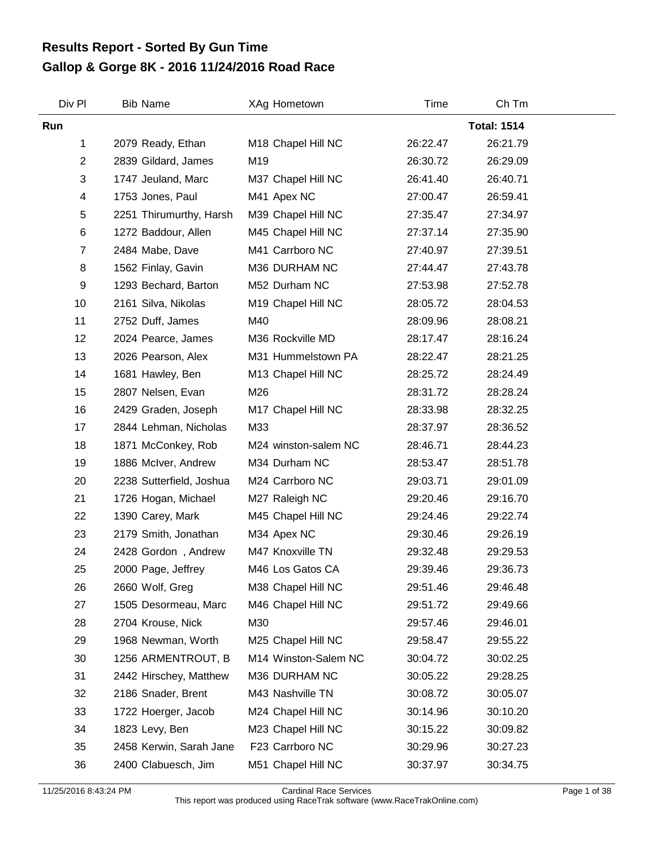## **Gallop & Gorge 8K - 2016 11/24/2016 Road Race Results Report - Sorted By Gun Time**

| Div Pl                  | <b>Bib Name</b>          | XAg Hometown         | Time     | Ch Tm              |  |
|-------------------------|--------------------------|----------------------|----------|--------------------|--|
| Run                     |                          |                      |          | <b>Total: 1514</b> |  |
| 1                       | 2079 Ready, Ethan        | M18 Chapel Hill NC   | 26:22.47 | 26:21.79           |  |
| $\overline{2}$          | 2839 Gildard, James      | M19                  | 26:30.72 | 26:29.09           |  |
| 3                       | 1747 Jeuland, Marc       | M37 Chapel Hill NC   | 26:41.40 | 26:40.71           |  |
| $\overline{\mathbf{4}}$ | 1753 Jones, Paul         | M41 Apex NC          | 27:00.47 | 26:59.41           |  |
| 5                       | 2251 Thirumurthy, Harsh  | M39 Chapel Hill NC   | 27:35.47 | 27:34.97           |  |
| 6                       | 1272 Baddour, Allen      | M45 Chapel Hill NC   | 27:37.14 | 27:35.90           |  |
| $\overline{7}$          | 2484 Mabe, Dave          | M41 Carrboro NC      | 27:40.97 | 27:39.51           |  |
| 8                       | 1562 Finlay, Gavin       | M36 DURHAM NC        | 27:44.47 | 27:43.78           |  |
| 9                       | 1293 Bechard, Barton     | M52 Durham NC        | 27:53.98 | 27:52.78           |  |
| 10                      | 2161 Silva, Nikolas      | M19 Chapel Hill NC   | 28:05.72 | 28:04.53           |  |
| 11                      | 2752 Duff, James         | M40                  | 28:09.96 | 28:08.21           |  |
| 12                      | 2024 Pearce, James       | M36 Rockville MD     | 28:17.47 | 28:16.24           |  |
| 13                      | 2026 Pearson, Alex       | M31 Hummelstown PA   | 28:22.47 | 28:21.25           |  |
| 14                      | 1681 Hawley, Ben         | M13 Chapel Hill NC   | 28:25.72 | 28:24.49           |  |
| 15                      | 2807 Nelsen, Evan        | M26                  | 28:31.72 | 28:28.24           |  |
| 16                      | 2429 Graden, Joseph      | M17 Chapel Hill NC   | 28:33.98 | 28:32.25           |  |
| 17                      | 2844 Lehman, Nicholas    | M33                  | 28:37.97 | 28:36.52           |  |
| 18                      | 1871 McConkey, Rob       | M24 winston-salem NC | 28:46.71 | 28:44.23           |  |
| 19                      | 1886 McIver, Andrew      | M34 Durham NC        | 28:53.47 | 28:51.78           |  |
| 20                      | 2238 Sutterfield, Joshua | M24 Carrboro NC      | 29:03.71 | 29:01.09           |  |
| 21                      | 1726 Hogan, Michael      | M27 Raleigh NC       | 29:20.46 | 29:16.70           |  |
| 22                      | 1390 Carey, Mark         | M45 Chapel Hill NC   | 29:24.46 | 29:22.74           |  |
| 23                      | 2179 Smith, Jonathan     | M34 Apex NC          | 29:30.46 | 29:26.19           |  |
| 24                      | 2428 Gordon, Andrew      | M47 Knoxville TN     | 29:32.48 | 29:29.53           |  |
| 25                      | 2000 Page, Jeffrey       | M46 Los Gatos CA     | 29:39.46 | 29:36.73           |  |
| 26                      | 2660 Wolf, Greg          | M38 Chapel Hill NC   | 29:51.46 | 29:46.48           |  |
| 27                      | 1505 Desormeau, Marc     | M46 Chapel Hill NC   | 29:51.72 | 29:49.66           |  |
| 28                      | 2704 Krouse, Nick        | M30                  | 29:57.46 | 29:46.01           |  |
| 29                      | 1968 Newman, Worth       | M25 Chapel Hill NC   | 29:58.47 | 29:55.22           |  |
| 30                      | 1256 ARMENTROUT, B       | M14 Winston-Salem NC | 30:04.72 | 30:02.25           |  |
| 31                      | 2442 Hirschey, Matthew   | M36 DURHAM NC        | 30:05.22 | 29:28.25           |  |
| 32                      | 2186 Snader, Brent       | M43 Nashville TN     | 30:08.72 | 30:05.07           |  |
| 33                      | 1722 Hoerger, Jacob      | M24 Chapel Hill NC   | 30:14.96 | 30:10.20           |  |
| 34                      | 1823 Levy, Ben           | M23 Chapel Hill NC   | 30:15.22 | 30:09.82           |  |
| 35                      | 2458 Kerwin, Sarah Jane  | F23 Carrboro NC      | 30:29.96 | 30:27.23           |  |
| 36                      | 2400 Clabuesch, Jim      | M51 Chapel Hill NC   | 30:37.97 | 30:34.75           |  |

11/25/2016 8:43:24 PM Cardinal Race Services Page 1 of 38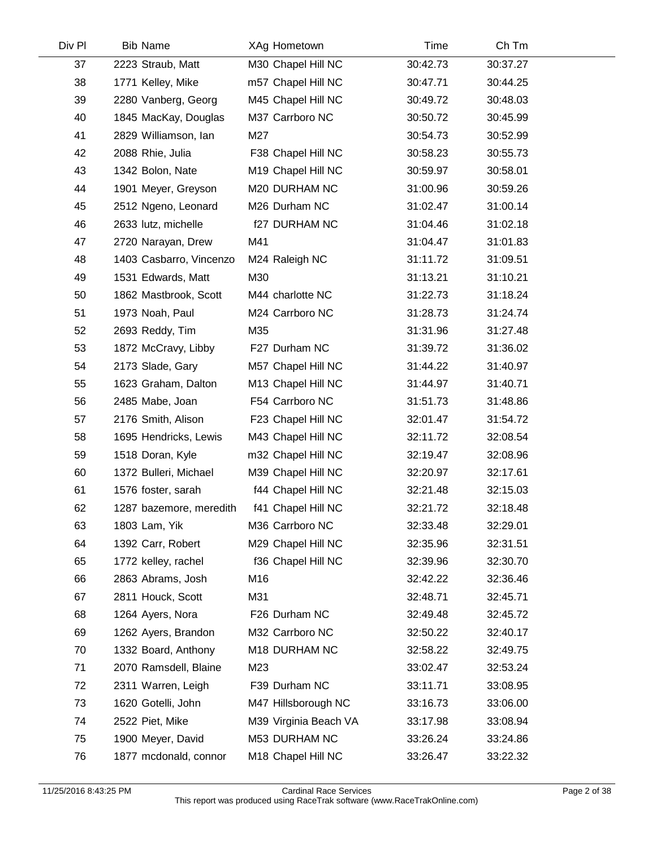| Div Pl | <b>Bib Name</b>         | XAg Hometown          | Time     | Ch Tm    |  |
|--------|-------------------------|-----------------------|----------|----------|--|
| 37     | 2223 Straub, Matt       | M30 Chapel Hill NC    | 30:42.73 | 30:37.27 |  |
| 38     | 1771 Kelley, Mike       | m57 Chapel Hill NC    | 30:47.71 | 30:44.25 |  |
| 39     | 2280 Vanberg, Georg     | M45 Chapel Hill NC    | 30:49.72 | 30:48.03 |  |
| 40     | 1845 MacKay, Douglas    | M37 Carrboro NC       | 30:50.72 | 30:45.99 |  |
| 41     | 2829 Williamson, Ian    | M27                   | 30:54.73 | 30:52.99 |  |
| 42     | 2088 Rhie, Julia        | F38 Chapel Hill NC    | 30:58.23 | 30:55.73 |  |
| 43     | 1342 Bolon, Nate        | M19 Chapel Hill NC    | 30:59.97 | 30:58.01 |  |
| 44     | 1901 Meyer, Greyson     | M20 DURHAM NC         | 31:00.96 | 30:59.26 |  |
| 45     | 2512 Ngeno, Leonard     | M26 Durham NC         | 31:02.47 | 31:00.14 |  |
| 46     | 2633 lutz, michelle     | f27 DURHAM NC         | 31:04.46 | 31:02.18 |  |
| 47     | 2720 Narayan, Drew      | M41                   | 31:04.47 | 31:01.83 |  |
| 48     | 1403 Casbarro, Vincenzo | M24 Raleigh NC        | 31:11.72 | 31:09.51 |  |
| 49     | 1531 Edwards, Matt      | M30                   | 31:13.21 | 31:10.21 |  |
| 50     | 1862 Mastbrook, Scott   | M44 charlotte NC      | 31:22.73 | 31:18.24 |  |
| 51     | 1973 Noah, Paul         | M24 Carrboro NC       | 31:28.73 | 31:24.74 |  |
| 52     | 2693 Reddy, Tim         | M35                   | 31:31.96 | 31:27.48 |  |
| 53     | 1872 McCravy, Libby     | F27 Durham NC         | 31:39.72 | 31:36.02 |  |
| 54     | 2173 Slade, Gary        | M57 Chapel Hill NC    | 31:44.22 | 31:40.97 |  |
| 55     | 1623 Graham, Dalton     | M13 Chapel Hill NC    | 31:44.97 | 31:40.71 |  |
| 56     | 2485 Mabe, Joan         | F54 Carrboro NC       | 31:51.73 | 31:48.86 |  |
| 57     | 2176 Smith, Alison      | F23 Chapel Hill NC    | 32:01.47 | 31:54.72 |  |
| 58     | 1695 Hendricks, Lewis   | M43 Chapel Hill NC    | 32:11.72 | 32:08.54 |  |
| 59     | 1518 Doran, Kyle        | m32 Chapel Hill NC    | 32:19.47 | 32:08.96 |  |
| 60     | 1372 Bulleri, Michael   | M39 Chapel Hill NC    | 32:20.97 | 32:17.61 |  |
| 61     | 1576 foster, sarah      | f44 Chapel Hill NC    | 32:21.48 | 32:15.03 |  |
| 62     | 1287 bazemore, meredith | f41 Chapel Hill NC    | 32:21.72 | 32:18.48 |  |
| 63     | 1803 Lam, Yik           | M36 Carrboro NC       | 32:33.48 | 32:29.01 |  |
| 64     | 1392 Carr, Robert       | M29 Chapel Hill NC    | 32:35.96 | 32:31.51 |  |
| 65     | 1772 kelley, rachel     | f36 Chapel Hill NC    | 32:39.96 | 32:30.70 |  |
| 66     | 2863 Abrams, Josh       | M16                   | 32:42.22 | 32:36.46 |  |
| 67     | 2811 Houck, Scott       | M31                   | 32:48.71 | 32:45.71 |  |
| 68     | 1264 Ayers, Nora        | F26 Durham NC         | 32:49.48 | 32:45.72 |  |
| 69     | 1262 Ayers, Brandon     | M32 Carrboro NC       | 32:50.22 | 32:40.17 |  |
| 70     | 1332 Board, Anthony     | M18 DURHAM NC         | 32:58.22 | 32:49.75 |  |
| 71     | 2070 Ramsdell, Blaine   | M23                   | 33:02.47 | 32:53.24 |  |
| 72     | 2311 Warren, Leigh      | F39 Durham NC         | 33:11.71 | 33:08.95 |  |
| 73     | 1620 Gotelli, John      | M47 Hillsborough NC   | 33:16.73 | 33:06.00 |  |
| 74     | 2522 Piet, Mike         | M39 Virginia Beach VA | 33:17.98 | 33:08.94 |  |
| 75     | 1900 Meyer, David       | M53 DURHAM NC         | 33:26.24 | 33:24.86 |  |
| 76     | 1877 mcdonald, connor   | M18 Chapel Hill NC    | 33:26.47 | 33:22.32 |  |
|        |                         |                       |          |          |  |

 $\mathcal{L}$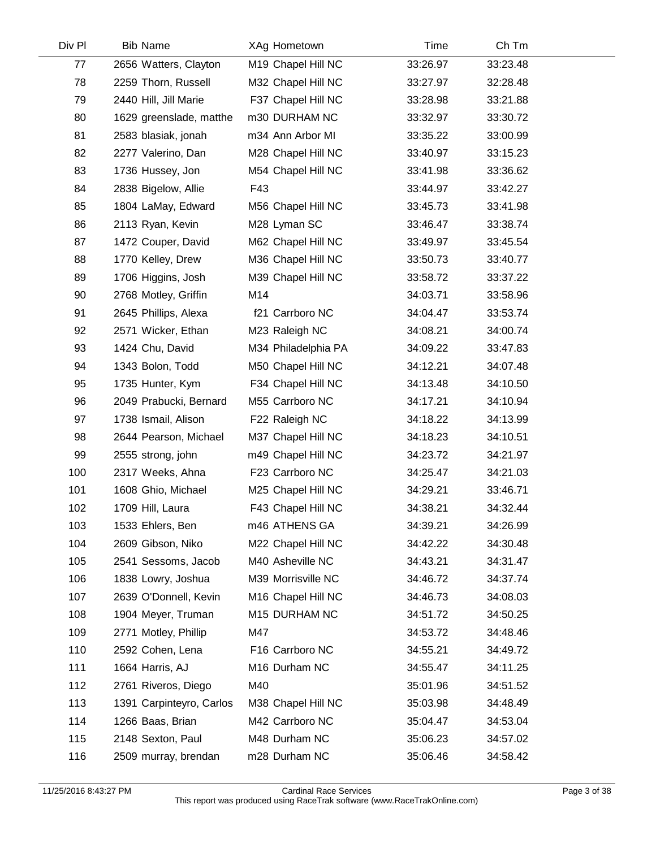| Div Pl | <b>Bib Name</b>          | XAg Hometown        | Time     | Ch Tm    |  |
|--------|--------------------------|---------------------|----------|----------|--|
| 77     | 2656 Watters, Clayton    | M19 Chapel Hill NC  | 33:26.97 | 33:23.48 |  |
| 78     | 2259 Thorn, Russell      | M32 Chapel Hill NC  | 33:27.97 | 32:28.48 |  |
| 79     | 2440 Hill, Jill Marie    | F37 Chapel Hill NC  | 33:28.98 | 33:21.88 |  |
| 80     | 1629 greenslade, matthe  | m30 DURHAM NC       | 33:32.97 | 33:30.72 |  |
| 81     | 2583 blasiak, jonah      | m34 Ann Arbor MI    | 33:35.22 | 33:00.99 |  |
| 82     | 2277 Valerino, Dan       | M28 Chapel Hill NC  | 33:40.97 | 33:15.23 |  |
| 83     | 1736 Hussey, Jon         | M54 Chapel Hill NC  | 33:41.98 | 33:36.62 |  |
| 84     | 2838 Bigelow, Allie      | F43                 | 33:44.97 | 33:42.27 |  |
| 85     | 1804 LaMay, Edward       | M56 Chapel Hill NC  | 33:45.73 | 33:41.98 |  |
| 86     | 2113 Ryan, Kevin         | M28 Lyman SC        | 33:46.47 | 33:38.74 |  |
| 87     | 1472 Couper, David       | M62 Chapel Hill NC  | 33:49.97 | 33:45.54 |  |
| 88     | 1770 Kelley, Drew        | M36 Chapel Hill NC  | 33:50.73 | 33:40.77 |  |
| 89     | 1706 Higgins, Josh       | M39 Chapel Hill NC  | 33:58.72 | 33:37.22 |  |
| 90     | 2768 Motley, Griffin     | M14                 | 34:03.71 | 33:58.96 |  |
| 91     | 2645 Phillips, Alexa     | f21 Carrboro NC     | 34:04.47 | 33:53.74 |  |
| 92     | 2571 Wicker, Ethan       | M23 Raleigh NC      | 34:08.21 | 34:00.74 |  |
| 93     | 1424 Chu, David          | M34 Philadelphia PA | 34:09.22 | 33:47.83 |  |
| 94     | 1343 Bolon, Todd         | M50 Chapel Hill NC  | 34:12.21 | 34:07.48 |  |
| 95     | 1735 Hunter, Kym         | F34 Chapel Hill NC  | 34:13.48 | 34:10.50 |  |
| 96     | 2049 Prabucki, Bernard   | M55 Carrboro NC     | 34:17.21 | 34:10.94 |  |
| 97     | 1738 Ismail, Alison      | F22 Raleigh NC      | 34:18.22 | 34:13.99 |  |
| 98     | 2644 Pearson, Michael    | M37 Chapel Hill NC  | 34:18.23 | 34:10.51 |  |
| 99     | 2555 strong, john        | m49 Chapel Hill NC  | 34:23.72 | 34:21.97 |  |
| 100    | 2317 Weeks, Ahna         | F23 Carrboro NC     | 34:25.47 | 34:21.03 |  |
| 101    | 1608 Ghio, Michael       | M25 Chapel Hill NC  | 34:29.21 | 33:46.71 |  |
| 102    | 1709 Hill, Laura         | F43 Chapel Hill NC  | 34:38.21 | 34:32.44 |  |
| 103    | 1533 Ehlers, Ben         | m46 ATHENS GA       | 34:39.21 | 34:26.99 |  |
| 104    | 2609 Gibson, Niko        | M22 Chapel Hill NC  | 34:42.22 | 34:30.48 |  |
| 105    | 2541 Sessoms, Jacob      | M40 Asheville NC    | 34:43.21 | 34:31.47 |  |
| 106    | 1838 Lowry, Joshua       | M39 Morrisville NC  | 34:46.72 | 34:37.74 |  |
| 107    | 2639 O'Donnell, Kevin    | M16 Chapel Hill NC  | 34:46.73 | 34:08.03 |  |
| 108    | 1904 Meyer, Truman       | M15 DURHAM NC       | 34:51.72 | 34:50.25 |  |
| 109    | 2771 Motley, Phillip     | M47                 | 34:53.72 | 34:48.46 |  |
| 110    | 2592 Cohen, Lena         | F16 Carrboro NC     | 34:55.21 | 34:49.72 |  |
| 111    | 1664 Harris, AJ          | M16 Durham NC       | 34:55.47 | 34:11.25 |  |
| 112    | 2761 Riveros, Diego      | M40                 | 35:01.96 | 34:51.52 |  |
| 113    | 1391 Carpinteyro, Carlos | M38 Chapel Hill NC  | 35:03.98 | 34:48.49 |  |
| 114    | 1266 Baas, Brian         | M42 Carrboro NC     | 35:04.47 | 34:53.04 |  |
| 115    | 2148 Sexton, Paul        | M48 Durham NC       | 35:06.23 | 34:57.02 |  |
| 116    | 2509 murray, brendan     | m28 Durham NC       | 35:06.46 | 34:58.42 |  |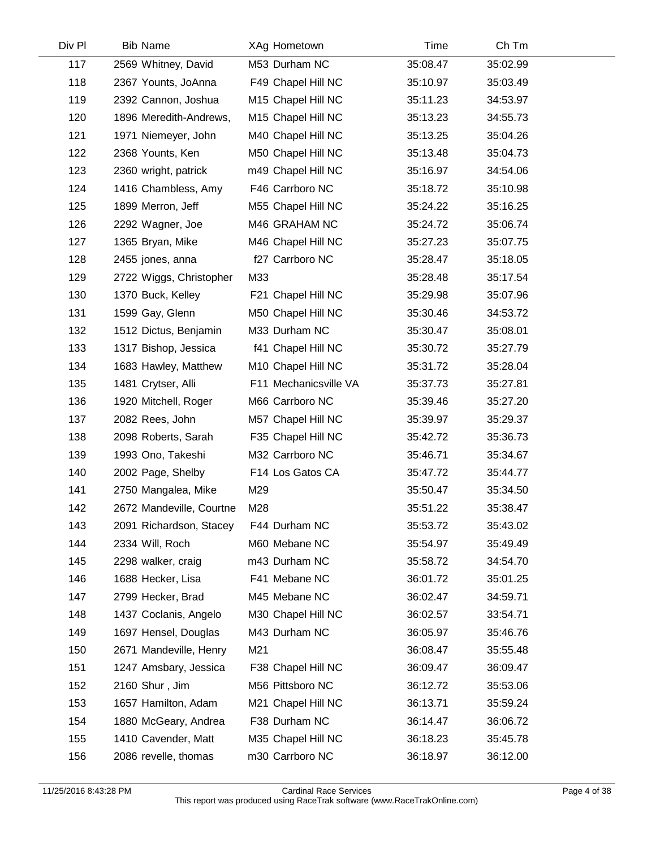| Div Pl | <b>Bib Name</b>          | XAg Hometown          | <b>Time</b> | Ch Tm    |  |
|--------|--------------------------|-----------------------|-------------|----------|--|
| 117    | 2569 Whitney, David      | M53 Durham NC         | 35:08.47    | 35:02.99 |  |
| 118    | 2367 Younts, JoAnna      | F49 Chapel Hill NC    | 35:10.97    | 35:03.49 |  |
| 119    | 2392 Cannon, Joshua      | M15 Chapel Hill NC    | 35:11.23    | 34:53.97 |  |
| 120    | 1896 Meredith-Andrews,   | M15 Chapel Hill NC    | 35:13.23    | 34:55.73 |  |
| 121    | 1971 Niemeyer, John      | M40 Chapel Hill NC    | 35:13.25    | 35:04.26 |  |
| 122    | 2368 Younts, Ken         | M50 Chapel Hill NC    | 35:13.48    | 35:04.73 |  |
| 123    | 2360 wright, patrick     | m49 Chapel Hill NC    | 35:16.97    | 34:54.06 |  |
| 124    | 1416 Chambless, Amy      | F46 Carrboro NC       | 35:18.72    | 35:10.98 |  |
| 125    | 1899 Merron, Jeff        | M55 Chapel Hill NC    | 35:24.22    | 35:16.25 |  |
| 126    | 2292 Wagner, Joe         | M46 GRAHAM NC         | 35:24.72    | 35:06.74 |  |
| 127    | 1365 Bryan, Mike         | M46 Chapel Hill NC    | 35:27.23    | 35:07.75 |  |
| 128    | 2455 jones, anna         | f27 Carrboro NC       | 35:28.47    | 35:18.05 |  |
| 129    | 2722 Wiggs, Christopher  | M33                   | 35:28.48    | 35:17.54 |  |
| 130    | 1370 Buck, Kelley        | F21 Chapel Hill NC    | 35:29.98    | 35:07.96 |  |
| 131    | 1599 Gay, Glenn          | M50 Chapel Hill NC    | 35:30.46    | 34:53.72 |  |
| 132    | 1512 Dictus, Benjamin    | M33 Durham NC         | 35:30.47    | 35:08.01 |  |
| 133    | 1317 Bishop, Jessica     | f41 Chapel Hill NC    | 35:30.72    | 35:27.79 |  |
| 134    | 1683 Hawley, Matthew     | M10 Chapel Hill NC    | 35:31.72    | 35:28.04 |  |
| 135    | 1481 Crytser, Alli       | F11 Mechanicsville VA | 35:37.73    | 35:27.81 |  |
| 136    | 1920 Mitchell, Roger     | M66 Carrboro NC       | 35:39.46    | 35:27.20 |  |
| 137    | 2082 Rees, John          | M57 Chapel Hill NC    | 35:39.97    | 35:29.37 |  |
| 138    | 2098 Roberts, Sarah      | F35 Chapel Hill NC    | 35:42.72    | 35:36.73 |  |
| 139    | 1993 Ono, Takeshi        | M32 Carrboro NC       | 35:46.71    | 35:34.67 |  |
| 140    | 2002 Page, Shelby        | F14 Los Gatos CA      | 35:47.72    | 35:44.77 |  |
| 141    | 2750 Mangalea, Mike      | M29                   | 35:50.47    | 35:34.50 |  |
| 142    | 2672 Mandeville, Courtne | M28                   | 35:51.22    | 35:38.47 |  |
| 143    | 2091 Richardson, Stacey  | F44 Durham NC         | 35:53.72    | 35:43.02 |  |
| 144    | 2334 Will, Roch          | M60 Mebane NC         | 35:54.97    | 35:49.49 |  |
| 145    | 2298 walker, craig       | m43 Durham NC         | 35:58.72    | 34:54.70 |  |
| 146    | 1688 Hecker, Lisa        | F41 Mebane NC         | 36:01.72    | 35:01.25 |  |
| 147    | 2799 Hecker, Brad        | M45 Mebane NC         | 36:02.47    | 34:59.71 |  |
| 148    | 1437 Coclanis, Angelo    | M30 Chapel Hill NC    | 36:02.57    | 33:54.71 |  |
| 149    | 1697 Hensel, Douglas     | M43 Durham NC         | 36:05.97    | 35:46.76 |  |
| 150    | 2671 Mandeville, Henry   | M21                   | 36:08.47    | 35:55.48 |  |
| 151    | 1247 Amsbary, Jessica    | F38 Chapel Hill NC    | 36:09.47    | 36:09.47 |  |
| 152    | 2160 Shur, Jim           | M56 Pittsboro NC      | 36:12.72    | 35:53.06 |  |
| 153    | 1657 Hamilton, Adam      | M21 Chapel Hill NC    | 36:13.71    | 35:59.24 |  |
| 154    | 1880 McGeary, Andrea     | F38 Durham NC         | 36:14.47    | 36:06.72 |  |
| 155    | 1410 Cavender, Matt      | M35 Chapel Hill NC    | 36:18.23    | 35:45.78 |  |
| 156    | 2086 revelle, thomas     | m30 Carrboro NC       | 36:18.97    | 36:12.00 |  |
|        |                          |                       |             |          |  |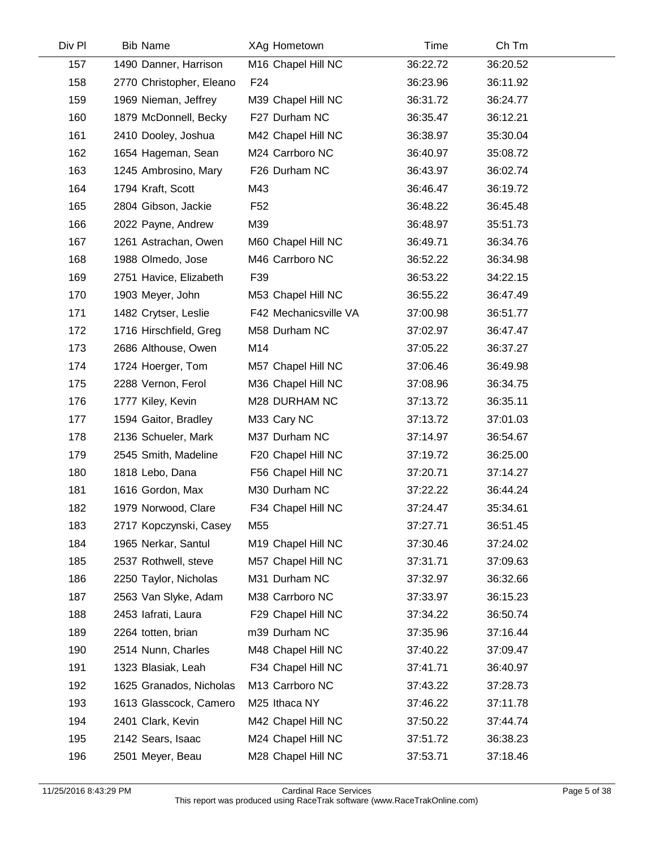| Div Pl | <b>Bib Name</b>          | XAg Hometown          | Time     | Ch Tm    |  |
|--------|--------------------------|-----------------------|----------|----------|--|
| 157    | 1490 Danner, Harrison    | M16 Chapel Hill NC    | 36:22.72 | 36:20.52 |  |
| 158    | 2770 Christopher, Eleano | F <sub>24</sub>       | 36:23.96 | 36:11.92 |  |
| 159    | 1969 Nieman, Jeffrey     | M39 Chapel Hill NC    | 36:31.72 | 36:24.77 |  |
| 160    | 1879 McDonnell, Becky    | F27 Durham NC         | 36:35.47 | 36:12.21 |  |
| 161    | 2410 Dooley, Joshua      | M42 Chapel Hill NC    | 36:38.97 | 35:30.04 |  |
| 162    | 1654 Hageman, Sean       | M24 Carrboro NC       | 36:40.97 | 35:08.72 |  |
| 163    | 1245 Ambrosino, Mary     | F26 Durham NC         | 36:43.97 | 36:02.74 |  |
| 164    | 1794 Kraft, Scott        | M43                   | 36:46.47 | 36:19.72 |  |
| 165    | 2804 Gibson, Jackie      | F <sub>52</sub>       | 36:48.22 | 36:45.48 |  |
| 166    | 2022 Payne, Andrew       | M39                   | 36:48.97 | 35:51.73 |  |
| 167    | 1261 Astrachan, Owen     | M60 Chapel Hill NC    | 36:49.71 | 36:34.76 |  |
| 168    | 1988 Olmedo, Jose        | M46 Carrboro NC       | 36:52.22 | 36:34.98 |  |
| 169    | 2751 Havice, Elizabeth   | F39                   | 36:53.22 | 34:22.15 |  |
| 170    | 1903 Meyer, John         | M53 Chapel Hill NC    | 36:55.22 | 36:47.49 |  |
| 171    | 1482 Crytser, Leslie     | F42 Mechanicsville VA | 37:00.98 | 36:51.77 |  |
| 172    | 1716 Hirschfield, Greg   | M58 Durham NC         | 37:02.97 | 36:47.47 |  |
| 173    | 2686 Althouse, Owen      | M14                   | 37:05.22 | 36:37.27 |  |
| 174    | 1724 Hoerger, Tom        | M57 Chapel Hill NC    | 37:06.46 | 36:49.98 |  |
| 175    | 2288 Vernon, Ferol       | M36 Chapel Hill NC    | 37:08.96 | 36:34.75 |  |
| 176    | 1777 Kiley, Kevin        | M28 DURHAM NC         | 37:13.72 | 36:35.11 |  |
| 177    | 1594 Gaitor, Bradley     | M33 Cary NC           | 37:13.72 | 37:01.03 |  |
| 178    | 2136 Schueler, Mark      | M37 Durham NC         | 37:14.97 | 36:54.67 |  |
| 179    | 2545 Smith, Madeline     | F20 Chapel Hill NC    | 37:19.72 | 36:25.00 |  |
| 180    | 1818 Lebo, Dana          | F56 Chapel Hill NC    | 37:20.71 | 37:14.27 |  |
| 181    | 1616 Gordon, Max         | M30 Durham NC         | 37:22.22 | 36:44.24 |  |
| 182    | 1979 Norwood, Clare      | F34 Chapel Hill NC    | 37:24.47 | 35:34.61 |  |
| 183    | 2717 Kopczynski, Casey   | M <sub>55</sub>       | 37:27.71 | 36:51.45 |  |
| 184    | 1965 Nerkar, Santul      | M19 Chapel Hill NC    | 37:30.46 | 37:24.02 |  |
| 185    | 2537 Rothwell, steve     | M57 Chapel Hill NC    | 37:31.71 | 37:09.63 |  |
| 186    | 2250 Taylor, Nicholas    | M31 Durham NC         | 37:32.97 | 36:32.66 |  |
| 187    | 2563 Van Slyke, Adam     | M38 Carrboro NC       | 37:33.97 | 36:15.23 |  |
| 188    | 2453 lafrati, Laura      | F29 Chapel Hill NC    | 37:34.22 | 36:50.74 |  |
| 189    | 2264 totten, brian       | m39 Durham NC         | 37:35.96 | 37:16.44 |  |
| 190    | 2514 Nunn, Charles       | M48 Chapel Hill NC    | 37:40.22 | 37:09.47 |  |
| 191    | 1323 Blasiak, Leah       | F34 Chapel Hill NC    | 37:41.71 | 36:40.97 |  |
| 192    | 1625 Granados, Nicholas  | M13 Carrboro NC       | 37:43.22 | 37:28.73 |  |
| 193    | 1613 Glasscock, Camero   | M25 Ithaca NY         | 37:46.22 | 37:11.78 |  |
| 194    | 2401 Clark, Kevin        | M42 Chapel Hill NC    | 37:50.22 | 37:44.74 |  |
| 195    | 2142 Sears, Isaac        | M24 Chapel Hill NC    | 37:51.72 | 36:38.23 |  |
| 196    | 2501 Meyer, Beau         | M28 Chapel Hill NC    | 37:53.71 | 37:18.46 |  |
|        |                          |                       |          |          |  |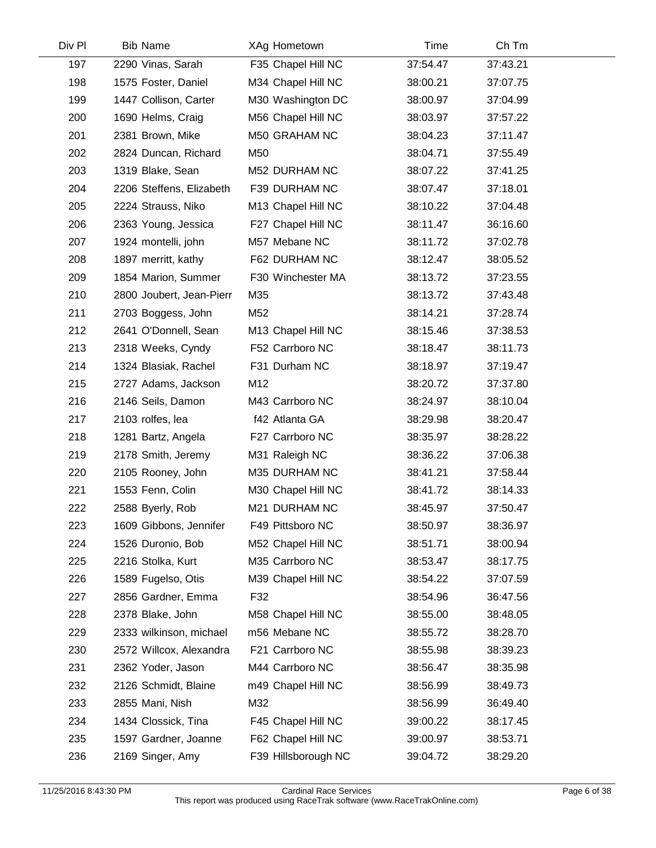| <b>Bib Name</b>          | XAg Hometown        | Time     | Ch Tm    |  |
|--------------------------|---------------------|----------|----------|--|
| 2290 Vinas, Sarah        | F35 Chapel Hill NC  | 37:54.47 | 37:43.21 |  |
| 1575 Foster, Daniel      | M34 Chapel Hill NC  | 38:00.21 | 37:07.75 |  |
| 1447 Collison, Carter    | M30 Washington DC   | 38:00.97 | 37:04.99 |  |
| 1690 Helms, Craig        | M56 Chapel Hill NC  | 38:03.97 | 37:57.22 |  |
| 2381 Brown, Mike         | M50 GRAHAM NC       | 38:04.23 | 37:11.47 |  |
| 2824 Duncan, Richard     | M50                 | 38:04.71 | 37:55.49 |  |
| 1319 Blake, Sean         | M52 DURHAM NC       | 38:07.22 | 37:41.25 |  |
| 2206 Steffens, Elizabeth | F39 DURHAM NC       | 38:07.47 | 37:18.01 |  |
| 2224 Strauss, Niko       | M13 Chapel Hill NC  | 38:10.22 | 37:04.48 |  |
| 2363 Young, Jessica      | F27 Chapel Hill NC  | 38:11.47 | 36:16.60 |  |
| 1924 montelli, john      | M57 Mebane NC       | 38:11.72 | 37:02.78 |  |
| 1897 merritt, kathy      | F62 DURHAM NC       | 38:12.47 | 38:05.52 |  |
| 1854 Marion, Summer      | F30 Winchester MA   | 38:13.72 | 37:23.55 |  |
| 2800 Joubert, Jean-Pierr | M35                 | 38:13.72 | 37:43.48 |  |
| 2703 Boggess, John       | M52                 | 38:14.21 | 37:28.74 |  |
| 2641 O'Donnell, Sean     | M13 Chapel Hill NC  | 38:15.46 | 37:38.53 |  |
| 2318 Weeks, Cyndy        | F52 Carrboro NC     | 38:18.47 | 38:11.73 |  |
| 1324 Blasiak, Rachel     | F31 Durham NC       | 38:18.97 | 37:19.47 |  |
| 2727 Adams, Jackson      | M12                 | 38:20.72 | 37:37.80 |  |
| 2146 Seils, Damon        | M43 Carrboro NC     | 38:24.97 | 38:10.04 |  |
| 2103 rolfes, lea         | f42 Atlanta GA      | 38:29.98 | 38:20.47 |  |
| 1281 Bartz, Angela       | F27 Carrboro NC     | 38:35.97 | 38:28.22 |  |
| 2178 Smith, Jeremy       | M31 Raleigh NC      | 38:36.22 | 37:06.38 |  |
| 2105 Rooney, John        | M35 DURHAM NC       | 38:41.21 | 37:58.44 |  |
| 1553 Fenn, Colin         | M30 Chapel Hill NC  | 38:41.72 | 38:14.33 |  |
| 2588 Byerly, Rob         | M21 DURHAM NC       | 38:45.97 | 37:50.47 |  |
| 1609 Gibbons, Jennifer   | F49 Pittsboro NC    | 38:50.97 | 38:36.97 |  |
| 1526 Duronio, Bob        | M52 Chapel Hill NC  | 38:51.71 | 38:00.94 |  |
| 2216 Stolka, Kurt        | M35 Carrboro NC     | 38:53.47 | 38:17.75 |  |
| 1589 Fugelso, Otis       | M39 Chapel Hill NC  | 38:54.22 | 37:07.59 |  |
| 2856 Gardner, Emma       | F32                 | 38:54.96 | 36:47.56 |  |
| 2378 Blake, John         | M58 Chapel Hill NC  | 38:55.00 | 38:48.05 |  |
| 2333 wilkinson, michael  | m56 Mebane NC       | 38:55.72 | 38:28.70 |  |
| 2572 Willcox, Alexandra  | F21 Carrboro NC     | 38:55.98 | 38:39.23 |  |
| 2362 Yoder, Jason        | M44 Carrboro NC     | 38:56.47 | 38:35.98 |  |
| 2126 Schmidt, Blaine     | m49 Chapel Hill NC  | 38:56.99 | 38:49.73 |  |
| 2855 Mani, Nish          | M32                 | 38:56.99 | 36:49.40 |  |
| 1434 Clossick, Tina      | F45 Chapel Hill NC  | 39:00.22 | 38:17.45 |  |
| 1597 Gardner, Joanne     | F62 Chapel Hill NC  | 39:00.97 | 38:53.71 |  |
| 2169 Singer, Amy         | F39 Hillsborough NC | 39:04.72 | 38:29.20 |  |
|                          |                     |          |          |  |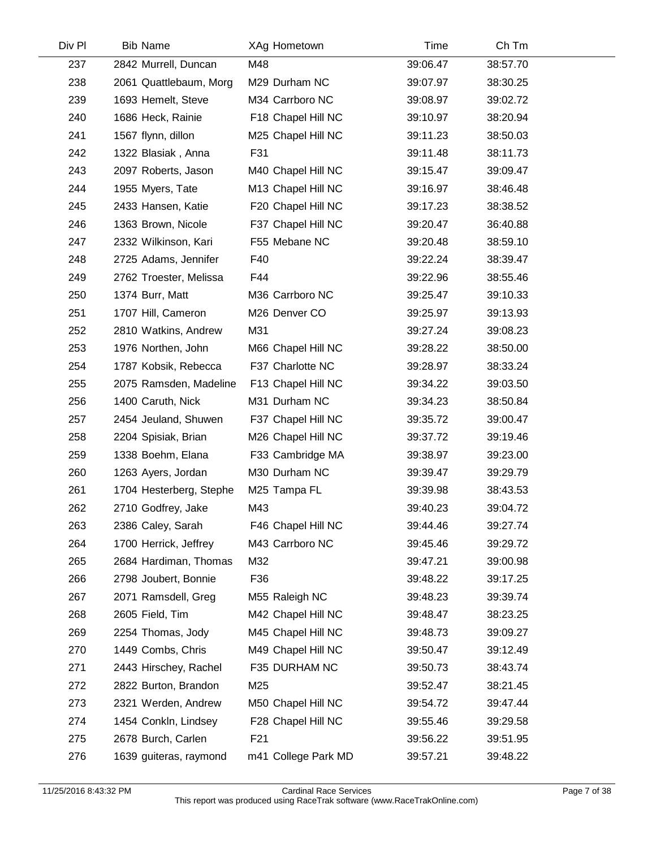| Div Pl | <b>Bib Name</b>         | XAg Hometown        | Time     | Ch Tm    |  |
|--------|-------------------------|---------------------|----------|----------|--|
| 237    | 2842 Murrell, Duncan    | M48                 | 39:06.47 | 38:57.70 |  |
| 238    | 2061 Quattlebaum, Morg  | M29 Durham NC       | 39:07.97 | 38:30.25 |  |
| 239    | 1693 Hemelt, Steve      | M34 Carrboro NC     | 39:08.97 | 39:02.72 |  |
| 240    | 1686 Heck, Rainie       | F18 Chapel Hill NC  | 39:10.97 | 38:20.94 |  |
| 241    | 1567 flynn, dillon      | M25 Chapel Hill NC  | 39:11.23 | 38:50.03 |  |
| 242    | 1322 Blasiak, Anna      | F31                 | 39:11.48 | 38:11.73 |  |
| 243    | 2097 Roberts, Jason     | M40 Chapel Hill NC  | 39:15.47 | 39:09.47 |  |
| 244    | 1955 Myers, Tate        | M13 Chapel Hill NC  | 39:16.97 | 38:46.48 |  |
| 245    | 2433 Hansen, Katie      | F20 Chapel Hill NC  | 39:17.23 | 38:38.52 |  |
| 246    | 1363 Brown, Nicole      | F37 Chapel Hill NC  | 39:20.47 | 36:40.88 |  |
| 247    | 2332 Wilkinson, Kari    | F55 Mebane NC       | 39:20.48 | 38:59.10 |  |
| 248    | 2725 Adams, Jennifer    | F40                 | 39:22.24 | 38:39.47 |  |
| 249    | 2762 Troester, Melissa  | F44                 | 39:22.96 | 38:55.46 |  |
| 250    | 1374 Burr, Matt         | M36 Carrboro NC     | 39:25.47 | 39:10.33 |  |
| 251    | 1707 Hill, Cameron      | M26 Denver CO       | 39:25.97 | 39:13.93 |  |
| 252    | 2810 Watkins, Andrew    | M31                 | 39:27.24 | 39:08.23 |  |
| 253    | 1976 Northen, John      | M66 Chapel Hill NC  | 39:28.22 | 38:50.00 |  |
| 254    | 1787 Kobsik, Rebecca    | F37 Charlotte NC    | 39:28.97 | 38:33.24 |  |
| 255    | 2075 Ramsden, Madeline  | F13 Chapel Hill NC  | 39:34.22 | 39:03.50 |  |
| 256    | 1400 Caruth, Nick       | M31 Durham NC       | 39:34.23 | 38:50.84 |  |
| 257    | 2454 Jeuland, Shuwen    | F37 Chapel Hill NC  | 39:35.72 | 39:00.47 |  |
| 258    | 2204 Spisiak, Brian     | M26 Chapel Hill NC  | 39:37.72 | 39:19.46 |  |
| 259    | 1338 Boehm, Elana       | F33 Cambridge MA    | 39:38.97 | 39:23.00 |  |
| 260    | 1263 Ayers, Jordan      | M30 Durham NC       | 39:39.47 | 39:29.79 |  |
| 261    | 1704 Hesterberg, Stephe | M25 Tampa FL        | 39:39.98 | 38:43.53 |  |
| 262    | 2710 Godfrey, Jake      | M43                 | 39:40.23 | 39:04.72 |  |
| 263    | 2386 Caley, Sarah       | F46 Chapel Hill NC  | 39:44.46 | 39:27.74 |  |
| 264    | 1700 Herrick, Jeffrey   | M43 Carrboro NC     | 39:45.46 | 39:29.72 |  |
| 265    | 2684 Hardiman, Thomas   | M32                 | 39:47.21 | 39:00.98 |  |
| 266    | 2798 Joubert, Bonnie    | F36                 | 39:48.22 | 39:17.25 |  |
| 267    | 2071 Ramsdell, Greg     | M55 Raleigh NC      | 39:48.23 | 39:39.74 |  |
| 268    | 2605 Field, Tim         | M42 Chapel Hill NC  | 39:48.47 | 38:23.25 |  |
| 269    | 2254 Thomas, Jody       | M45 Chapel Hill NC  | 39:48.73 | 39:09.27 |  |
| 270    | 1449 Combs, Chris       | M49 Chapel Hill NC  | 39:50.47 | 39:12.49 |  |
| 271    | 2443 Hirschey, Rachel   | F35 DURHAM NC       | 39:50.73 | 38:43.74 |  |
| 272    | 2822 Burton, Brandon    | M25                 | 39:52.47 | 38:21.45 |  |
| 273    | 2321 Werden, Andrew     | M50 Chapel Hill NC  | 39:54.72 | 39:47.44 |  |
| 274    | 1454 Conkln, Lindsey    | F28 Chapel Hill NC  | 39:55.46 | 39:29.58 |  |
| 275    | 2678 Burch, Carlen      | F <sub>21</sub>     | 39:56.22 | 39:51.95 |  |
| 276    | 1639 guiteras, raymond  | m41 College Park MD | 39:57.21 | 39:48.22 |  |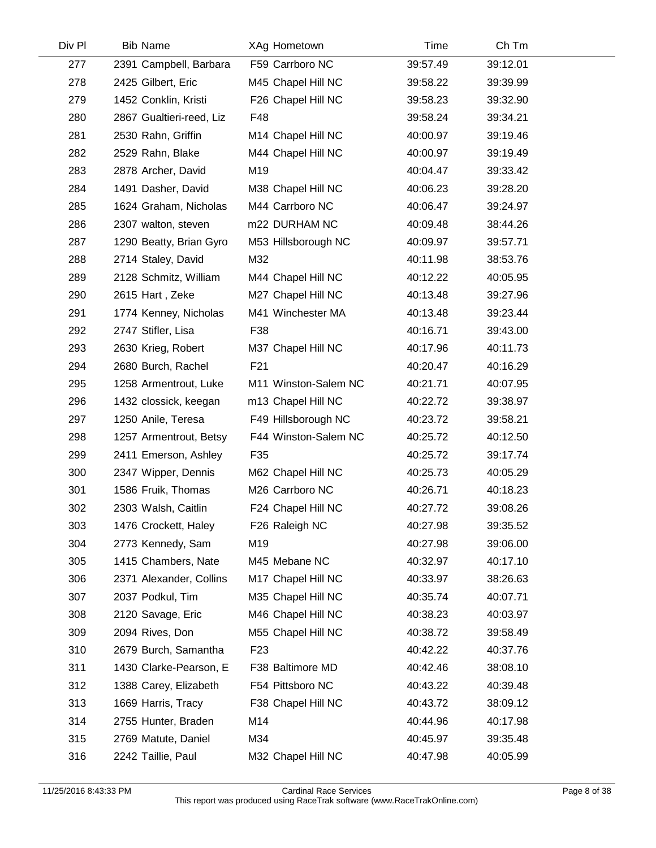| Div Pl | <b>Bib Name</b>          | XAg Hometown         | Time     | Ch Tm    |  |
|--------|--------------------------|----------------------|----------|----------|--|
| 277    | 2391 Campbell, Barbara   | F59 Carrboro NC      | 39:57.49 | 39:12.01 |  |
| 278    | 2425 Gilbert, Eric       | M45 Chapel Hill NC   | 39:58.22 | 39:39.99 |  |
| 279    | 1452 Conklin, Kristi     | F26 Chapel Hill NC   | 39:58.23 | 39:32.90 |  |
| 280    | 2867 Gualtieri-reed, Liz | F48                  | 39:58.24 | 39:34.21 |  |
| 281    | 2530 Rahn, Griffin       | M14 Chapel Hill NC   | 40:00.97 | 39:19.46 |  |
| 282    | 2529 Rahn, Blake         | M44 Chapel Hill NC   | 40:00.97 | 39:19.49 |  |
| 283    | 2878 Archer, David       | M19                  | 40:04.47 | 39:33.42 |  |
| 284    | 1491 Dasher, David       | M38 Chapel Hill NC   | 40:06.23 | 39:28.20 |  |
| 285    | 1624 Graham, Nicholas    | M44 Carrboro NC      | 40:06.47 | 39:24.97 |  |
| 286    | 2307 walton, steven      | m22 DURHAM NC        | 40:09.48 | 38:44.26 |  |
| 287    | 1290 Beatty, Brian Gyro  | M53 Hillsborough NC  | 40:09.97 | 39:57.71 |  |
| 288    | 2714 Staley, David       | M32                  | 40:11.98 | 38:53.76 |  |
| 289    | 2128 Schmitz, William    | M44 Chapel Hill NC   | 40:12.22 | 40:05.95 |  |
| 290    | 2615 Hart, Zeke          | M27 Chapel Hill NC   | 40:13.48 | 39:27.96 |  |
| 291    | 1774 Kenney, Nicholas    | M41 Winchester MA    | 40:13.48 | 39:23.44 |  |
| 292    | 2747 Stifler, Lisa       | F38                  | 40:16.71 | 39:43.00 |  |
| 293    | 2630 Krieg, Robert       | M37 Chapel Hill NC   | 40:17.96 | 40:11.73 |  |
| 294    | 2680 Burch, Rachel       | F <sub>21</sub>      | 40:20.47 | 40:16.29 |  |
| 295    | 1258 Armentrout, Luke    | M11 Winston-Salem NC | 40:21.71 | 40:07.95 |  |
| 296    | 1432 clossick, keegan    | m13 Chapel Hill NC   | 40:22.72 | 39:38.97 |  |
| 297    | 1250 Anile, Teresa       | F49 Hillsborough NC  | 40:23.72 | 39:58.21 |  |
| 298    | 1257 Armentrout, Betsy   | F44 Winston-Salem NC | 40:25.72 | 40:12.50 |  |
| 299    | 2411 Emerson, Ashley     | F35                  | 40:25.72 | 39:17.74 |  |
| 300    | 2347 Wipper, Dennis      | M62 Chapel Hill NC   | 40:25.73 | 40:05.29 |  |
| 301    | 1586 Fruik, Thomas       | M26 Carrboro NC      | 40:26.71 | 40:18.23 |  |
| 302    | 2303 Walsh, Caitlin      | F24 Chapel Hill NC   | 40:27.72 | 39:08.26 |  |
| 303    | 1476 Crockett, Haley     | F26 Raleigh NC       | 40:27.98 | 39:35.52 |  |
| 304    | 2773 Kennedy, Sam        | M19                  | 40:27.98 | 39:06.00 |  |
| 305    | 1415 Chambers, Nate      | M45 Mebane NC        | 40:32.97 | 40:17.10 |  |
| 306    | 2371 Alexander, Collins  | M17 Chapel Hill NC   | 40:33.97 | 38:26.63 |  |
| 307    | 2037 Podkul, Tim         | M35 Chapel Hill NC   | 40:35.74 | 40:07.71 |  |
| 308    | 2120 Savage, Eric        | M46 Chapel Hill NC   | 40:38.23 | 40:03.97 |  |
| 309    | 2094 Rives, Don          | M55 Chapel Hill NC   | 40:38.72 | 39:58.49 |  |
| 310    | 2679 Burch, Samantha     | F <sub>23</sub>      | 40:42.22 | 40:37.76 |  |
| 311    | 1430 Clarke-Pearson, E   | F38 Baltimore MD     | 40:42.46 | 38:08.10 |  |
| 312    | 1388 Carey, Elizabeth    | F54 Pittsboro NC     | 40:43.22 | 40:39.48 |  |
| 313    | 1669 Harris, Tracy       | F38 Chapel Hill NC   | 40:43.72 | 38:09.12 |  |
| 314    | 2755 Hunter, Braden      | M14                  | 40:44.96 | 40:17.98 |  |
| 315    | 2769 Matute, Daniel      | M34                  | 40:45.97 | 39:35.48 |  |
| 316    | 2242 Taillie, Paul       | M32 Chapel Hill NC   | 40:47.98 | 40:05.99 |  |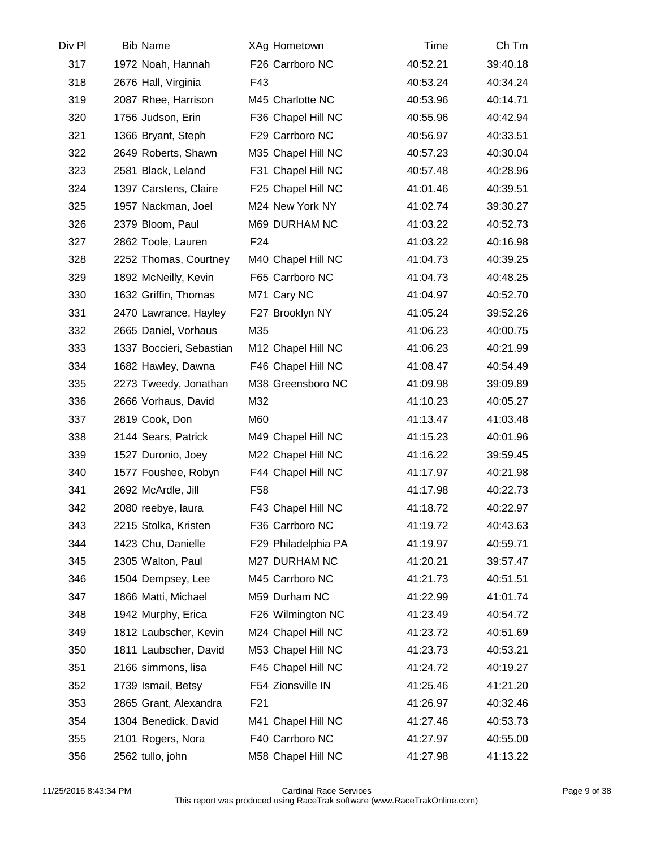| Div Pl | <b>Bib Name</b>          | XAg Hometown        | Time     | Ch Tm    |
|--------|--------------------------|---------------------|----------|----------|
| 317    | 1972 Noah, Hannah        | F26 Carrboro NC     | 40:52.21 | 39:40.18 |
| 318    | 2676 Hall, Virginia      | F43                 | 40:53.24 | 40:34.24 |
| 319    | 2087 Rhee, Harrison      | M45 Charlotte NC    | 40:53.96 | 40:14.71 |
| 320    | 1756 Judson, Erin        | F36 Chapel Hill NC  | 40:55.96 | 40:42.94 |
| 321    | 1366 Bryant, Steph       | F29 Carrboro NC     | 40:56.97 | 40:33.51 |
| 322    | 2649 Roberts, Shawn      | M35 Chapel Hill NC  | 40:57.23 | 40:30.04 |
| 323    | 2581 Black, Leland       | F31 Chapel Hill NC  | 40:57.48 | 40:28.96 |
| 324    | 1397 Carstens, Claire    | F25 Chapel Hill NC  | 41:01.46 | 40:39.51 |
| 325    | 1957 Nackman, Joel       | M24 New York NY     | 41:02.74 | 39:30.27 |
| 326    | 2379 Bloom, Paul         | M69 DURHAM NC       | 41:03.22 | 40:52.73 |
| 327    | 2862 Toole, Lauren       | F <sub>24</sub>     | 41:03.22 | 40:16.98 |
| 328    | 2252 Thomas, Courtney    | M40 Chapel Hill NC  | 41:04.73 | 40:39.25 |
| 329    | 1892 McNeilly, Kevin     | F65 Carrboro NC     | 41:04.73 | 40:48.25 |
| 330    | 1632 Griffin, Thomas     | M71 Cary NC         | 41:04.97 | 40:52.70 |
| 331    | 2470 Lawrance, Hayley    | F27 Brooklyn NY     | 41:05.24 | 39:52.26 |
| 332    | 2665 Daniel, Vorhaus     | M35                 | 41:06.23 | 40:00.75 |
| 333    | 1337 Boccieri, Sebastian | M12 Chapel Hill NC  | 41:06.23 | 40:21.99 |
| 334    | 1682 Hawley, Dawna       | F46 Chapel Hill NC  | 41:08.47 | 40:54.49 |
| 335    | 2273 Tweedy, Jonathan    | M38 Greensboro NC   | 41:09.98 | 39:09.89 |
| 336    | 2666 Vorhaus, David      | M32                 | 41:10.23 | 40:05.27 |
| 337    | 2819 Cook, Don           | M60                 | 41:13.47 | 41:03.48 |
| 338    | 2144 Sears, Patrick      | M49 Chapel Hill NC  | 41:15.23 | 40:01.96 |
| 339    | 1527 Duronio, Joey       | M22 Chapel Hill NC  | 41:16.22 | 39:59.45 |
| 340    | 1577 Foushee, Robyn      | F44 Chapel Hill NC  | 41:17.97 | 40:21.98 |
| 341    | 2692 McArdle, Jill       | F58                 | 41:17.98 | 40:22.73 |
| 342    | 2080 reebye, laura       | F43 Chapel Hill NC  | 41:18.72 | 40:22.97 |
| 343    | 2215 Stolka, Kristen     | F36 Carrboro NC     | 41:19.72 | 40:43.63 |
| 344    | 1423 Chu, Danielle       | F29 Philadelphia PA | 41:19.97 | 40:59.71 |
| 345    | 2305 Walton, Paul        | M27 DURHAM NC       | 41:20.21 | 39:57.47 |
| 346    | 1504 Dempsey, Lee        | M45 Carrboro NC     | 41:21.73 | 40:51.51 |
| 347    | 1866 Matti, Michael      | M59 Durham NC       | 41:22.99 | 41:01.74 |
| 348    | 1942 Murphy, Erica       | F26 Wilmington NC   | 41:23.49 | 40:54.72 |
| 349    | 1812 Laubscher, Kevin    | M24 Chapel Hill NC  | 41:23.72 | 40:51.69 |
| 350    | 1811 Laubscher, David    | M53 Chapel Hill NC  | 41:23.73 | 40:53.21 |
| 351    | 2166 simmons, lisa       | F45 Chapel Hill NC  | 41:24.72 | 40:19.27 |
| 352    | 1739 Ismail, Betsy       | F54 Zionsville IN   | 41:25.46 | 41:21.20 |
| 353    | 2865 Grant, Alexandra    | F <sub>21</sub>     | 41:26.97 | 40:32.46 |
| 354    | 1304 Benedick, David     | M41 Chapel Hill NC  | 41:27.46 | 40:53.73 |
| 355    | 2101 Rogers, Nora        | F40 Carrboro NC     | 41:27.97 | 40:55.00 |
| 356    | 2562 tullo, john         | M58 Chapel Hill NC  | 41:27.98 | 41:13.22 |
|        |                          |                     |          |          |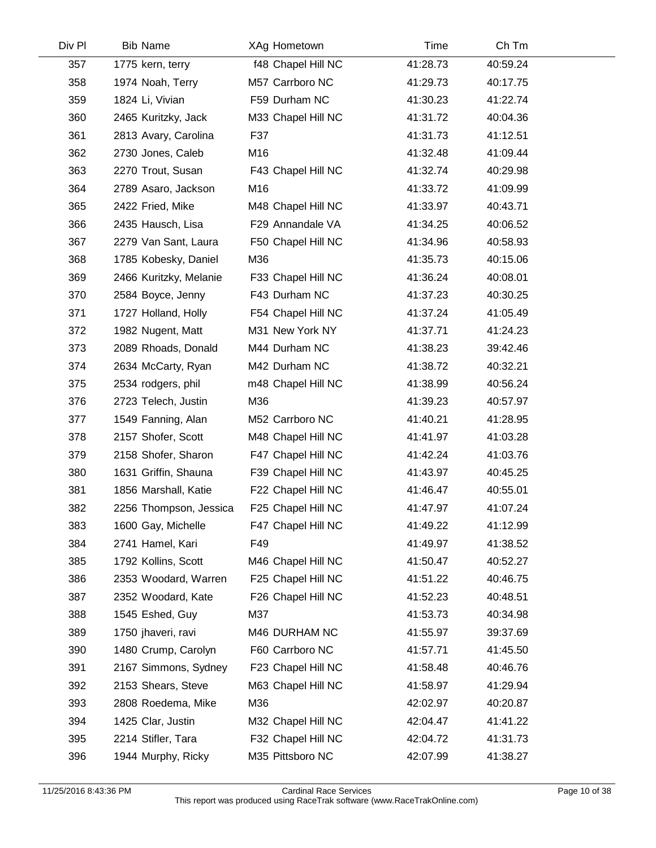| Div PI | <b>Bib Name</b>        | XAg Hometown       | Time     | Ch Tm    |  |
|--------|------------------------|--------------------|----------|----------|--|
| 357    | 1775 kern, terry       | f48 Chapel Hill NC | 41:28.73 | 40:59.24 |  |
| 358    | 1974 Noah, Terry       | M57 Carrboro NC    | 41:29.73 | 40:17.75 |  |
| 359    | 1824 Li, Vivian        | F59 Durham NC      | 41:30.23 | 41:22.74 |  |
| 360    | 2465 Kuritzky, Jack    | M33 Chapel Hill NC | 41:31.72 | 40:04.36 |  |
| 361    | 2813 Avary, Carolina   | F37                | 41:31.73 | 41:12.51 |  |
| 362    | 2730 Jones, Caleb      | M16                | 41:32.48 | 41:09.44 |  |
| 363    | 2270 Trout, Susan      | F43 Chapel Hill NC | 41:32.74 | 40:29.98 |  |
| 364    | 2789 Asaro, Jackson    | M16                | 41:33.72 | 41:09.99 |  |
| 365    | 2422 Fried, Mike       | M48 Chapel Hill NC | 41:33.97 | 40:43.71 |  |
| 366    | 2435 Hausch, Lisa      | F29 Annandale VA   | 41:34.25 | 40:06.52 |  |
| 367    | 2279 Van Sant, Laura   | F50 Chapel Hill NC | 41:34.96 | 40:58.93 |  |
| 368    | 1785 Kobesky, Daniel   | M36                | 41:35.73 | 40:15.06 |  |
| 369    | 2466 Kuritzky, Melanie | F33 Chapel Hill NC | 41:36.24 | 40:08.01 |  |
| 370    | 2584 Boyce, Jenny      | F43 Durham NC      | 41:37.23 | 40:30.25 |  |
| 371    | 1727 Holland, Holly    | F54 Chapel Hill NC | 41:37.24 | 41:05.49 |  |
| 372    | 1982 Nugent, Matt      | M31 New York NY    | 41:37.71 | 41:24.23 |  |
| 373    | 2089 Rhoads, Donald    | M44 Durham NC      | 41:38.23 | 39:42.46 |  |
| 374    | 2634 McCarty, Ryan     | M42 Durham NC      | 41:38.72 | 40:32.21 |  |
| 375    | 2534 rodgers, phil     | m48 Chapel Hill NC | 41:38.99 | 40:56.24 |  |
| 376    | 2723 Telech, Justin    | M36                | 41:39.23 | 40:57.97 |  |
| 377    | 1549 Fanning, Alan     | M52 Carrboro NC    | 41:40.21 | 41:28.95 |  |
| 378    | 2157 Shofer, Scott     | M48 Chapel Hill NC | 41:41.97 | 41:03.28 |  |
| 379    | 2158 Shofer, Sharon    | F47 Chapel Hill NC | 41:42.24 | 41:03.76 |  |
| 380    | 1631 Griffin, Shauna   | F39 Chapel Hill NC | 41:43.97 | 40:45.25 |  |
| 381    | 1856 Marshall, Katie   | F22 Chapel Hill NC | 41:46.47 | 40:55.01 |  |
| 382    | 2256 Thompson, Jessica | F25 Chapel Hill NC | 41:47.97 | 41:07.24 |  |
| 383    | 1600 Gay, Michelle     | F47 Chapel Hill NC | 41:49.22 | 41:12.99 |  |
| 384    | 2741 Hamel, Kari       | F49                | 41:49.97 | 41:38.52 |  |
| 385    | 1792 Kollins, Scott    | M46 Chapel Hill NC | 41:50.47 | 40:52.27 |  |
| 386    | 2353 Woodard, Warren   | F25 Chapel Hill NC | 41:51.22 | 40:46.75 |  |
| 387    | 2352 Woodard, Kate     | F26 Chapel Hill NC | 41:52.23 | 40:48.51 |  |
| 388    | 1545 Eshed, Guy        | M37                | 41:53.73 | 40:34.98 |  |
| 389    | 1750 jhaveri, ravi     | M46 DURHAM NC      | 41:55.97 | 39:37.69 |  |
| 390    | 1480 Crump, Carolyn    | F60 Carrboro NC    | 41:57.71 | 41:45.50 |  |
| 391    | 2167 Simmons, Sydney   | F23 Chapel Hill NC | 41:58.48 | 40:46.76 |  |
| 392    | 2153 Shears, Steve     | M63 Chapel Hill NC | 41:58.97 | 41:29.94 |  |
| 393    | 2808 Roedema, Mike     | M36                | 42:02.97 | 40:20.87 |  |
| 394    | 1425 Clar, Justin      | M32 Chapel Hill NC | 42:04.47 | 41:41.22 |  |
| 395    | 2214 Stifler, Tara     | F32 Chapel Hill NC | 42:04.72 | 41:31.73 |  |
| 396    | 1944 Murphy, Ricky     | M35 Pittsboro NC   | 42:07.99 | 41:38.27 |  |
|        |                        |                    |          |          |  |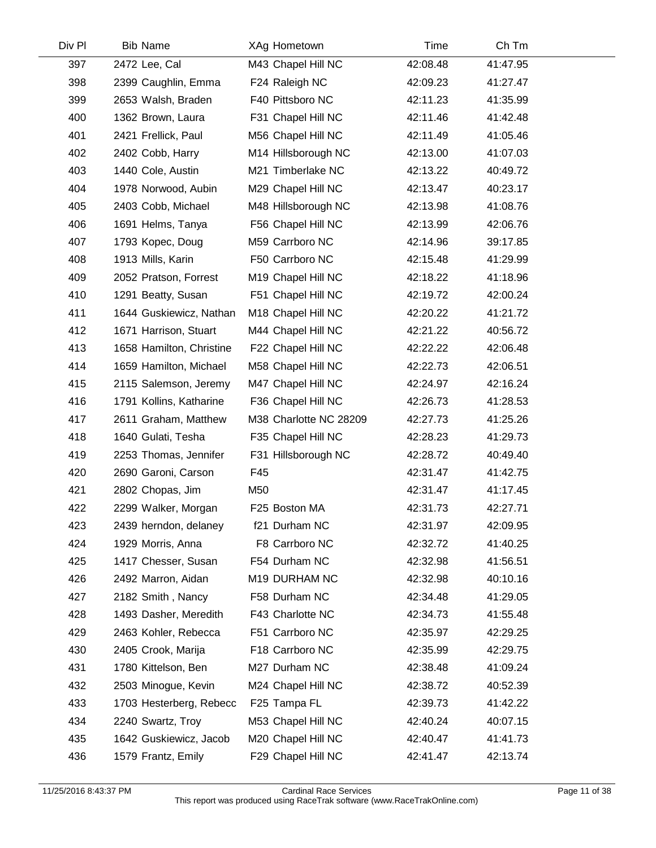| Div Pl | <b>Bib Name</b>          | XAg Hometown           | Time     | Ch Tm    |  |
|--------|--------------------------|------------------------|----------|----------|--|
| 397    | 2472 Lee, Cal            | M43 Chapel Hill NC     | 42:08.48 | 41:47.95 |  |
| 398    | 2399 Caughlin, Emma      | F24 Raleigh NC         | 42:09.23 | 41:27.47 |  |
| 399    | 2653 Walsh, Braden       | F40 Pittsboro NC       | 42:11.23 | 41:35.99 |  |
| 400    | 1362 Brown, Laura        | F31 Chapel Hill NC     | 42:11.46 | 41:42.48 |  |
| 401    | 2421 Frellick, Paul      | M56 Chapel Hill NC     | 42:11.49 | 41:05.46 |  |
| 402    | 2402 Cobb, Harry         | M14 Hillsborough NC    | 42:13.00 | 41:07.03 |  |
| 403    | 1440 Cole, Austin        | M21 Timberlake NC      | 42:13.22 | 40:49.72 |  |
| 404    | 1978 Norwood, Aubin      | M29 Chapel Hill NC     | 42:13.47 | 40:23.17 |  |
| 405    | 2403 Cobb, Michael       | M48 Hillsborough NC    | 42:13.98 | 41:08.76 |  |
| 406    | 1691 Helms, Tanya        | F56 Chapel Hill NC     | 42:13.99 | 42:06.76 |  |
| 407    | 1793 Kopec, Doug         | M59 Carrboro NC        | 42:14.96 | 39:17.85 |  |
| 408    | 1913 Mills, Karin        | F50 Carrboro NC        | 42:15.48 | 41:29.99 |  |
| 409    | 2052 Pratson, Forrest    | M19 Chapel Hill NC     | 42:18.22 | 41:18.96 |  |
| 410    | 1291 Beatty, Susan       | F51 Chapel Hill NC     | 42:19.72 | 42:00.24 |  |
| 411    | 1644 Guskiewicz, Nathan  | M18 Chapel Hill NC     | 42:20.22 | 41:21.72 |  |
| 412    | 1671 Harrison, Stuart    | M44 Chapel Hill NC     | 42:21.22 | 40:56.72 |  |
| 413    | 1658 Hamilton, Christine | F22 Chapel Hill NC     | 42:22.22 | 42:06.48 |  |
| 414    | 1659 Hamilton, Michael   | M58 Chapel Hill NC     | 42:22.73 | 42:06.51 |  |
| 415    | 2115 Salemson, Jeremy    | M47 Chapel Hill NC     | 42:24.97 | 42:16.24 |  |
| 416    | 1791 Kollins, Katharine  | F36 Chapel Hill NC     | 42:26.73 | 41:28.53 |  |
| 417    | 2611 Graham, Matthew     | M38 Charlotte NC 28209 | 42:27.73 | 41:25.26 |  |
| 418    | 1640 Gulati, Tesha       | F35 Chapel Hill NC     | 42:28.23 | 41:29.73 |  |
| 419    | 2253 Thomas, Jennifer    | F31 Hillsborough NC    | 42:28.72 | 40:49.40 |  |
| 420    | 2690 Garoni, Carson      | F45                    | 42:31.47 | 41:42.75 |  |
| 421    | 2802 Chopas, Jim         | M50                    | 42:31.47 | 41:17.45 |  |
| 422    | 2299 Walker, Morgan      | F25 Boston MA          | 42:31.73 | 42:27.71 |  |
| 423    | 2439 herndon, delaney    | f21 Durham NC          | 42:31.97 | 42:09.95 |  |
| 424    | 1929 Morris, Anna        | F8 Carrboro NC         | 42:32.72 | 41:40.25 |  |
| 425    | 1417 Chesser, Susan      | F54 Durham NC          | 42:32.98 | 41:56.51 |  |
| 426    | 2492 Marron, Aidan       | M19 DURHAM NC          | 42:32.98 | 40:10.16 |  |
| 427    | 2182 Smith, Nancy        | F58 Durham NC          | 42:34.48 | 41:29.05 |  |
| 428    | 1493 Dasher, Meredith    | F43 Charlotte NC       | 42:34.73 | 41:55.48 |  |
| 429    | 2463 Kohler, Rebecca     | F51 Carrboro NC        | 42:35.97 | 42:29.25 |  |
| 430    | 2405 Crook, Marija       | F18 Carrboro NC        | 42:35.99 | 42:29.75 |  |
| 431    | 1780 Kittelson, Ben      | M27 Durham NC          | 42:38.48 | 41:09.24 |  |
| 432    | 2503 Minogue, Kevin      | M24 Chapel Hill NC     | 42:38.72 | 40:52.39 |  |
| 433    | 1703 Hesterberg, Rebecc  | F25 Tampa FL           | 42:39.73 | 41:42.22 |  |
| 434    | 2240 Swartz, Troy        | M53 Chapel Hill NC     | 42:40.24 | 40:07.15 |  |
| 435    | 1642 Guskiewicz, Jacob   | M20 Chapel Hill NC     | 42:40.47 | 41:41.73 |  |
| 436    | 1579 Frantz, Emily       | F29 Chapel Hill NC     | 42:41.47 | 42:13.74 |  |
|        |                          |                        |          |          |  |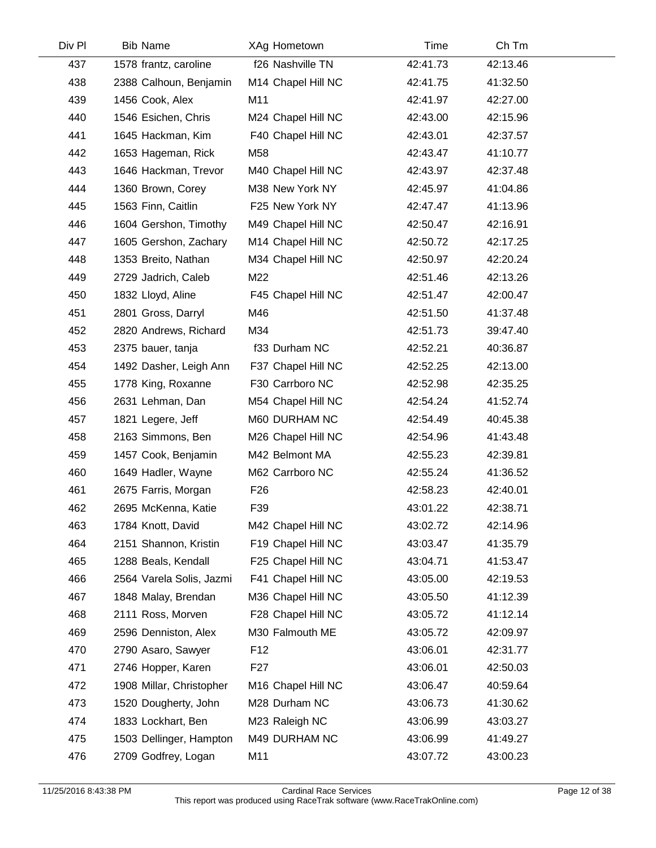| Div Pl | <b>Bib Name</b>          | XAg Hometown       | Time     | Ch Tm    |  |
|--------|--------------------------|--------------------|----------|----------|--|
| 437    | 1578 frantz, caroline    | f26 Nashville TN   | 42:41.73 | 42:13.46 |  |
| 438    | 2388 Calhoun, Benjamin   | M14 Chapel Hill NC | 42:41.75 | 41:32.50 |  |
| 439    | 1456 Cook, Alex          | M11                | 42:41.97 | 42:27.00 |  |
| 440    | 1546 Esichen, Chris      | M24 Chapel Hill NC | 42:43.00 | 42:15.96 |  |
| 441    | 1645 Hackman, Kim        | F40 Chapel Hill NC | 42:43.01 | 42:37.57 |  |
| 442    | 1653 Hageman, Rick       | M58                | 42:43.47 | 41:10.77 |  |
| 443    | 1646 Hackman, Trevor     | M40 Chapel Hill NC | 42:43.97 | 42:37.48 |  |
| 444    | 1360 Brown, Corey        | M38 New York NY    | 42:45.97 | 41:04.86 |  |
| 445    | 1563 Finn, Caitlin       | F25 New York NY    | 42:47.47 | 41:13.96 |  |
| 446    | 1604 Gershon, Timothy    | M49 Chapel Hill NC | 42:50.47 | 42:16.91 |  |
| 447    | 1605 Gershon, Zachary    | M14 Chapel Hill NC | 42:50.72 | 42:17.25 |  |
| 448    | 1353 Breito, Nathan      | M34 Chapel Hill NC | 42:50.97 | 42:20.24 |  |
| 449    | 2729 Jadrich, Caleb      | M22                | 42:51.46 | 42:13.26 |  |
| 450    | 1832 Lloyd, Aline        | F45 Chapel Hill NC | 42:51.47 | 42:00.47 |  |
| 451    | 2801 Gross, Darryl       | M46                | 42:51.50 | 41:37.48 |  |
| 452    | 2820 Andrews, Richard    | M34                | 42:51.73 | 39:47.40 |  |
| 453    | 2375 bauer, tanja        | f33 Durham NC      | 42:52.21 | 40:36.87 |  |
| 454    | 1492 Dasher, Leigh Ann   | F37 Chapel Hill NC | 42:52.25 | 42:13.00 |  |
| 455    | 1778 King, Roxanne       | F30 Carrboro NC    | 42:52.98 | 42:35.25 |  |
| 456    | 2631 Lehman, Dan         | M54 Chapel Hill NC | 42:54.24 | 41:52.74 |  |
| 457    | 1821 Legere, Jeff        | M60 DURHAM NC      | 42:54.49 | 40:45.38 |  |
| 458    | 2163 Simmons, Ben        | M26 Chapel Hill NC | 42:54.96 | 41:43.48 |  |
| 459    | 1457 Cook, Benjamin      | M42 Belmont MA     | 42:55.23 | 42:39.81 |  |
| 460    | 1649 Hadler, Wayne       | M62 Carrboro NC    | 42:55.24 | 41:36.52 |  |
| 461    | 2675 Farris, Morgan      | F <sub>26</sub>    | 42:58.23 | 42:40.01 |  |
| 462    | 2695 McKenna, Katie      | F39                | 43:01.22 | 42:38.71 |  |
| 463    | 1784 Knott, David        | M42 Chapel Hill NC | 43:02.72 | 42:14.96 |  |
| 464    | 2151 Shannon, Kristin    | F19 Chapel Hill NC | 43:03.47 | 41:35.79 |  |
| 465    | 1288 Beals, Kendall      | F25 Chapel Hill NC | 43:04.71 | 41:53.47 |  |
| 466    | 2564 Varela Solis, Jazmi | F41 Chapel Hill NC | 43:05.00 | 42:19.53 |  |
| 467    | 1848 Malay, Brendan      | M36 Chapel Hill NC | 43:05.50 | 41:12.39 |  |
| 468    | 2111 Ross, Morven        | F28 Chapel Hill NC | 43:05.72 | 41:12.14 |  |
| 469    | 2596 Denniston, Alex     | M30 Falmouth ME    | 43:05.72 | 42:09.97 |  |
| 470    | 2790 Asaro, Sawyer       | F <sub>12</sub>    | 43:06.01 | 42:31.77 |  |
| 471    | 2746 Hopper, Karen       | F <sub>27</sub>    | 43:06.01 | 42:50.03 |  |
| 472    | 1908 Millar, Christopher | M16 Chapel Hill NC | 43:06.47 | 40:59.64 |  |
| 473    | 1520 Dougherty, John     | M28 Durham NC      | 43:06.73 | 41:30.62 |  |
| 474    | 1833 Lockhart, Ben       | M23 Raleigh NC     | 43:06.99 | 43:03.27 |  |
| 475    | 1503 Dellinger, Hampton  | M49 DURHAM NC      | 43:06.99 | 41:49.27 |  |
| 476    | 2709 Godfrey, Logan      | M11                | 43:07.72 | 43:00.23 |  |
|        |                          |                    |          |          |  |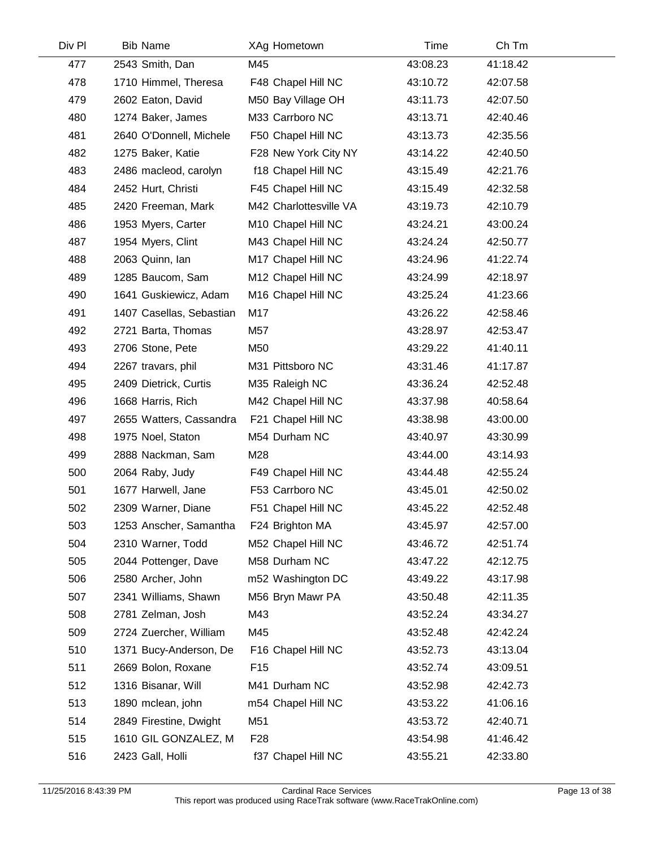| Div Pl | <b>Bib Name</b>          | XAg Hometown           | Time     | Ch Tm    |
|--------|--------------------------|------------------------|----------|----------|
| 477    | 2543 Smith, Dan          | M45                    | 43:08.23 | 41:18.42 |
| 478    | 1710 Himmel, Theresa     | F48 Chapel Hill NC     | 43:10.72 | 42:07.58 |
| 479    | 2602 Eaton, David        | M50 Bay Village OH     | 43:11.73 | 42:07.50 |
| 480    | 1274 Baker, James        | M33 Carrboro NC        | 43:13.71 | 42:40.46 |
| 481    | 2640 O'Donnell, Michele  | F50 Chapel Hill NC     | 43:13.73 | 42:35.56 |
| 482    | 1275 Baker, Katie        | F28 New York City NY   | 43:14.22 | 42:40.50 |
| 483    | 2486 macleod, carolyn    | f18 Chapel Hill NC     | 43:15.49 | 42:21.76 |
| 484    | 2452 Hurt, Christi       | F45 Chapel Hill NC     | 43:15.49 | 42:32.58 |
| 485    | 2420 Freeman, Mark       | M42 Charlottesville VA | 43:19.73 | 42:10.79 |
| 486    | 1953 Myers, Carter       | M10 Chapel Hill NC     | 43:24.21 | 43:00.24 |
| 487    | 1954 Myers, Clint        | M43 Chapel Hill NC     | 43:24.24 | 42:50.77 |
| 488    | 2063 Quinn, Ian          | M17 Chapel Hill NC     | 43:24.96 | 41:22.74 |
| 489    | 1285 Baucom, Sam         | M12 Chapel Hill NC     | 43:24.99 | 42:18.97 |
| 490    | 1641 Guskiewicz, Adam    | M16 Chapel Hill NC     | 43:25.24 | 41:23.66 |
| 491    | 1407 Casellas, Sebastian | M17                    | 43:26.22 | 42:58.46 |
| 492    | 2721 Barta, Thomas       | M57                    | 43:28.97 | 42:53.47 |
| 493    | 2706 Stone, Pete         | M50                    | 43:29.22 | 41:40.11 |
| 494    | 2267 travars, phil       | M31 Pittsboro NC       | 43:31.46 | 41:17.87 |
| 495    | 2409 Dietrick, Curtis    | M35 Raleigh NC         | 43:36.24 | 42:52.48 |
| 496    | 1668 Harris, Rich        | M42 Chapel Hill NC     | 43:37.98 | 40:58.64 |
| 497    | 2655 Watters, Cassandra  | F21 Chapel Hill NC     | 43:38.98 | 43:00.00 |
| 498    | 1975 Noel, Staton        | M54 Durham NC          | 43:40.97 | 43:30.99 |
| 499    | 2888 Nackman, Sam        | M28                    | 43:44.00 | 43:14.93 |
| 500    | 2064 Raby, Judy          | F49 Chapel Hill NC     | 43:44.48 | 42:55.24 |
| 501    | 1677 Harwell, Jane       | F53 Carrboro NC        | 43:45.01 | 42:50.02 |
| 502    | 2309 Warner, Diane       | F51 Chapel Hill NC     | 43:45.22 | 42:52.48 |
| 503    | 1253 Anscher, Samantha   | F24 Brighton MA        | 43:45.97 | 42:57.00 |
| 504    | 2310 Warner, Todd        | M52 Chapel Hill NC     | 43:46.72 | 42:51.74 |
| 505    | 2044 Pottenger, Dave     | M58 Durham NC          | 43:47.22 | 42:12.75 |
| 506    | 2580 Archer, John        | m52 Washington DC      | 43:49.22 | 43:17.98 |
| 507    | 2341 Williams, Shawn     | M56 Bryn Mawr PA       | 43:50.48 | 42:11.35 |
| 508    | 2781 Zelman, Josh        | M43                    | 43:52.24 | 43:34.27 |
| 509    | 2724 Zuercher, William   | M45                    | 43:52.48 | 42:42.24 |
| 510    | 1371 Bucy-Anderson, De   | F16 Chapel Hill NC     | 43:52.73 | 43:13.04 |
| 511    | 2669 Bolon, Roxane       | F <sub>15</sub>        | 43:52.74 | 43:09.51 |
| 512    | 1316 Bisanar, Will       | M41 Durham NC          | 43:52.98 | 42:42.73 |
| 513    | 1890 mclean, john        | m54 Chapel Hill NC     | 43:53.22 | 41:06.16 |
| 514    | 2849 Firestine, Dwight   | M51                    | 43:53.72 | 42:40.71 |
| 515    | 1610 GIL GONZALEZ, M     | F <sub>28</sub>        | 43:54.98 | 41:46.42 |
| 516    | 2423 Gall, Holli         | f37 Chapel Hill NC     | 43:55.21 | 42:33.80 |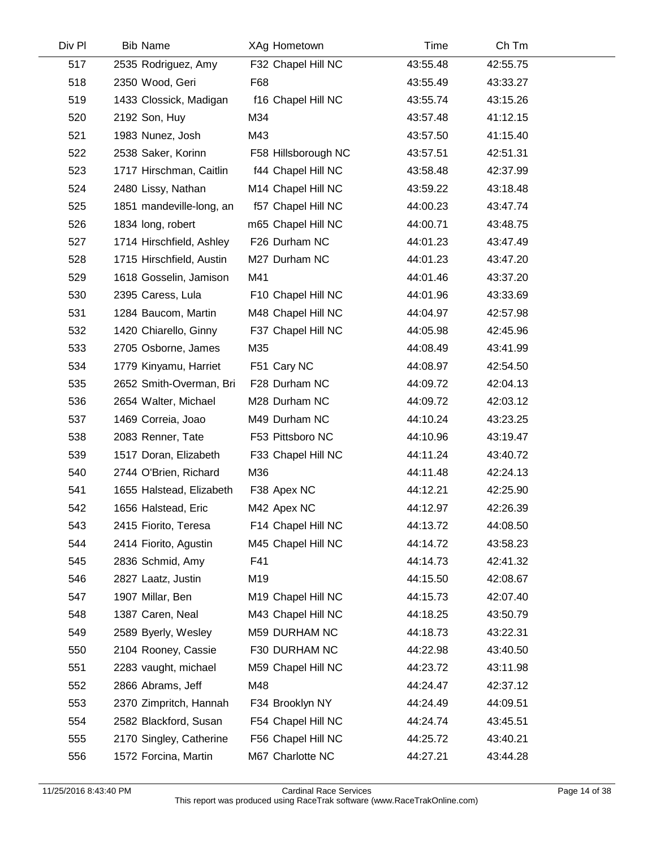| Div Pl | <b>Bib Name</b>          | XAg Hometown        | Time     | Ch Tm    |  |
|--------|--------------------------|---------------------|----------|----------|--|
| 517    | 2535 Rodriguez, Amy      | F32 Chapel Hill NC  | 43:55.48 | 42:55.75 |  |
| 518    | 2350 Wood, Geri          | F68                 | 43:55.49 | 43:33.27 |  |
| 519    | 1433 Clossick, Madigan   | f16 Chapel Hill NC  | 43:55.74 | 43:15.26 |  |
| 520    | 2192 Son, Huy            | M34                 | 43:57.48 | 41:12.15 |  |
| 521    | 1983 Nunez, Josh         | M43                 | 43:57.50 | 41:15.40 |  |
| 522    | 2538 Saker, Korinn       | F58 Hillsborough NC | 43:57.51 | 42:51.31 |  |
| 523    | 1717 Hirschman, Caitlin  | f44 Chapel Hill NC  | 43:58.48 | 42:37.99 |  |
| 524    | 2480 Lissy, Nathan       | M14 Chapel Hill NC  | 43:59.22 | 43:18.48 |  |
| 525    | 1851 mandeville-long, an | f57 Chapel Hill NC  | 44:00.23 | 43:47.74 |  |
| 526    | 1834 long, robert        | m65 Chapel Hill NC  | 44:00.71 | 43:48.75 |  |
| 527    | 1714 Hirschfield, Ashley | F26 Durham NC       | 44:01.23 | 43:47.49 |  |
| 528    | 1715 Hirschfield, Austin | M27 Durham NC       | 44:01.23 | 43:47.20 |  |
| 529    | 1618 Gosselin, Jamison   | M41                 | 44:01.46 | 43:37.20 |  |
| 530    | 2395 Caress, Lula        | F10 Chapel Hill NC  | 44:01.96 | 43:33.69 |  |
| 531    | 1284 Baucom, Martin      | M48 Chapel Hill NC  | 44:04.97 | 42:57.98 |  |
| 532    | 1420 Chiarello, Ginny    | F37 Chapel Hill NC  | 44:05.98 | 42:45.96 |  |
| 533    | 2705 Osborne, James      | M35                 | 44:08.49 | 43:41.99 |  |
| 534    | 1779 Kinyamu, Harriet    | F51 Cary NC         | 44:08.97 | 42:54.50 |  |
| 535    | 2652 Smith-Overman, Bri  | F28 Durham NC       | 44:09.72 | 42:04.13 |  |
| 536    | 2654 Walter, Michael     | M28 Durham NC       | 44:09.72 | 42:03.12 |  |
| 537    | 1469 Correia, Joao       | M49 Durham NC       | 44:10.24 | 43:23.25 |  |
| 538    | 2083 Renner, Tate        | F53 Pittsboro NC    | 44:10.96 | 43:19.47 |  |
| 539    | 1517 Doran, Elizabeth    | F33 Chapel Hill NC  | 44:11.24 | 43:40.72 |  |
| 540    | 2744 O'Brien, Richard    | M36                 | 44:11.48 | 42:24.13 |  |
| 541    | 1655 Halstead, Elizabeth | F38 Apex NC         | 44:12.21 | 42:25.90 |  |
| 542    | 1656 Halstead, Eric      | M42 Apex NC         | 44:12.97 | 42:26.39 |  |
| 543    | 2415 Fiorito, Teresa     | F14 Chapel Hill NC  | 44:13.72 | 44:08.50 |  |
| 544    | 2414 Fiorito, Agustin    | M45 Chapel Hill NC  | 44:14.72 | 43:58.23 |  |
| 545    | 2836 Schmid, Amy         | F41                 | 44:14.73 | 42:41.32 |  |
| 546    | 2827 Laatz, Justin       | M19                 | 44:15.50 | 42:08.67 |  |
| 547    | 1907 Millar, Ben         | M19 Chapel Hill NC  | 44:15.73 | 42:07.40 |  |
| 548    | 1387 Caren, Neal         | M43 Chapel Hill NC  | 44:18.25 | 43:50.79 |  |
| 549    | 2589 Byerly, Wesley      | M59 DURHAM NC       | 44:18.73 | 43:22.31 |  |
| 550    | 2104 Rooney, Cassie      | F30 DURHAM NC       | 44:22.98 | 43:40.50 |  |
| 551    | 2283 vaught, michael     | M59 Chapel Hill NC  | 44:23.72 | 43:11.98 |  |
| 552    | 2866 Abrams, Jeff        | M48                 | 44:24.47 | 42:37.12 |  |
| 553    | 2370 Zimpritch, Hannah   | F34 Brooklyn NY     | 44:24.49 | 44:09.51 |  |
| 554    | 2582 Blackford, Susan    | F54 Chapel Hill NC  | 44:24.74 | 43:45.51 |  |
| 555    | 2170 Singley, Catherine  | F56 Chapel Hill NC  | 44:25.72 | 43:40.21 |  |
| 556    | 1572 Forcina, Martin     | M67 Charlotte NC    | 44:27.21 | 43:44.28 |  |
|        |                          |                     |          |          |  |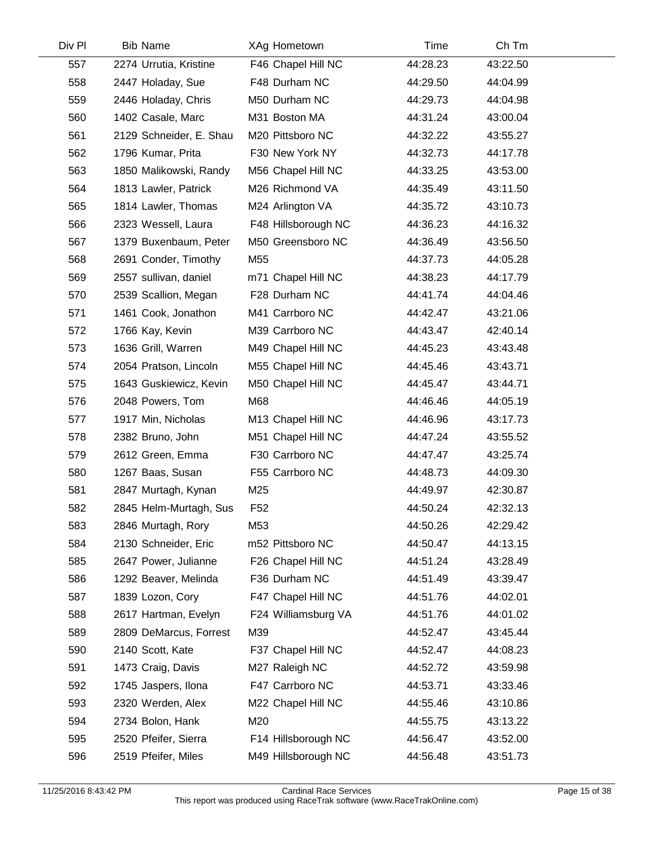| Div Pl | <b>Bib Name</b>         | XAg Hometown        | Time     | Ch Tm    |  |
|--------|-------------------------|---------------------|----------|----------|--|
| 557    | 2274 Urrutia, Kristine  | F46 Chapel Hill NC  | 44:28.23 | 43:22.50 |  |
| 558    | 2447 Holaday, Sue       | F48 Durham NC       | 44:29.50 | 44:04.99 |  |
| 559    | 2446 Holaday, Chris     | M50 Durham NC       | 44:29.73 | 44:04.98 |  |
| 560    | 1402 Casale, Marc       | M31 Boston MA       | 44:31.24 | 43:00.04 |  |
| 561    | 2129 Schneider, E. Shau | M20 Pittsboro NC    | 44:32.22 | 43:55.27 |  |
| 562    | 1796 Kumar, Prita       | F30 New York NY     | 44:32.73 | 44:17.78 |  |
| 563    | 1850 Malikowski, Randy  | M56 Chapel Hill NC  | 44:33.25 | 43:53.00 |  |
| 564    | 1813 Lawler, Patrick    | M26 Richmond VA     | 44:35.49 | 43:11.50 |  |
| 565    | 1814 Lawler, Thomas     | M24 Arlington VA    | 44:35.72 | 43:10.73 |  |
| 566    | 2323 Wessell, Laura     | F48 Hillsborough NC | 44:36.23 | 44:16.32 |  |
| 567    | 1379 Buxenbaum, Peter   | M50 Greensboro NC   | 44:36.49 | 43:56.50 |  |
| 568    | 2691 Conder, Timothy    | M55                 | 44:37.73 | 44:05.28 |  |
| 569    | 2557 sullivan, daniel   | m71 Chapel Hill NC  | 44:38.23 | 44:17.79 |  |
| 570    | 2539 Scallion, Megan    | F28 Durham NC       | 44:41.74 | 44:04.46 |  |
| 571    | 1461 Cook, Jonathon     | M41 Carrboro NC     | 44:42.47 | 43:21.06 |  |
| 572    | 1766 Kay, Kevin         | M39 Carrboro NC     | 44:43.47 | 42:40.14 |  |
| 573    | 1636 Grill, Warren      | M49 Chapel Hill NC  | 44:45.23 | 43:43.48 |  |
| 574    | 2054 Pratson, Lincoln   | M55 Chapel Hill NC  | 44:45.46 | 43:43.71 |  |
| 575    | 1643 Guskiewicz, Kevin  | M50 Chapel Hill NC  | 44:45.47 | 43:44.71 |  |
| 576    | 2048 Powers, Tom        | M68                 | 44:46.46 | 44:05.19 |  |
| 577    | 1917 Min, Nicholas      | M13 Chapel Hill NC  | 44:46.96 | 43:17.73 |  |
| 578    | 2382 Bruno, John        | M51 Chapel Hill NC  | 44:47.24 | 43:55.52 |  |
| 579    | 2612 Green, Emma        | F30 Carrboro NC     | 44:47.47 | 43:25.74 |  |
| 580    | 1267 Baas, Susan        | F55 Carrboro NC     | 44:48.73 | 44:09.30 |  |
| 581    | 2847 Murtagh, Kynan     | M25                 | 44:49.97 | 42:30.87 |  |
| 582    | 2845 Helm-Murtagh, Sus  | F <sub>52</sub>     | 44:50.24 | 42:32.13 |  |
| 583    | 2846 Murtagh, Rory      | M53                 | 44:50.26 | 42:29.42 |  |
| 584    | 2130 Schneider, Eric    | m52 Pittsboro NC    | 44:50.47 | 44:13.15 |  |
| 585    | 2647 Power, Julianne    | F26 Chapel Hill NC  | 44:51.24 | 43:28.49 |  |
| 586    | 1292 Beaver, Melinda    | F36 Durham NC       | 44:51.49 | 43:39.47 |  |
| 587    | 1839 Lozon, Cory        | F47 Chapel Hill NC  | 44:51.76 | 44:02.01 |  |
| 588    | 2617 Hartman, Evelyn    | F24 Williamsburg VA | 44:51.76 | 44:01.02 |  |
| 589    | 2809 DeMarcus, Forrest  | M39                 | 44:52.47 | 43:45.44 |  |
| 590    | 2140 Scott, Kate        | F37 Chapel Hill NC  | 44:52.47 | 44:08.23 |  |
| 591    | 1473 Craig, Davis       | M27 Raleigh NC      | 44:52.72 | 43:59.98 |  |
| 592    | 1745 Jaspers, Ilona     | F47 Carrboro NC     | 44:53.71 | 43:33.46 |  |
| 593    | 2320 Werden, Alex       | M22 Chapel Hill NC  | 44:55.46 | 43:10.86 |  |
| 594    | 2734 Bolon, Hank        | M20                 | 44:55.75 | 43:13.22 |  |
| 595    | 2520 Pfeifer, Sierra    | F14 Hillsborough NC | 44:56.47 | 43:52.00 |  |
| 596    | 2519 Pfeifer, Miles     | M49 Hillsborough NC | 44:56.48 | 43:51.73 |  |
|        |                         |                     |          |          |  |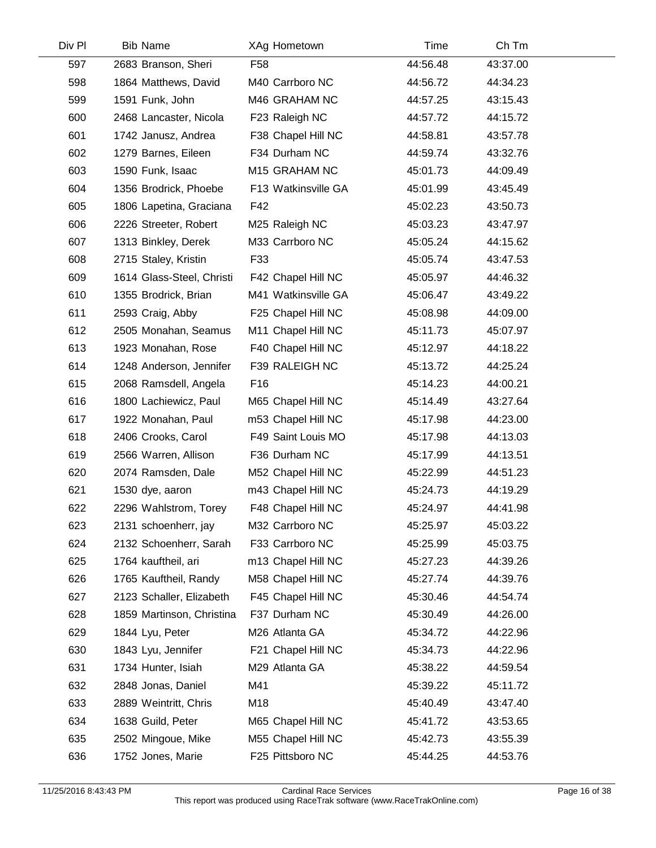| Div Pl | <b>Bib Name</b>           | XAg Hometown        | Time     | Ch Tm    |  |
|--------|---------------------------|---------------------|----------|----------|--|
| 597    | 2683 Branson, Sheri       | F <sub>58</sub>     | 44:56.48 | 43:37.00 |  |
| 598    | 1864 Matthews, David      | M40 Carrboro NC     | 44:56.72 | 44:34.23 |  |
| 599    | 1591 Funk, John           | M46 GRAHAM NC       | 44:57.25 | 43:15.43 |  |
| 600    | 2468 Lancaster, Nicola    | F23 Raleigh NC      | 44:57.72 | 44:15.72 |  |
| 601    | 1742 Janusz, Andrea       | F38 Chapel Hill NC  | 44:58.81 | 43:57.78 |  |
| 602    | 1279 Barnes, Eileen       | F34 Durham NC       | 44:59.74 | 43:32.76 |  |
| 603    | 1590 Funk, Isaac          | M15 GRAHAM NC       | 45:01.73 | 44:09.49 |  |
| 604    | 1356 Brodrick, Phoebe     | F13 Watkinsville GA | 45:01.99 | 43:45.49 |  |
| 605    | 1806 Lapetina, Graciana   | F42                 | 45:02.23 | 43:50.73 |  |
| 606    | 2226 Streeter, Robert     | M25 Raleigh NC      | 45:03.23 | 43:47.97 |  |
| 607    | 1313 Binkley, Derek       | M33 Carrboro NC     | 45:05.24 | 44:15.62 |  |
| 608    | 2715 Staley, Kristin      | F33                 | 45:05.74 | 43:47.53 |  |
| 609    | 1614 Glass-Steel, Christi | F42 Chapel Hill NC  | 45:05.97 | 44:46.32 |  |
| 610    | 1355 Brodrick, Brian      | M41 Watkinsville GA | 45:06.47 | 43:49.22 |  |
| 611    | 2593 Craig, Abby          | F25 Chapel Hill NC  | 45:08.98 | 44:09.00 |  |
| 612    | 2505 Monahan, Seamus      | M11 Chapel Hill NC  | 45:11.73 | 45:07.97 |  |
| 613    | 1923 Monahan, Rose        | F40 Chapel Hill NC  | 45:12.97 | 44:18.22 |  |
| 614    | 1248 Anderson, Jennifer   | F39 RALEIGH NC      | 45:13.72 | 44:25.24 |  |
| 615    | 2068 Ramsdell, Angela     | F16                 | 45:14.23 | 44:00.21 |  |
| 616    | 1800 Lachiewicz, Paul     | M65 Chapel Hill NC  | 45:14.49 | 43:27.64 |  |
| 617    | 1922 Monahan, Paul        | m53 Chapel Hill NC  | 45:17.98 | 44:23.00 |  |
| 618    | 2406 Crooks, Carol        | F49 Saint Louis MO  | 45:17.98 | 44:13.03 |  |
| 619    | 2566 Warren, Allison      | F36 Durham NC       | 45:17.99 | 44:13.51 |  |
| 620    | 2074 Ramsden, Dale        | M52 Chapel Hill NC  | 45:22.99 | 44:51.23 |  |
| 621    | 1530 dye, aaron           | m43 Chapel Hill NC  | 45:24.73 | 44:19.29 |  |
| 622    | 2296 Wahlstrom, Torey     | F48 Chapel Hill NC  | 45:24.97 | 44:41.98 |  |
| 623    | 2131 schoenherr, jay      | M32 Carrboro NC     | 45:25.97 | 45:03.22 |  |
| 624    | 2132 Schoenherr, Sarah    | F33 Carrboro NC     | 45:25.99 | 45:03.75 |  |
| 625    | 1764 kauftheil, ari       | m13 Chapel Hill NC  | 45:27.23 | 44:39.26 |  |
| 626    | 1765 Kauftheil, Randy     | M58 Chapel Hill NC  | 45:27.74 | 44:39.76 |  |
| 627    | 2123 Schaller, Elizabeth  | F45 Chapel Hill NC  | 45:30.46 | 44:54.74 |  |
| 628    | 1859 Martinson, Christina | F37 Durham NC       | 45:30.49 | 44:26.00 |  |
| 629    | 1844 Lyu, Peter           | M26 Atlanta GA      | 45:34.72 | 44:22.96 |  |
| 630    | 1843 Lyu, Jennifer        | F21 Chapel Hill NC  | 45:34.73 | 44:22.96 |  |
| 631    | 1734 Hunter, Isiah        | M29 Atlanta GA      | 45:38.22 | 44:59.54 |  |
| 632    | 2848 Jonas, Daniel        | M41                 | 45:39.22 | 45:11.72 |  |
| 633    | 2889 Weintritt, Chris     | M18                 | 45:40.49 | 43:47.40 |  |
| 634    | 1638 Guild, Peter         | M65 Chapel Hill NC  | 45:41.72 | 43:53.65 |  |
| 635    | 2502 Mingoue, Mike        | M55 Chapel Hill NC  | 45:42.73 | 43:55.39 |  |
| 636    | 1752 Jones, Marie         | F25 Pittsboro NC    | 45:44.25 | 44:53.76 |  |
|        |                           |                     |          |          |  |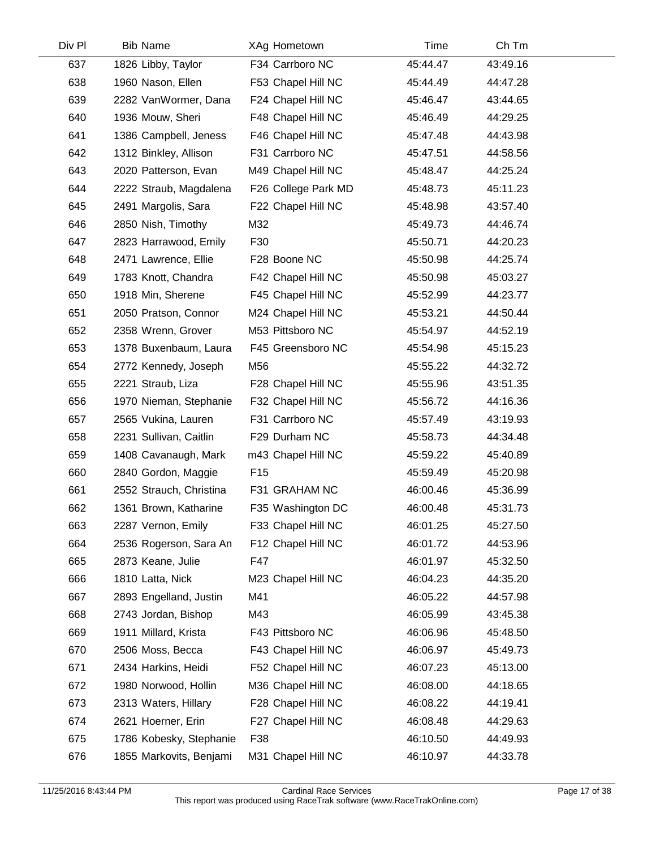|                         |                     |          | Ch Tm    |  |
|-------------------------|---------------------|----------|----------|--|
| 1826 Libby, Taylor      | F34 Carrboro NC     | 45:44.47 | 43:49.16 |  |
| 1960 Nason, Ellen       | F53 Chapel Hill NC  | 45:44.49 | 44:47.28 |  |
| 2282 VanWormer, Dana    | F24 Chapel Hill NC  | 45:46.47 | 43:44.65 |  |
| 1936 Mouw, Sheri        | F48 Chapel Hill NC  | 45:46.49 | 44:29.25 |  |
| 1386 Campbell, Jeness   | F46 Chapel Hill NC  | 45:47.48 | 44:43.98 |  |
| 1312 Binkley, Allison   | F31 Carrboro NC     | 45:47.51 | 44:58.56 |  |
| 2020 Patterson, Evan    | M49 Chapel Hill NC  | 45:48.47 | 44:25.24 |  |
| 2222 Straub, Magdalena  | F26 College Park MD | 45:48.73 | 45:11.23 |  |
| 2491 Margolis, Sara     | F22 Chapel Hill NC  | 45:48.98 | 43:57.40 |  |
| 2850 Nish, Timothy      | M32                 | 45:49.73 | 44:46.74 |  |
| 2823 Harrawood, Emily   | F30                 | 45:50.71 | 44:20.23 |  |
| 2471 Lawrence, Ellie    | F28 Boone NC        | 45:50.98 | 44:25.74 |  |
| 1783 Knott, Chandra     | F42 Chapel Hill NC  | 45:50.98 | 45:03.27 |  |
| 1918 Min, Sherene       | F45 Chapel Hill NC  | 45:52.99 | 44:23.77 |  |
| 2050 Pratson, Connor    | M24 Chapel Hill NC  | 45:53.21 | 44:50.44 |  |
| 2358 Wrenn, Grover      | M53 Pittsboro NC    | 45:54.97 | 44:52.19 |  |
| 1378 Buxenbaum, Laura   | F45 Greensboro NC   | 45:54.98 | 45:15.23 |  |
| 2772 Kennedy, Joseph    | M56                 | 45:55.22 | 44:32.72 |  |
| 2221 Straub, Liza       | F28 Chapel Hill NC  | 45:55.96 | 43:51.35 |  |
| 1970 Nieman, Stephanie  | F32 Chapel Hill NC  | 45:56.72 | 44:16.36 |  |
| 2565 Vukina, Lauren     | F31 Carrboro NC     | 45:57.49 | 43:19.93 |  |
| 2231 Sullivan, Caitlin  | F29 Durham NC       | 45:58.73 | 44:34.48 |  |
| 1408 Cavanaugh, Mark    | m43 Chapel Hill NC  | 45:59.22 | 45:40.89 |  |
| 2840 Gordon, Maggie     | F <sub>15</sub>     | 45:59.49 | 45:20.98 |  |
| 2552 Strauch, Christina | F31 GRAHAM NC       | 46:00.46 | 45:36.99 |  |
| 1361 Brown, Katharine   | F35 Washington DC   | 46:00.48 | 45:31.73 |  |
| 2287 Vernon, Emily      | F33 Chapel Hill NC  | 46:01.25 | 45:27.50 |  |
| 2536 Rogerson, Sara An  | F12 Chapel Hill NC  | 46:01.72 | 44:53.96 |  |
| 2873 Keane, Julie       | F47                 | 46:01.97 | 45:32.50 |  |
| 1810 Latta, Nick        | M23 Chapel Hill NC  | 46:04.23 | 44:35.20 |  |
| 2893 Engelland, Justin  | M41                 | 46:05.22 | 44:57.98 |  |
| 2743 Jordan, Bishop     | M43                 | 46:05.99 | 43:45.38 |  |
| 1911 Millard, Krista    | F43 Pittsboro NC    | 46:06.96 | 45:48.50 |  |
| 2506 Moss, Becca        | F43 Chapel Hill NC  | 46:06.97 | 45:49.73 |  |
| 2434 Harkins, Heidi     | F52 Chapel Hill NC  | 46:07.23 | 45:13.00 |  |
| 1980 Norwood, Hollin    | M36 Chapel Hill NC  | 46:08.00 | 44:18.65 |  |
| 2313 Waters, Hillary    | F28 Chapel Hill NC  | 46:08.22 | 44:19.41 |  |
| 2621 Hoerner, Erin      | F27 Chapel Hill NC  | 46:08.48 | 44:29.63 |  |
| 1786 Kobesky, Stephanie | F38                 | 46:10.50 | 44:49.93 |  |
| 1855 Markovits, Benjami | M31 Chapel Hill NC  | 46:10.97 | 44:33.78 |  |
|                         |                     |          |          |  |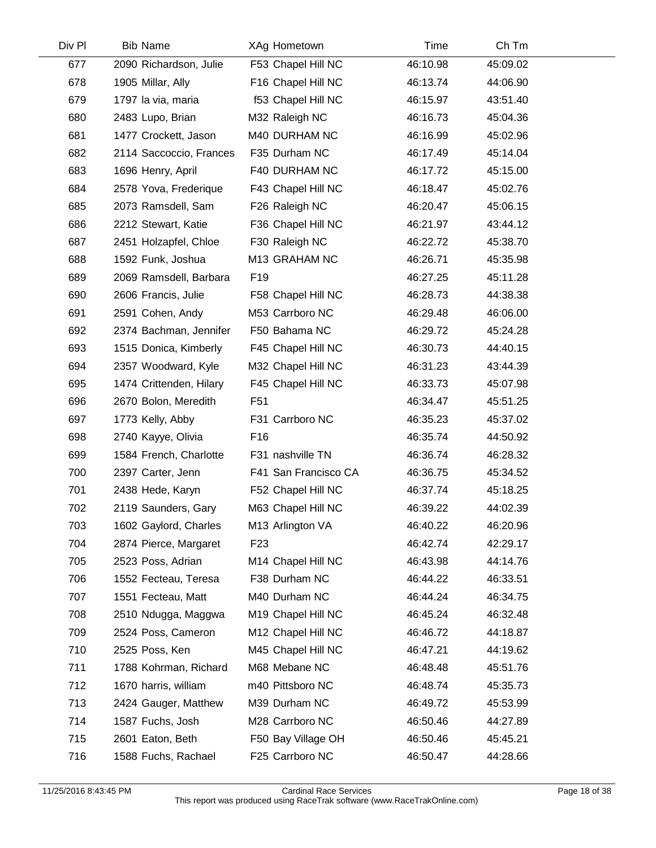| Div Pl | <b>Bib Name</b>         | XAg Hometown         | Time     | Ch Tm    |  |
|--------|-------------------------|----------------------|----------|----------|--|
| 677    | 2090 Richardson, Julie  | F53 Chapel Hill NC   | 46:10.98 | 45:09.02 |  |
| 678    | 1905 Millar, Ally       | F16 Chapel Hill NC   | 46:13.74 | 44:06.90 |  |
| 679    | 1797 la via, maria      | f53 Chapel Hill NC   | 46:15.97 | 43:51.40 |  |
| 680    | 2483 Lupo, Brian        | M32 Raleigh NC       | 46:16.73 | 45:04.36 |  |
| 681    | 1477 Crockett, Jason    | M40 DURHAM NC        | 46:16.99 | 45:02.96 |  |
| 682    | 2114 Saccoccio, Frances | F35 Durham NC        | 46:17.49 | 45:14.04 |  |
| 683    | 1696 Henry, April       | F40 DURHAM NC        | 46:17.72 | 45:15.00 |  |
| 684    | 2578 Yova, Frederique   | F43 Chapel Hill NC   | 46:18.47 | 45:02.76 |  |
| 685    | 2073 Ramsdell, Sam      | F26 Raleigh NC       | 46:20.47 | 45:06.15 |  |
| 686    | 2212 Stewart, Katie     | F36 Chapel Hill NC   | 46:21.97 | 43:44.12 |  |
| 687    | 2451 Holzapfel, Chloe   | F30 Raleigh NC       | 46:22.72 | 45:38.70 |  |
| 688    | 1592 Funk, Joshua       | M13 GRAHAM NC        | 46:26.71 | 45:35.98 |  |
| 689    | 2069 Ramsdell, Barbara  | F <sub>19</sub>      | 46:27.25 | 45:11.28 |  |
| 690    | 2606 Francis, Julie     | F58 Chapel Hill NC   | 46:28.73 | 44:38.38 |  |
| 691    | 2591 Cohen, Andy        | M53 Carrboro NC      | 46:29.48 | 46:06.00 |  |
| 692    | 2374 Bachman, Jennifer  | F50 Bahama NC        | 46:29.72 | 45:24.28 |  |
| 693    | 1515 Donica, Kimberly   | F45 Chapel Hill NC   | 46:30.73 | 44:40.15 |  |
| 694    | 2357 Woodward, Kyle     | M32 Chapel Hill NC   | 46:31.23 | 43:44.39 |  |
| 695    | 1474 Crittenden, Hilary | F45 Chapel Hill NC   | 46:33.73 | 45:07.98 |  |
| 696    | 2670 Bolon, Meredith    | F <sub>51</sub>      | 46:34.47 | 45:51.25 |  |
| 697    | 1773 Kelly, Abby        | F31 Carrboro NC      | 46:35.23 | 45:37.02 |  |
| 698    | 2740 Kayye, Olivia      | F <sub>16</sub>      | 46:35.74 | 44:50.92 |  |
| 699    | 1584 French, Charlotte  | F31 nashville TN     | 46:36.74 | 46:28.32 |  |
| 700    | 2397 Carter, Jenn       | F41 San Francisco CA | 46:36.75 | 45:34.52 |  |
| 701    | 2438 Hede, Karyn        | F52 Chapel Hill NC   | 46:37.74 | 45:18.25 |  |
| 702    | 2119 Saunders, Gary     | M63 Chapel Hill NC   | 46:39.22 | 44:02.39 |  |
| 703    | 1602 Gaylord, Charles   | M13 Arlington VA     | 46:40.22 | 46:20.96 |  |
| 704    | 2874 Pierce, Margaret   | F <sub>23</sub>      | 46:42.74 | 42:29.17 |  |
| 705    | 2523 Poss, Adrian       | M14 Chapel Hill NC   | 46:43.98 | 44:14.76 |  |
| 706    | 1552 Fecteau, Teresa    | F38 Durham NC        | 46:44.22 | 46:33.51 |  |
| 707    | 1551 Fecteau, Matt      | M40 Durham NC        | 46:44.24 | 46:34.75 |  |
| 708    | 2510 Ndugga, Maggwa     | M19 Chapel Hill NC   | 46:45.24 | 46:32.48 |  |
| 709    | 2524 Poss, Cameron      | M12 Chapel Hill NC   | 46:46.72 | 44:18.87 |  |
| 710    | 2525 Poss, Ken          | M45 Chapel Hill NC   | 46:47.21 | 44:19.62 |  |
| 711    | 1788 Kohrman, Richard   | M68 Mebane NC        | 46:48.48 | 45:51.76 |  |
| 712    | 1670 harris, william    | m40 Pittsboro NC     | 46:48.74 | 45:35.73 |  |
| 713    | 2424 Gauger, Matthew    | M39 Durham NC        | 46:49.72 | 45:53.99 |  |
| 714    | 1587 Fuchs, Josh        | M28 Carrboro NC      | 46:50.46 | 44:27.89 |  |
| 715    | 2601 Eaton, Beth        | F50 Bay Village OH   | 46:50.46 | 45:45.21 |  |
| 716    | 1588 Fuchs, Rachael     | F25 Carrboro NC      | 46:50.47 | 44:28.66 |  |
|        |                         |                      |          |          |  |

 $\mathcal{L}$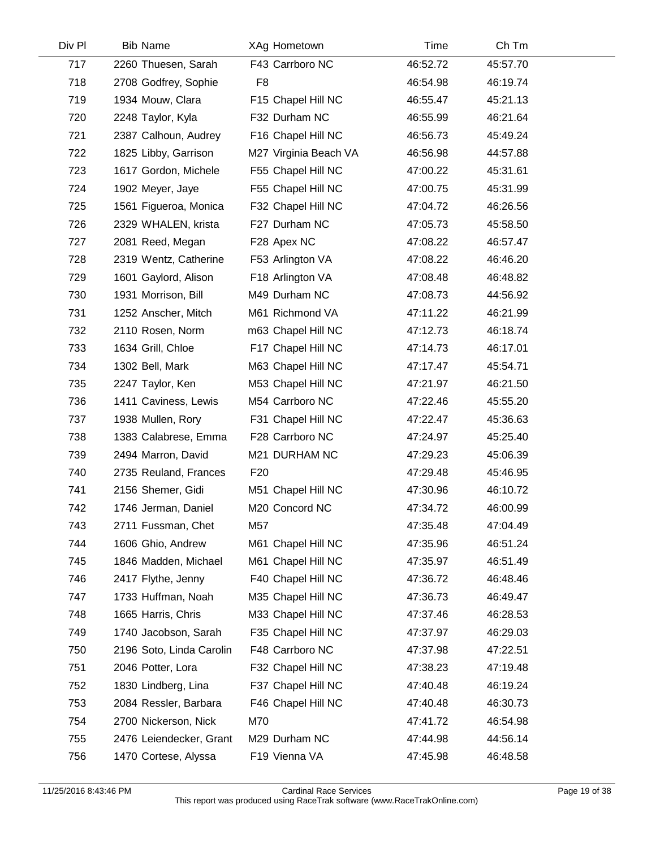| <b>Bib Name</b>          | XAg Hometown          | Time     | Ch Tm    |  |
|--------------------------|-----------------------|----------|----------|--|
| 2260 Thuesen, Sarah      | F43 Carrboro NC       | 46:52.72 | 45:57.70 |  |
| 2708 Godfrey, Sophie     | F <sub>8</sub>        | 46:54.98 | 46:19.74 |  |
| 1934 Mouw, Clara         | F15 Chapel Hill NC    | 46:55.47 | 45:21.13 |  |
| 2248 Taylor, Kyla        | F32 Durham NC         | 46:55.99 | 46:21.64 |  |
| 2387 Calhoun, Audrey     | F16 Chapel Hill NC    | 46:56.73 | 45:49.24 |  |
| 1825 Libby, Garrison     | M27 Virginia Beach VA | 46:56.98 | 44:57.88 |  |
| 1617 Gordon, Michele     | F55 Chapel Hill NC    | 47:00.22 | 45:31.61 |  |
| 1902 Meyer, Jaye         | F55 Chapel Hill NC    | 47:00.75 | 45:31.99 |  |
| 1561 Figueroa, Monica    | F32 Chapel Hill NC    | 47:04.72 | 46:26.56 |  |
| 2329 WHALEN, krista      | F27 Durham NC         | 47:05.73 | 45:58.50 |  |
| 2081 Reed, Megan         | F28 Apex NC           | 47:08.22 | 46:57.47 |  |
| 2319 Wentz, Catherine    | F53 Arlington VA      | 47:08.22 | 46:46.20 |  |
| 1601 Gaylord, Alison     | F18 Arlington VA      | 47:08.48 | 46:48.82 |  |
| 1931 Morrison, Bill      | M49 Durham NC         | 47:08.73 | 44:56.92 |  |
| 1252 Anscher, Mitch      | M61 Richmond VA       | 47:11.22 | 46:21.99 |  |
| 2110 Rosen, Norm         | m63 Chapel Hill NC    | 47:12.73 | 46:18.74 |  |
| 1634 Grill, Chloe        | F17 Chapel Hill NC    | 47:14.73 | 46:17.01 |  |
| 1302 Bell, Mark          | M63 Chapel Hill NC    | 47:17.47 | 45:54.71 |  |
| 2247 Taylor, Ken         | M53 Chapel Hill NC    | 47:21.97 | 46:21.50 |  |
| 1411 Caviness, Lewis     | M54 Carrboro NC       | 47:22.46 | 45:55.20 |  |
| 1938 Mullen, Rory        | F31 Chapel Hill NC    | 47:22.47 | 45:36.63 |  |
| 1383 Calabrese, Emma     | F28 Carrboro NC       | 47:24.97 | 45:25.40 |  |
| 2494 Marron, David       | M21 DURHAM NC         | 47:29.23 | 45:06.39 |  |
| 2735 Reuland, Frances    | F <sub>20</sub>       | 47:29.48 | 45:46.95 |  |
| 2156 Shemer, Gidi        | M51 Chapel Hill NC    | 47:30.96 | 46:10.72 |  |
| 1746 Jerman, Daniel      | M20 Concord NC        | 47:34.72 | 46:00.99 |  |
| 2711 Fussman, Chet       | M57                   | 47:35.48 | 47:04.49 |  |
| 1606 Ghio, Andrew        | M61 Chapel Hill NC    | 47:35.96 | 46:51.24 |  |
| 1846 Madden, Michael     | M61 Chapel Hill NC    | 47:35.97 | 46:51.49 |  |
| 2417 Flythe, Jenny       | F40 Chapel Hill NC    | 47:36.72 | 46:48.46 |  |
| 1733 Huffman, Noah       | M35 Chapel Hill NC    | 47:36.73 | 46:49.47 |  |
| 1665 Harris, Chris       | M33 Chapel Hill NC    | 47:37.46 | 46:28.53 |  |
| 1740 Jacobson, Sarah     | F35 Chapel Hill NC    | 47:37.97 | 46:29.03 |  |
| 2196 Soto, Linda Carolin | F48 Carrboro NC       | 47:37.98 | 47:22.51 |  |
| 2046 Potter, Lora        | F32 Chapel Hill NC    | 47:38.23 | 47:19.48 |  |
| 1830 Lindberg, Lina      | F37 Chapel Hill NC    | 47:40.48 | 46:19.24 |  |
| 2084 Ressler, Barbara    | F46 Chapel Hill NC    | 47:40.48 | 46:30.73 |  |
| 2700 Nickerson, Nick     | M70                   | 47:41.72 | 46:54.98 |  |
| 2476 Leiendecker, Grant  | M29 Durham NC         | 47:44.98 | 44:56.14 |  |
| 1470 Cortese, Alyssa     | F19 Vienna VA         | 47:45.98 | 46:48.58 |  |
|                          |                       |          |          |  |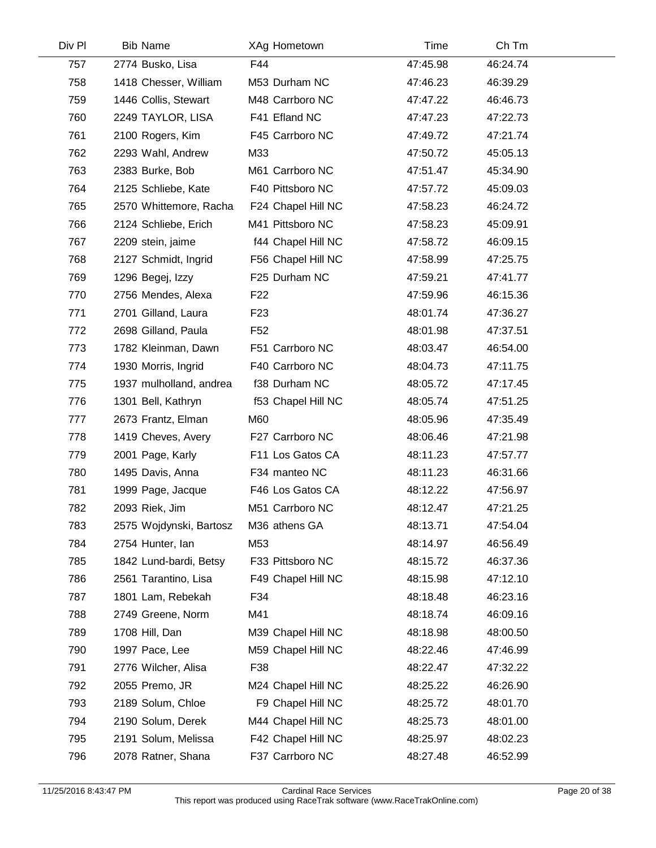| Div Pl | <b>Bib Name</b>         | XAg Hometown       | Time     | Ch Tm    |  |
|--------|-------------------------|--------------------|----------|----------|--|
| 757    | 2774 Busko, Lisa        | F44                | 47:45.98 | 46:24.74 |  |
| 758    | 1418 Chesser, William   | M53 Durham NC      | 47:46.23 | 46:39.29 |  |
| 759    | 1446 Collis, Stewart    | M48 Carrboro NC    | 47:47.22 | 46:46.73 |  |
| 760    | 2249 TAYLOR, LISA       | F41 Efland NC      | 47:47.23 | 47:22.73 |  |
| 761    | 2100 Rogers, Kim        | F45 Carrboro NC    | 47:49.72 | 47:21.74 |  |
| 762    | 2293 Wahl, Andrew       | M33                | 47:50.72 | 45:05.13 |  |
| 763    | 2383 Burke, Bob         | M61 Carrboro NC    | 47:51.47 | 45:34.90 |  |
| 764    | 2125 Schliebe, Kate     | F40 Pittsboro NC   | 47:57.72 | 45:09.03 |  |
| 765    | 2570 Whittemore, Racha  | F24 Chapel Hill NC | 47:58.23 | 46:24.72 |  |
| 766    | 2124 Schliebe, Erich    | M41 Pittsboro NC   | 47:58.23 | 45:09.91 |  |
| 767    | 2209 stein, jaime       | f44 Chapel Hill NC | 47:58.72 | 46:09.15 |  |
| 768    | 2127 Schmidt, Ingrid    | F56 Chapel Hill NC | 47:58.99 | 47:25.75 |  |
| 769    | 1296 Begej, Izzy        | F25 Durham NC      | 47:59.21 | 47:41.77 |  |
| 770    | 2756 Mendes, Alexa      | F <sub>22</sub>    | 47:59.96 | 46:15.36 |  |
| 771    | 2701 Gilland, Laura     | F <sub>23</sub>    | 48:01.74 | 47:36.27 |  |
| 772    | 2698 Gilland, Paula     | F <sub>52</sub>    | 48:01.98 | 47:37.51 |  |
| 773    | 1782 Kleinman, Dawn     | F51 Carrboro NC    | 48:03.47 | 46:54.00 |  |
| 774    | 1930 Morris, Ingrid     | F40 Carrboro NC    | 48:04.73 | 47:11.75 |  |
| 775    | 1937 mulholland, andrea | f38 Durham NC      | 48:05.72 | 47:17.45 |  |
| 776    | 1301 Bell, Kathryn      | f53 Chapel Hill NC | 48:05.74 | 47:51.25 |  |
| 777    | 2673 Frantz, Elman      | M60                | 48:05.96 | 47:35.49 |  |
| 778    | 1419 Cheves, Avery      | F27 Carrboro NC    | 48:06.46 | 47:21.98 |  |
| 779    | 2001 Page, Karly        | F11 Los Gatos CA   | 48:11.23 | 47:57.77 |  |
| 780    | 1495 Davis, Anna        | F34 manteo NC      | 48:11.23 | 46:31.66 |  |
| 781    | 1999 Page, Jacque       | F46 Los Gatos CA   | 48:12.22 | 47:56.97 |  |
| 782    | 2093 Riek, Jim          | M51 Carrboro NC    | 48:12.47 | 47:21.25 |  |
| 783    | 2575 Wojdynski, Bartosz | M36 athens GA      | 48:13.71 | 47:54.04 |  |
| 784    | 2754 Hunter, lan        | M53                | 48:14.97 | 46:56.49 |  |
| 785    | 1842 Lund-bardi, Betsy  | F33 Pittsboro NC   | 48:15.72 | 46:37.36 |  |
| 786    | 2561 Tarantino, Lisa    | F49 Chapel Hill NC | 48:15.98 | 47:12.10 |  |
| 787    | 1801 Lam, Rebekah       | F34                | 48:18.48 | 46:23.16 |  |
| 788    | 2749 Greene, Norm       | M41                | 48:18.74 | 46:09.16 |  |
| 789    | 1708 Hill, Dan          | M39 Chapel Hill NC | 48:18.98 | 48:00.50 |  |
| 790    | 1997 Pace, Lee          | M59 Chapel Hill NC | 48:22.46 | 47:46.99 |  |
| 791    | 2776 Wilcher, Alisa     | F38                | 48:22.47 | 47:32.22 |  |
| 792    | 2055 Premo, JR          | M24 Chapel Hill NC | 48:25.22 | 46:26.90 |  |
| 793    | 2189 Solum, Chloe       | F9 Chapel Hill NC  | 48:25.72 | 48:01.70 |  |
| 794    | 2190 Solum, Derek       | M44 Chapel Hill NC | 48:25.73 | 48:01.00 |  |
| 795    | 2191 Solum, Melissa     | F42 Chapel Hill NC | 48:25.97 | 48:02.23 |  |
| 796    | 2078 Ratner, Shana      | F37 Carrboro NC    | 48:27.48 | 46:52.99 |  |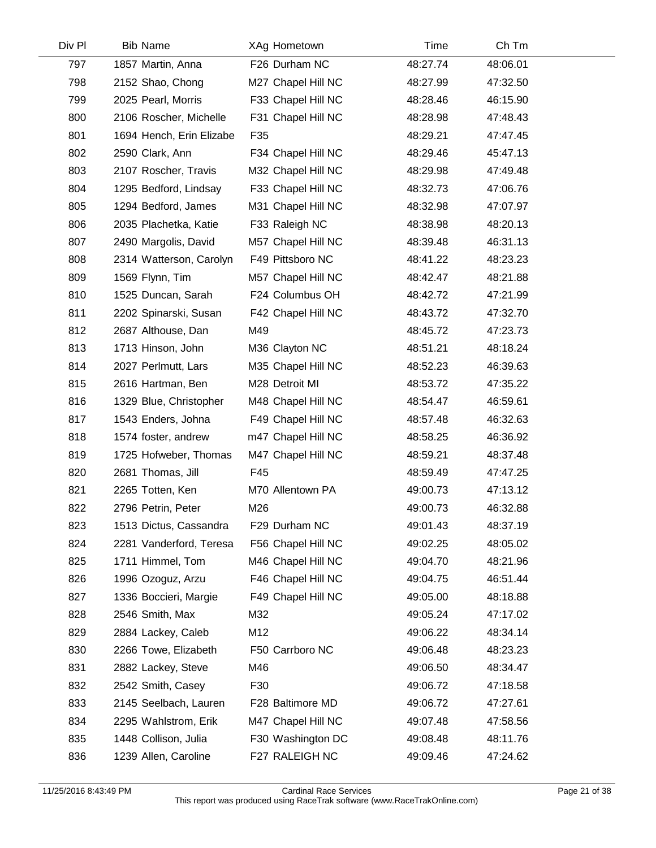| Div Pl | <b>Bib Name</b>          | XAg Hometown       | Time     | Ch Tm    |  |
|--------|--------------------------|--------------------|----------|----------|--|
| 797    | 1857 Martin, Anna        | F26 Durham NC      | 48:27.74 | 48:06.01 |  |
| 798    | 2152 Shao, Chong         | M27 Chapel Hill NC | 48:27.99 | 47:32.50 |  |
| 799    | 2025 Pearl, Morris       | F33 Chapel Hill NC | 48:28.46 | 46:15.90 |  |
| 800    | 2106 Roscher, Michelle   | F31 Chapel Hill NC | 48:28.98 | 47:48.43 |  |
| 801    | 1694 Hench, Erin Elizabe | F35                | 48:29.21 | 47:47.45 |  |
| 802    | 2590 Clark, Ann          | F34 Chapel Hill NC | 48:29.46 | 45:47.13 |  |
| 803    | 2107 Roscher, Travis     | M32 Chapel Hill NC | 48:29.98 | 47:49.48 |  |
| 804    | 1295 Bedford, Lindsay    | F33 Chapel Hill NC | 48:32.73 | 47:06.76 |  |
| 805    | 1294 Bedford, James      | M31 Chapel Hill NC | 48:32.98 | 47:07.97 |  |
| 806    | 2035 Plachetka, Katie    | F33 Raleigh NC     | 48:38.98 | 48:20.13 |  |
| 807    | 2490 Margolis, David     | M57 Chapel Hill NC | 48:39.48 | 46:31.13 |  |
| 808    | 2314 Watterson, Carolyn  | F49 Pittsboro NC   | 48:41.22 | 48:23.23 |  |
| 809    | 1569 Flynn, Tim          | M57 Chapel Hill NC | 48:42.47 | 48:21.88 |  |
| 810    | 1525 Duncan, Sarah       | F24 Columbus OH    | 48:42.72 | 47:21.99 |  |
| 811    | 2202 Spinarski, Susan    | F42 Chapel Hill NC | 48:43.72 | 47:32.70 |  |
| 812    | 2687 Althouse, Dan       | M49                | 48:45.72 | 47:23.73 |  |
| 813    | 1713 Hinson, John        | M36 Clayton NC     | 48:51.21 | 48:18.24 |  |
| 814    | 2027 Perlmutt, Lars      | M35 Chapel Hill NC | 48:52.23 | 46:39.63 |  |
| 815    | 2616 Hartman, Ben        | M28 Detroit MI     | 48:53.72 | 47:35.22 |  |
| 816    | 1329 Blue, Christopher   | M48 Chapel Hill NC | 48:54.47 | 46:59.61 |  |
| 817    | 1543 Enders, Johna       | F49 Chapel Hill NC | 48:57.48 | 46:32.63 |  |
| 818    | 1574 foster, andrew      | m47 Chapel Hill NC | 48:58.25 | 46:36.92 |  |
| 819    | 1725 Hofweber, Thomas    | M47 Chapel Hill NC | 48:59.21 | 48:37.48 |  |
| 820    | 2681 Thomas, Jill        | F45                | 48:59.49 | 47:47.25 |  |
| 821    | 2265 Totten, Ken         | M70 Allentown PA   | 49:00.73 | 47:13.12 |  |
| 822    | 2796 Petrin, Peter       | M26                | 49:00.73 | 46:32.88 |  |
| 823    | 1513 Dictus, Cassandra   | F29 Durham NC      | 49:01.43 | 48:37.19 |  |
| 824    | 2281 Vanderford, Teresa  | F56 Chapel Hill NC | 49:02.25 | 48:05.02 |  |
| 825    | 1711 Himmel, Tom         | M46 Chapel Hill NC | 49:04.70 | 48:21.96 |  |
| 826    | 1996 Ozoguz, Arzu        | F46 Chapel Hill NC | 49:04.75 | 46:51.44 |  |
| 827    | 1336 Boccieri, Margie    | F49 Chapel Hill NC | 49:05.00 | 48:18.88 |  |
| 828    | 2546 Smith, Max          | M32                | 49:05.24 | 47:17.02 |  |
| 829    | 2884 Lackey, Caleb       | M12                | 49:06.22 | 48:34.14 |  |
| 830    | 2266 Towe, Elizabeth     | F50 Carrboro NC    | 49:06.48 | 48:23.23 |  |
| 831    | 2882 Lackey, Steve       | M46                | 49:06.50 | 48:34.47 |  |
| 832    | 2542 Smith, Casey        | F30                | 49:06.72 | 47:18.58 |  |
| 833    | 2145 Seelbach, Lauren    | F28 Baltimore MD   | 49:06.72 | 47:27.61 |  |
| 834    | 2295 Wahlstrom, Erik     | M47 Chapel Hill NC | 49:07.48 | 47:58.56 |  |
| 835    | 1448 Collison, Julia     | F30 Washington DC  | 49:08.48 | 48:11.76 |  |
| 836    | 1239 Allen, Caroline     | F27 RALEIGH NC     | 49:09.46 | 47:24.62 |  |
|        |                          |                    |          |          |  |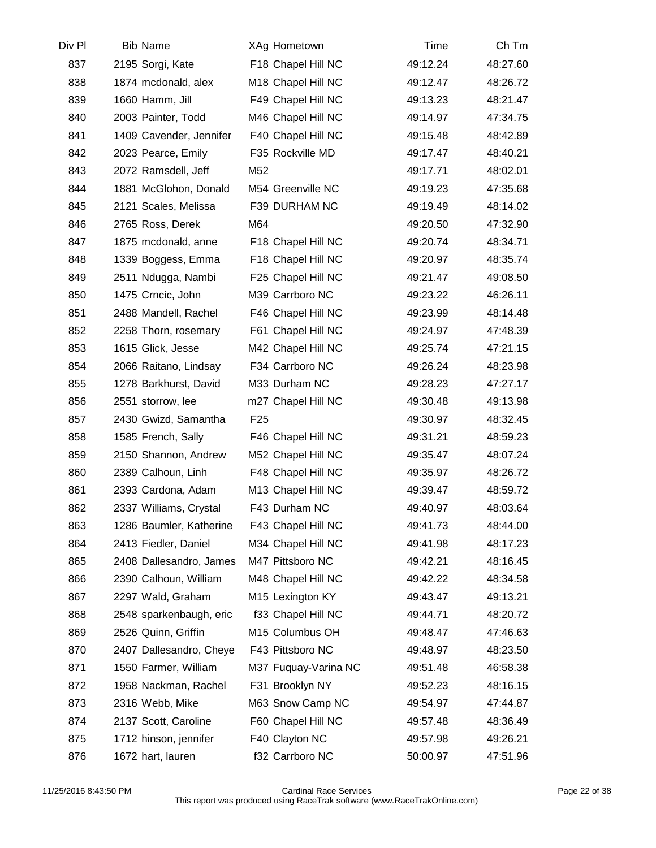| Div Pl | <b>Bib Name</b>         | XAg Hometown         | Time     | Ch Tm    |  |
|--------|-------------------------|----------------------|----------|----------|--|
| 837    | 2195 Sorgi, Kate        | F18 Chapel Hill NC   | 49:12.24 | 48:27.60 |  |
| 838    | 1874 mcdonald, alex     | M18 Chapel Hill NC   | 49:12.47 | 48:26.72 |  |
| 839    | 1660 Hamm, Jill         | F49 Chapel Hill NC   | 49:13.23 | 48:21.47 |  |
| 840    | 2003 Painter, Todd      | M46 Chapel Hill NC   | 49:14.97 | 47:34.75 |  |
| 841    | 1409 Cavender, Jennifer | F40 Chapel Hill NC   | 49:15.48 | 48:42.89 |  |
| 842    | 2023 Pearce, Emily      | F35 Rockville MD     | 49:17.47 | 48:40.21 |  |
| 843    | 2072 Ramsdell, Jeff     | M52                  | 49:17.71 | 48:02.01 |  |
| 844    | 1881 McGlohon, Donald   | M54 Greenville NC    | 49:19.23 | 47:35.68 |  |
| 845    | 2121 Scales, Melissa    | F39 DURHAM NC        | 49:19.49 | 48:14.02 |  |
| 846    | 2765 Ross, Derek        | M64                  | 49:20.50 | 47:32.90 |  |
| 847    | 1875 mcdonald, anne     | F18 Chapel Hill NC   | 49:20.74 | 48:34.71 |  |
| 848    | 1339 Boggess, Emma      | F18 Chapel Hill NC   | 49:20.97 | 48:35.74 |  |
| 849    | 2511 Ndugga, Nambi      | F25 Chapel Hill NC   | 49:21.47 | 49:08.50 |  |
| 850    | 1475 Crncic, John       | M39 Carrboro NC      | 49:23.22 | 46:26.11 |  |
| 851    | 2488 Mandell, Rachel    | F46 Chapel Hill NC   | 49:23.99 | 48:14.48 |  |
| 852    | 2258 Thorn, rosemary    | F61 Chapel Hill NC   | 49:24.97 | 47:48.39 |  |
| 853    | 1615 Glick, Jesse       | M42 Chapel Hill NC   | 49:25.74 | 47:21.15 |  |
| 854    | 2066 Raitano, Lindsay   | F34 Carrboro NC      | 49:26.24 | 48:23.98 |  |
| 855    | 1278 Barkhurst, David   | M33 Durham NC        | 49:28.23 | 47:27.17 |  |
| 856    | 2551 storrow, lee       | m27 Chapel Hill NC   | 49:30.48 | 49:13.98 |  |
| 857    | 2430 Gwizd, Samantha    | F <sub>25</sub>      | 49:30.97 | 48:32.45 |  |
| 858    | 1585 French, Sally      | F46 Chapel Hill NC   | 49:31.21 | 48:59.23 |  |
| 859    | 2150 Shannon, Andrew    | M52 Chapel Hill NC   | 49:35.47 | 48:07.24 |  |
| 860    | 2389 Calhoun, Linh      | F48 Chapel Hill NC   | 49:35.97 | 48:26.72 |  |
| 861    | 2393 Cardona, Adam      | M13 Chapel Hill NC   | 49:39.47 | 48:59.72 |  |
| 862    | 2337 Williams, Crystal  | F43 Durham NC        | 49:40.97 | 48:03.64 |  |
| 863    | 1286 Baumler, Katherine | F43 Chapel Hill NC   | 49:41.73 | 48:44.00 |  |
| 864    | 2413 Fiedler, Daniel    | M34 Chapel Hill NC   | 49:41.98 | 48:17.23 |  |
| 865    | 2408 Dallesandro, James | M47 Pittsboro NC     | 49:42.21 | 48:16.45 |  |
| 866    | 2390 Calhoun, William   | M48 Chapel Hill NC   | 49:42.22 | 48:34.58 |  |
| 867    | 2297 Wald, Graham       | M15 Lexington KY     | 49:43.47 | 49:13.21 |  |
| 868    | 2548 sparkenbaugh, eric | f33 Chapel Hill NC   | 49:44.71 | 48:20.72 |  |
| 869    | 2526 Quinn, Griffin     | M15 Columbus OH      | 49:48.47 | 47:46.63 |  |
| 870    | 2407 Dallesandro, Cheye | F43 Pittsboro NC     | 49:48.97 | 48:23.50 |  |
| 871    | 1550 Farmer, William    | M37 Fuquay-Varina NC | 49:51.48 | 46:58.38 |  |
| 872    | 1958 Nackman, Rachel    | F31 Brooklyn NY      | 49:52.23 | 48:16.15 |  |
| 873    | 2316 Webb, Mike         | M63 Snow Camp NC     | 49:54.97 | 47:44.87 |  |
| 874    | 2137 Scott, Caroline    | F60 Chapel Hill NC   | 49:57.48 | 48:36.49 |  |
| 875    | 1712 hinson, jennifer   | F40 Clayton NC       | 49:57.98 | 49:26.21 |  |
| 876    | 1672 hart, lauren       | f32 Carrboro NC      | 50:00.97 | 47:51.96 |  |
|        |                         |                      |          |          |  |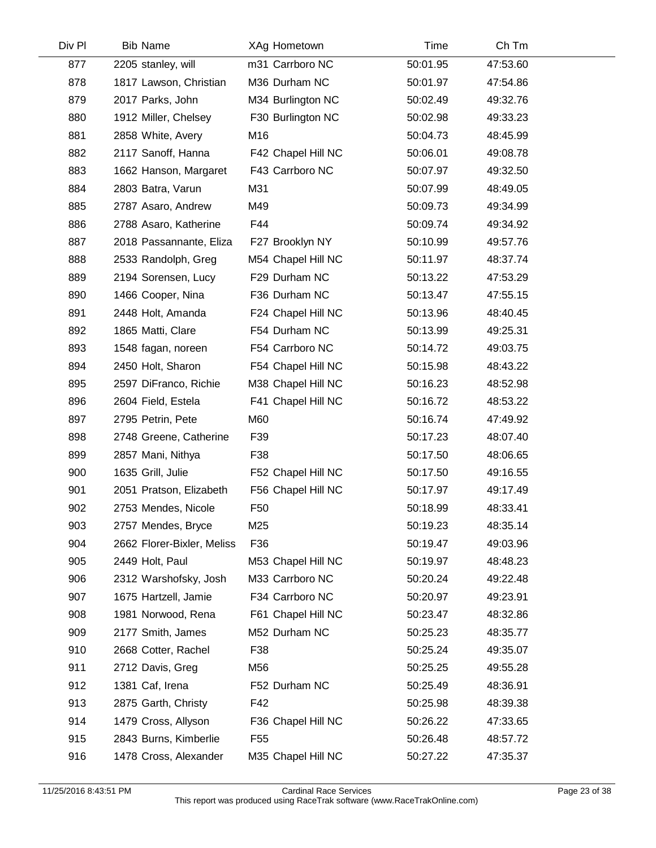| Div Pl | <b>Bib Name</b>            |                 | XAg Hometown       | Time     | Ch Tm    |  |
|--------|----------------------------|-----------------|--------------------|----------|----------|--|
| 877    | 2205 stanley, will         |                 | m31 Carrboro NC    | 50:01.95 | 47:53.60 |  |
| 878    | 1817 Lawson, Christian     |                 | M36 Durham NC      | 50:01.97 | 47:54.86 |  |
| 879    | 2017 Parks, John           |                 | M34 Burlington NC  | 50:02.49 | 49:32.76 |  |
| 880    | 1912 Miller, Chelsey       |                 | F30 Burlington NC  | 50:02.98 | 49:33.23 |  |
| 881    | 2858 White, Avery          | M16             |                    | 50:04.73 | 48:45.99 |  |
| 882    | 2117 Sanoff, Hanna         |                 | F42 Chapel Hill NC | 50:06.01 | 49:08.78 |  |
| 883    | 1662 Hanson, Margaret      |                 | F43 Carrboro NC    | 50:07.97 | 49:32.50 |  |
| 884    | 2803 Batra, Varun          | M31             |                    | 50:07.99 | 48:49.05 |  |
| 885    | 2787 Asaro, Andrew         | M49             |                    | 50:09.73 | 49:34.99 |  |
| 886    | 2788 Asaro, Katherine      | F44             |                    | 50:09.74 | 49:34.92 |  |
| 887    | 2018 Passannante, Eliza    |                 | F27 Brooklyn NY    | 50:10.99 | 49:57.76 |  |
| 888    | 2533 Randolph, Greg        |                 | M54 Chapel Hill NC | 50:11.97 | 48:37.74 |  |
| 889    | 2194 Sorensen, Lucy        |                 | F29 Durham NC      | 50:13.22 | 47:53.29 |  |
| 890    | 1466 Cooper, Nina          |                 | F36 Durham NC      | 50:13.47 | 47:55.15 |  |
| 891    | 2448 Holt, Amanda          |                 | F24 Chapel Hill NC | 50:13.96 | 48:40.45 |  |
| 892    | 1865 Matti, Clare          |                 | F54 Durham NC      | 50:13.99 | 49:25.31 |  |
| 893    | 1548 fagan, noreen         |                 | F54 Carrboro NC    | 50:14.72 | 49:03.75 |  |
| 894    | 2450 Holt, Sharon          |                 | F54 Chapel Hill NC | 50:15.98 | 48:43.22 |  |
| 895    | 2597 DiFranco, Richie      |                 | M38 Chapel Hill NC | 50:16.23 | 48:52.98 |  |
| 896    | 2604 Field, Estela         |                 | F41 Chapel Hill NC | 50:16.72 | 48:53.22 |  |
| 897    | 2795 Petrin, Pete          | M60             |                    | 50:16.74 | 47:49.92 |  |
| 898    | 2748 Greene, Catherine     | F39             |                    | 50:17.23 | 48:07.40 |  |
| 899    | 2857 Mani, Nithya          | F38             |                    | 50:17.50 | 48:06.65 |  |
| 900    | 1635 Grill, Julie          |                 | F52 Chapel Hill NC | 50:17.50 | 49:16.55 |  |
| 901    | 2051 Pratson, Elizabeth    |                 | F56 Chapel Hill NC | 50:17.97 | 49:17.49 |  |
| 902    | 2753 Mendes, Nicole        | F <sub>50</sub> |                    | 50:18.99 | 48:33.41 |  |
| 903    | 2757 Mendes, Bryce         | M25             |                    | 50:19.23 | 48:35.14 |  |
| 904    | 2662 Florer-Bixler, Meliss | F36             |                    | 50:19.47 | 49:03.96 |  |
| 905    | 2449 Holt, Paul            |                 | M53 Chapel Hill NC | 50:19.97 | 48:48.23 |  |
| 906    | 2312 Warshofsky, Josh      |                 | M33 Carrboro NC    | 50:20.24 | 49:22.48 |  |
| 907    | 1675 Hartzell, Jamie       |                 | F34 Carrboro NC    | 50:20.97 | 49:23.91 |  |
| 908    | 1981 Norwood, Rena         |                 | F61 Chapel Hill NC | 50:23.47 | 48:32.86 |  |
| 909    | 2177 Smith, James          |                 | M52 Durham NC      | 50:25.23 | 48:35.77 |  |
| 910    | 2668 Cotter, Rachel        | F38             |                    | 50:25.24 | 49:35.07 |  |
| 911    | 2712 Davis, Greg           | M56             |                    | 50:25.25 | 49:55.28 |  |
| 912    | 1381 Caf, Irena            |                 | F52 Durham NC      | 50:25.49 | 48:36.91 |  |
| 913    | 2875 Garth, Christy        | F42             |                    | 50:25.98 | 48:39.38 |  |
| 914    | 1479 Cross, Allyson        |                 | F36 Chapel Hill NC | 50:26.22 | 47:33.65 |  |
| 915    | 2843 Burns, Kimberlie      | F <sub>55</sub> |                    | 50:26.48 | 48:57.72 |  |
| 916    | 1478 Cross, Alexander      |                 | M35 Chapel Hill NC | 50:27.22 | 47:35.37 |  |
|        |                            |                 |                    |          |          |  |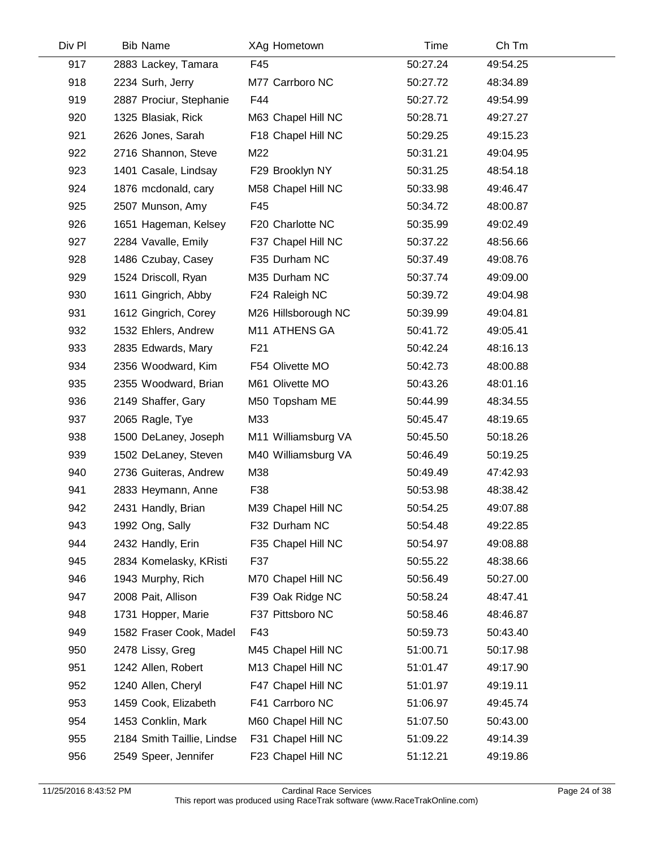| Div PI | <b>Bib Name</b>            | XAg Hometown        | Time     | Ch Tm    |  |
|--------|----------------------------|---------------------|----------|----------|--|
| 917    | 2883 Lackey, Tamara        | F45                 | 50:27.24 | 49:54.25 |  |
| 918    | 2234 Surh, Jerry           | M77 Carrboro NC     | 50:27.72 | 48:34.89 |  |
| 919    | 2887 Prociur, Stephanie    | F44                 | 50:27.72 | 49:54.99 |  |
| 920    | 1325 Blasiak, Rick         | M63 Chapel Hill NC  | 50:28.71 | 49:27.27 |  |
| 921    | 2626 Jones, Sarah          | F18 Chapel Hill NC  | 50:29.25 | 49:15.23 |  |
| 922    | 2716 Shannon, Steve        | M22                 | 50:31.21 | 49:04.95 |  |
| 923    | 1401 Casale, Lindsay       | F29 Brooklyn NY     | 50:31.25 | 48:54.18 |  |
| 924    | 1876 mcdonald, cary        | M58 Chapel Hill NC  | 50:33.98 | 49:46.47 |  |
| 925    | 2507 Munson, Amy           | F45                 | 50:34.72 | 48:00.87 |  |
| 926    | 1651 Hageman, Kelsey       | F20 Charlotte NC    | 50:35.99 | 49:02.49 |  |
| 927    | 2284 Vavalle, Emily        | F37 Chapel Hill NC  | 50:37.22 | 48:56.66 |  |
| 928    | 1486 Czubay, Casey         | F35 Durham NC       | 50:37.49 | 49:08.76 |  |
| 929    | 1524 Driscoll, Ryan        | M35 Durham NC       | 50:37.74 | 49:09.00 |  |
| 930    | 1611 Gingrich, Abby        | F24 Raleigh NC      | 50:39.72 | 49:04.98 |  |
| 931    | 1612 Gingrich, Corey       | M26 Hillsborough NC | 50:39.99 | 49:04.81 |  |
| 932    | 1532 Ehlers, Andrew        | M11 ATHENS GA       | 50:41.72 | 49:05.41 |  |
| 933    | 2835 Edwards, Mary         | F <sub>21</sub>     | 50:42.24 | 48:16.13 |  |
| 934    | 2356 Woodward, Kim         | F54 Olivette MO     | 50:42.73 | 48:00.88 |  |
| 935    | 2355 Woodward, Brian       | M61 Olivette MO     | 50:43.26 | 48:01.16 |  |
| 936    | 2149 Shaffer, Gary         | M50 Topsham ME      | 50:44.99 | 48:34.55 |  |
| 937    | 2065 Ragle, Tye            | M33                 | 50:45.47 | 48:19.65 |  |
| 938    | 1500 DeLaney, Joseph       | M11 Williamsburg VA | 50:45.50 | 50:18.26 |  |
| 939    | 1502 DeLaney, Steven       | M40 Williamsburg VA | 50:46.49 | 50:19.25 |  |
| 940    | 2736 Guiteras, Andrew      | M38                 | 50:49.49 | 47:42.93 |  |
| 941    | 2833 Heymann, Anne         | F38                 | 50:53.98 | 48:38.42 |  |
| 942    | 2431 Handly, Brian         | M39 Chapel Hill NC  | 50:54.25 | 49:07.88 |  |
| 943    | 1992 Ong, Sally            | F32 Durham NC       | 50:54.48 | 49:22.85 |  |
| 944    | 2432 Handly, Erin          | F35 Chapel Hill NC  | 50:54.97 | 49:08.88 |  |
| 945    | 2834 Komelasky, KRisti     | F37                 | 50:55.22 | 48:38.66 |  |
| 946    | 1943 Murphy, Rich          | M70 Chapel Hill NC  | 50:56.49 | 50:27.00 |  |
| 947    | 2008 Pait, Allison         | F39 Oak Ridge NC    | 50:58.24 | 48:47.41 |  |
| 948    | 1731 Hopper, Marie         | F37 Pittsboro NC    | 50:58.46 | 48:46.87 |  |
| 949    | 1582 Fraser Cook, Madel    | F43                 | 50:59.73 | 50:43.40 |  |
| 950    | 2478 Lissy, Greg           | M45 Chapel Hill NC  | 51:00.71 | 50:17.98 |  |
| 951    | 1242 Allen, Robert         | M13 Chapel Hill NC  | 51:01.47 | 49:17.90 |  |
| 952    | 1240 Allen, Cheryl         | F47 Chapel Hill NC  | 51:01.97 | 49:19.11 |  |
| 953    | 1459 Cook, Elizabeth       | F41 Carrboro NC     | 51:06.97 | 49:45.74 |  |
| 954    | 1453 Conklin, Mark         | M60 Chapel Hill NC  | 51:07.50 | 50:43.00 |  |
| 955    | 2184 Smith Taillie, Lindse | F31 Chapel Hill NC  | 51:09.22 | 49:14.39 |  |
| 956    | 2549 Speer, Jennifer       | F23 Chapel Hill NC  | 51:12.21 | 49:19.86 |  |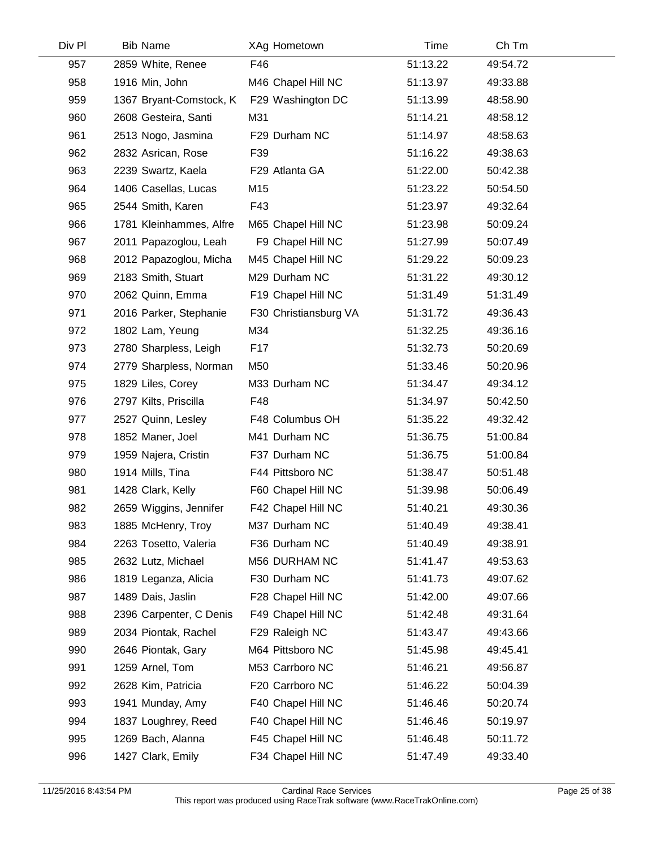| Div Pl | <b>Bib Name</b>         | XAg Hometown          | Time     | Ch Tm    |  |
|--------|-------------------------|-----------------------|----------|----------|--|
| 957    | 2859 White, Renee       | F46                   | 51:13.22 | 49:54.72 |  |
| 958    | 1916 Min, John          | M46 Chapel Hill NC    | 51:13.97 | 49:33.88 |  |
| 959    | 1367 Bryant-Comstock, K | F29 Washington DC     | 51:13.99 | 48:58.90 |  |
| 960    | 2608 Gesteira, Santi    | M31                   | 51:14.21 | 48:58.12 |  |
| 961    | 2513 Nogo, Jasmina      | F29 Durham NC         | 51:14.97 | 48:58.63 |  |
| 962    | 2832 Asrican, Rose      | F39                   | 51:16.22 | 49:38.63 |  |
| 963    | 2239 Swartz, Kaela      | F29 Atlanta GA        | 51:22.00 | 50:42.38 |  |
| 964    | 1406 Casellas, Lucas    | M15                   | 51:23.22 | 50:54.50 |  |
| 965    | 2544 Smith, Karen       | F43                   | 51:23.97 | 49:32.64 |  |
| 966    | 1781 Kleinhammes, Alfre | M65 Chapel Hill NC    | 51:23.98 | 50:09.24 |  |
| 967    | 2011 Papazoglou, Leah   | F9 Chapel Hill NC     | 51:27.99 | 50:07.49 |  |
| 968    | 2012 Papazoglou, Micha  | M45 Chapel Hill NC    | 51:29.22 | 50:09.23 |  |
| 969    | 2183 Smith, Stuart      | M29 Durham NC         | 51:31.22 | 49:30.12 |  |
| 970    | 2062 Quinn, Emma        | F19 Chapel Hill NC    | 51:31.49 | 51:31.49 |  |
| 971    | 2016 Parker, Stephanie  | F30 Christiansburg VA | 51:31.72 | 49:36.43 |  |
| 972    | 1802 Lam, Yeung         | M34                   | 51:32.25 | 49:36.16 |  |
| 973    | 2780 Sharpless, Leigh   | F17                   | 51:32.73 | 50:20.69 |  |
| 974    | 2779 Sharpless, Norman  | M50                   | 51:33.46 | 50:20.96 |  |
| 975    | 1829 Liles, Corey       | M33 Durham NC         | 51:34.47 | 49:34.12 |  |
| 976    | 2797 Kilts, Priscilla   | F48                   | 51:34.97 | 50:42.50 |  |
| 977    | 2527 Quinn, Lesley      | F48 Columbus OH       | 51:35.22 | 49:32.42 |  |
| 978    | 1852 Maner, Joel        | M41 Durham NC         | 51:36.75 | 51:00.84 |  |
| 979    | 1959 Najera, Cristin    | F37 Durham NC         | 51:36.75 | 51:00.84 |  |
| 980    | 1914 Mills, Tina        | F44 Pittsboro NC      | 51:38.47 | 50:51.48 |  |
| 981    | 1428 Clark, Kelly       | F60 Chapel Hill NC    | 51:39.98 | 50:06.49 |  |
| 982    | 2659 Wiggins, Jennifer  | F42 Chapel Hill NC    | 51:40.21 | 49:30.36 |  |
| 983    | 1885 McHenry, Troy      | M37 Durham NC         | 51:40.49 | 49:38.41 |  |
| 984    | 2263 Tosetto, Valeria   | F36 Durham NC         | 51:40.49 | 49:38.91 |  |
| 985    | 2632 Lutz, Michael      | M56 DURHAM NC         | 51:41.47 | 49:53.63 |  |
| 986    | 1819 Leganza, Alicia    | F30 Durham NC         | 51:41.73 | 49:07.62 |  |
| 987    | 1489 Dais, Jaslin       | F28 Chapel Hill NC    | 51:42.00 | 49:07.66 |  |
| 988    | 2396 Carpenter, C Denis | F49 Chapel Hill NC    | 51:42.48 | 49:31.64 |  |
| 989    | 2034 Piontak, Rachel    | F29 Raleigh NC        | 51:43.47 | 49:43.66 |  |
| 990    | 2646 Piontak, Gary      | M64 Pittsboro NC      | 51:45.98 | 49:45.41 |  |
| 991    | 1259 Arnel, Tom         | M53 Carrboro NC       | 51:46.21 | 49:56.87 |  |
| 992    | 2628 Kim, Patricia      | F20 Carrboro NC       | 51:46.22 | 50:04.39 |  |
| 993    | 1941 Munday, Amy        | F40 Chapel Hill NC    | 51:46.46 | 50:20.74 |  |
| 994    | 1837 Loughrey, Reed     | F40 Chapel Hill NC    | 51:46.46 | 50:19.97 |  |
| 995    | 1269 Bach, Alanna       | F45 Chapel Hill NC    | 51:46.48 | 50:11.72 |  |
| 996    | 1427 Clark, Emily       | F34 Chapel Hill NC    | 51:47.49 | 49:33.40 |  |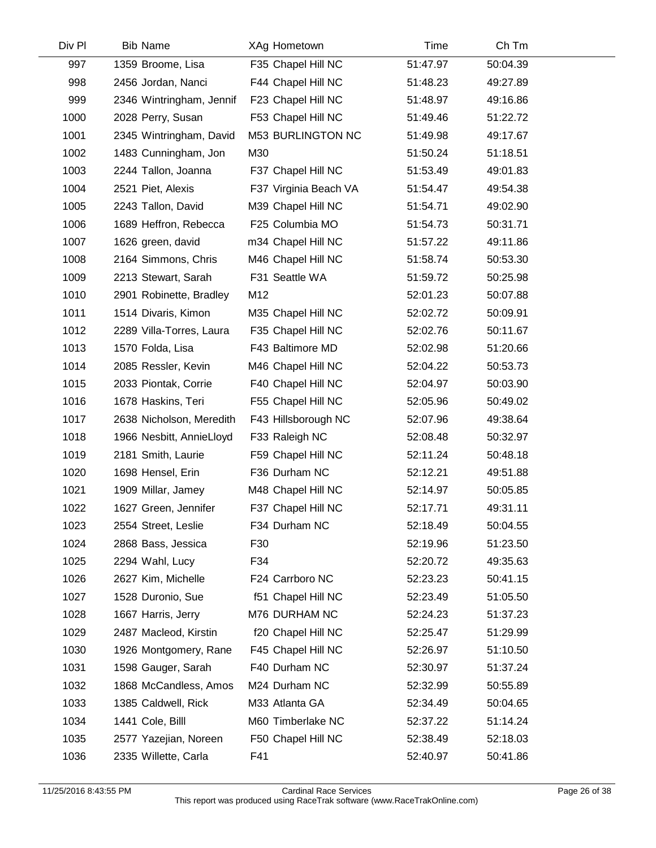| Div Pl | <b>Bib Name</b>          | XAg Hometown          | Time     | Ch Tm    |  |
|--------|--------------------------|-----------------------|----------|----------|--|
| 997    | 1359 Broome, Lisa        | F35 Chapel Hill NC    | 51:47.97 | 50:04.39 |  |
| 998    | 2456 Jordan, Nanci       | F44 Chapel Hill NC    | 51:48.23 | 49:27.89 |  |
| 999    | 2346 Wintringham, Jennif | F23 Chapel Hill NC    | 51:48.97 | 49:16.86 |  |
| 1000   | 2028 Perry, Susan        | F53 Chapel Hill NC    | 51:49.46 | 51:22.72 |  |
| 1001   | 2345 Wintringham, David  | M53 BURLINGTON NC     | 51:49.98 | 49:17.67 |  |
| 1002   | 1483 Cunningham, Jon     | M30                   | 51:50.24 | 51:18.51 |  |
| 1003   | 2244 Tallon, Joanna      | F37 Chapel Hill NC    | 51:53.49 | 49:01.83 |  |
| 1004   | 2521 Piet, Alexis        | F37 Virginia Beach VA | 51:54.47 | 49:54.38 |  |
| 1005   | 2243 Tallon, David       | M39 Chapel Hill NC    | 51:54.71 | 49:02.90 |  |
| 1006   | 1689 Heffron, Rebecca    | F25 Columbia MO       | 51:54.73 | 50:31.71 |  |
| 1007   | 1626 green, david        | m34 Chapel Hill NC    | 51:57.22 | 49:11.86 |  |
| 1008   | 2164 Simmons, Chris      | M46 Chapel Hill NC    | 51:58.74 | 50:53.30 |  |
| 1009   | 2213 Stewart, Sarah      | F31 Seattle WA        | 51:59.72 | 50:25.98 |  |
| 1010   | 2901 Robinette, Bradley  | M12                   | 52:01.23 | 50:07.88 |  |
| 1011   | 1514 Divaris, Kimon      | M35 Chapel Hill NC    | 52:02.72 | 50:09.91 |  |
| 1012   | 2289 Villa-Torres, Laura | F35 Chapel Hill NC    | 52:02.76 | 50:11.67 |  |
| 1013   | 1570 Folda, Lisa         | F43 Baltimore MD      | 52:02.98 | 51:20.66 |  |
| 1014   | 2085 Ressler, Kevin      | M46 Chapel Hill NC    | 52:04.22 | 50:53.73 |  |
| 1015   | 2033 Piontak, Corrie     | F40 Chapel Hill NC    | 52:04.97 | 50:03.90 |  |
| 1016   | 1678 Haskins, Teri       | F55 Chapel Hill NC    | 52:05.96 | 50:49.02 |  |
| 1017   | 2638 Nicholson, Meredith | F43 Hillsborough NC   | 52:07.96 | 49:38.64 |  |
| 1018   | 1966 Nesbitt, AnnieLloyd | F33 Raleigh NC        | 52:08.48 | 50:32.97 |  |
| 1019   | 2181 Smith, Laurie       | F59 Chapel Hill NC    | 52:11.24 | 50:48.18 |  |
| 1020   | 1698 Hensel, Erin        | F36 Durham NC         | 52:12.21 | 49:51.88 |  |
| 1021   | 1909 Millar, Jamey       | M48 Chapel Hill NC    | 52:14.97 | 50:05.85 |  |
| 1022   | 1627 Green, Jennifer     | F37 Chapel Hill NC    | 52:17.71 | 49:31.11 |  |
| 1023   | 2554 Street, Leslie      | F34 Durham NC         | 52:18.49 | 50:04.55 |  |
| 1024   | 2868 Bass, Jessica       | F30                   | 52:19.96 | 51:23.50 |  |
| 1025   | 2294 Wahl, Lucy          | F34                   | 52:20.72 | 49:35.63 |  |
| 1026   | 2627 Kim, Michelle       | F24 Carrboro NC       | 52:23.23 | 50:41.15 |  |
| 1027   | 1528 Duronio, Sue        | f51 Chapel Hill NC    | 52:23.49 | 51:05.50 |  |
| 1028   | 1667 Harris, Jerry       | M76 DURHAM NC         | 52:24.23 | 51:37.23 |  |
| 1029   | 2487 Macleod, Kirstin    | f20 Chapel Hill NC    | 52:25.47 | 51:29.99 |  |
| 1030   | 1926 Montgomery, Rane    | F45 Chapel Hill NC    | 52:26.97 | 51:10.50 |  |
| 1031   | 1598 Gauger, Sarah       | F40 Durham NC         | 52:30.97 | 51:37.24 |  |
| 1032   | 1868 McCandless, Amos    | M24 Durham NC         | 52:32.99 | 50:55.89 |  |
| 1033   | 1385 Caldwell, Rick      | M33 Atlanta GA        | 52:34.49 | 50:04.65 |  |
| 1034   | 1441 Cole, Billl         | M60 Timberlake NC     | 52:37.22 | 51:14.24 |  |
| 1035   | 2577 Yazejian, Noreen    | F50 Chapel Hill NC    | 52:38.49 | 52:18.03 |  |
| 1036   | 2335 Willette, Carla     | F41                   | 52:40.97 | 50:41.86 |  |
|        |                          |                       |          |          |  |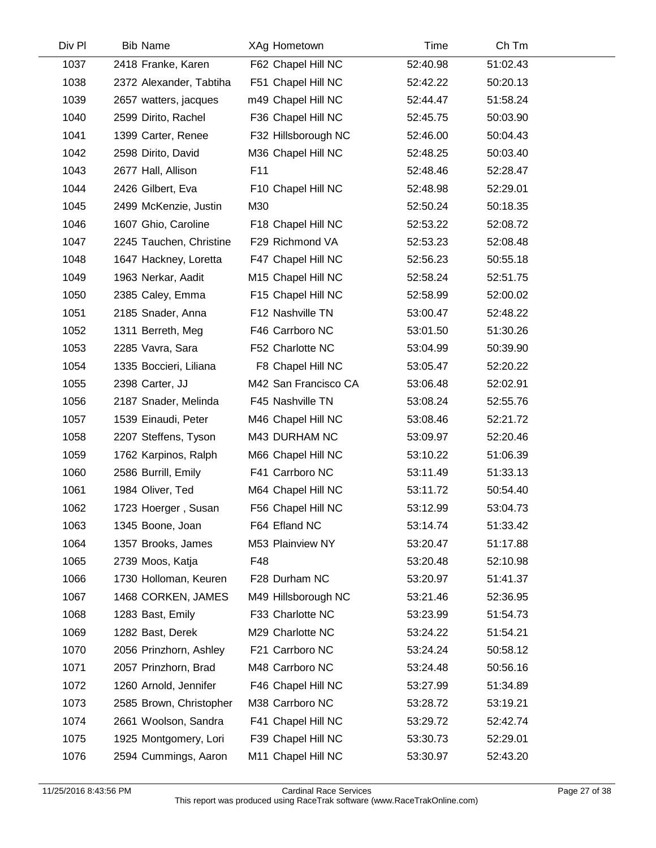| <b>Bib Name</b>         | XAg Hometown         | Time     | Ch Tm    |  |
|-------------------------|----------------------|----------|----------|--|
| 2418 Franke, Karen      | F62 Chapel Hill NC   | 52:40.98 | 51:02.43 |  |
| 2372 Alexander, Tabtiha | F51 Chapel Hill NC   | 52:42.22 | 50:20.13 |  |
| 2657 watters, jacques   | m49 Chapel Hill NC   | 52:44.47 | 51:58.24 |  |
| 2599 Dirito, Rachel     | F36 Chapel Hill NC   | 52:45.75 | 50:03.90 |  |
| 1399 Carter, Renee      | F32 Hillsborough NC  | 52:46.00 | 50:04.43 |  |
| 2598 Dirito, David      | M36 Chapel Hill NC   | 52:48.25 | 50:03.40 |  |
| 2677 Hall, Allison      | F11                  | 52:48.46 | 52:28.47 |  |
| 2426 Gilbert, Eva       | F10 Chapel Hill NC   | 52:48.98 | 52:29.01 |  |
| 2499 McKenzie, Justin   | M30                  | 52:50.24 | 50:18.35 |  |
| 1607 Ghio, Caroline     | F18 Chapel Hill NC   | 52:53.22 | 52:08.72 |  |
| 2245 Tauchen, Christine | F29 Richmond VA      | 52:53.23 | 52:08.48 |  |
| 1647 Hackney, Loretta   | F47 Chapel Hill NC   | 52:56.23 | 50:55.18 |  |
| 1963 Nerkar, Aadit      | M15 Chapel Hill NC   | 52:58.24 | 52:51.75 |  |
| 2385 Caley, Emma        | F15 Chapel Hill NC   | 52:58.99 | 52:00.02 |  |
| 2185 Snader, Anna       | F12 Nashville TN     | 53:00.47 | 52:48.22 |  |
| 1311 Berreth, Meg       | F46 Carrboro NC      | 53:01.50 | 51:30.26 |  |
| 2285 Vavra, Sara        | F52 Charlotte NC     | 53:04.99 | 50:39.90 |  |
| 1335 Boccieri, Liliana  | F8 Chapel Hill NC    | 53:05.47 | 52:20.22 |  |
| 2398 Carter, JJ         | M42 San Francisco CA | 53:06.48 | 52:02.91 |  |
| 2187 Snader, Melinda    | F45 Nashville TN     | 53:08.24 | 52:55.76 |  |
| 1539 Einaudi, Peter     | M46 Chapel Hill NC   | 53:08.46 | 52:21.72 |  |
| 2207 Steffens, Tyson    | M43 DURHAM NC        | 53:09.97 | 52:20.46 |  |
| 1762 Karpinos, Ralph    | M66 Chapel Hill NC   | 53:10.22 | 51:06.39 |  |
| 2586 Burrill, Emily     | F41 Carrboro NC      | 53:11.49 | 51:33.13 |  |
| 1984 Oliver, Ted        | M64 Chapel Hill NC   | 53:11.72 | 50:54.40 |  |
| 1723 Hoerger, Susan     | F56 Chapel Hill NC   | 53:12.99 | 53:04.73 |  |
| 1345 Boone, Joan        | F64 Efland NC        | 53:14.74 | 51:33.42 |  |
| 1357 Brooks, James      | M53 Plainview NY     | 53:20.47 | 51:17.88 |  |
| 2739 Moos, Katja        | F48                  | 53:20.48 | 52:10.98 |  |
| 1730 Holloman, Keuren   | F28 Durham NC        | 53:20.97 | 51:41.37 |  |
| 1468 CORKEN, JAMES      | M49 Hillsborough NC  | 53:21.46 | 52:36.95 |  |
| 1283 Bast, Emily        | F33 Charlotte NC     | 53:23.99 | 51:54.73 |  |
| 1282 Bast, Derek        | M29 Charlotte NC     | 53:24.22 | 51:54.21 |  |
| 2056 Prinzhorn, Ashley  | F21 Carrboro NC      | 53:24.24 | 50:58.12 |  |
| 2057 Prinzhorn, Brad    | M48 Carrboro NC      | 53:24.48 | 50:56.16 |  |
| 1260 Arnold, Jennifer   | F46 Chapel Hill NC   | 53:27.99 | 51:34.89 |  |
| 2585 Brown, Christopher | M38 Carrboro NC      | 53:28.72 | 53:19.21 |  |
| 2661 Woolson, Sandra    | F41 Chapel Hill NC   | 53:29.72 | 52:42.74 |  |
| 1925 Montgomery, Lori   | F39 Chapel Hill NC   | 53:30.73 | 52:29.01 |  |
| 2594 Cummings, Aaron    | M11 Chapel Hill NC   | 53:30.97 | 52:43.20 |  |
|                         |                      |          |          |  |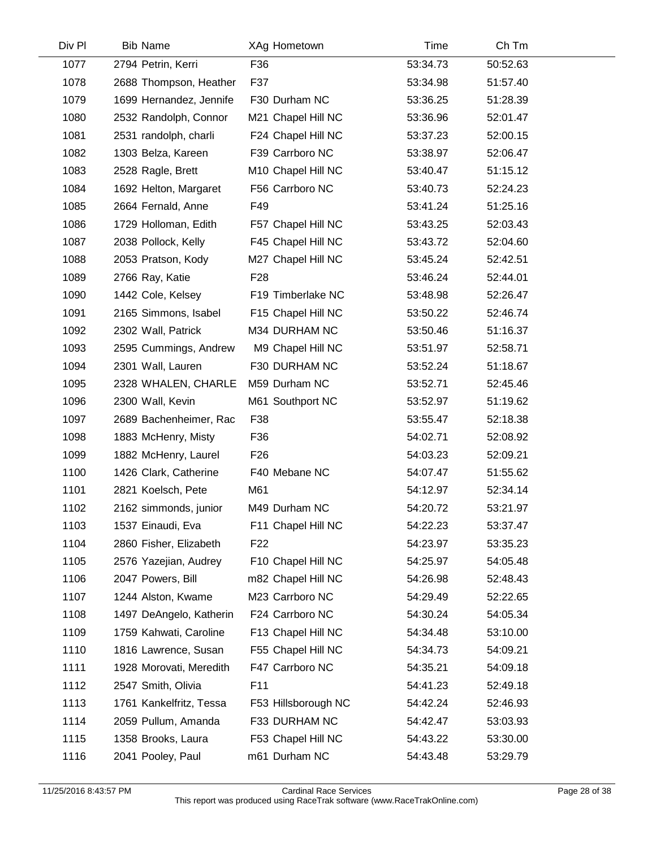| <b>Bib Name</b>         | XAg Hometown        | <b>Time</b> | Ch Tm    |  |
|-------------------------|---------------------|-------------|----------|--|
| 2794 Petrin, Kerri      | F36                 | 53:34.73    | 50:52.63 |  |
| 2688 Thompson, Heather  | F37                 | 53:34.98    | 51:57.40 |  |
| 1699 Hernandez, Jennife | F30 Durham NC       | 53:36.25    | 51:28.39 |  |
| 2532 Randolph, Connor   | M21 Chapel Hill NC  | 53:36.96    | 52:01.47 |  |
| 2531 randolph, charli   | F24 Chapel Hill NC  | 53:37.23    | 52:00.15 |  |
| 1303 Belza, Kareen      | F39 Carrboro NC     | 53:38.97    | 52:06.47 |  |
| 2528 Ragle, Brett       | M10 Chapel Hill NC  | 53:40.47    | 51:15.12 |  |
| 1692 Helton, Margaret   | F56 Carrboro NC     | 53:40.73    | 52:24.23 |  |
| 2664 Fernald, Anne      | F49                 | 53:41.24    | 51:25.16 |  |
| 1729 Holloman, Edith    | F57 Chapel Hill NC  | 53:43.25    | 52:03.43 |  |
| 2038 Pollock, Kelly     | F45 Chapel Hill NC  | 53:43.72    | 52:04.60 |  |
| 2053 Pratson, Kody      | M27 Chapel Hill NC  | 53:45.24    | 52:42.51 |  |
| 2766 Ray, Katie         | F <sub>28</sub>     | 53:46.24    | 52:44.01 |  |
| 1442 Cole, Kelsey       | F19 Timberlake NC   | 53:48.98    | 52:26.47 |  |
| 2165 Simmons, Isabel    | F15 Chapel Hill NC  | 53:50.22    | 52:46.74 |  |
| 2302 Wall, Patrick      | M34 DURHAM NC       | 53:50.46    | 51:16.37 |  |
| 2595 Cummings, Andrew   | M9 Chapel Hill NC   | 53:51.97    | 52:58.71 |  |
| 2301 Wall, Lauren       | F30 DURHAM NC       | 53:52.24    | 51:18.67 |  |
| 2328 WHALEN, CHARLE     | M59 Durham NC       | 53:52.71    | 52:45.46 |  |
| 2300 Wall, Kevin        | M61 Southport NC    | 53:52.97    | 51:19.62 |  |
| 2689 Bachenheimer, Rac  | F38                 | 53:55.47    | 52:18.38 |  |
| 1883 McHenry, Misty     | F36                 | 54:02.71    | 52:08.92 |  |
| 1882 McHenry, Laurel    | F <sub>26</sub>     | 54:03.23    | 52:09.21 |  |
| 1426 Clark, Catherine   | F40 Mebane NC       | 54:07.47    | 51:55.62 |  |
| 2821 Koelsch, Pete      | M61                 | 54:12.97    | 52:34.14 |  |
| 2162 simmonds, junior   | M49 Durham NC       | 54:20.72    | 53:21.97 |  |
| 1537 Einaudi, Eva       | F11 Chapel Hill NC  | 54:22.23    | 53:37.47 |  |
| 2860 Fisher, Elizabeth  | F <sub>22</sub>     | 54:23.97    | 53:35.23 |  |
| 2576 Yazejian, Audrey   | F10 Chapel Hill NC  | 54:25.97    | 54:05.48 |  |
| 2047 Powers, Bill       | m82 Chapel Hill NC  | 54:26.98    | 52:48.43 |  |
| 1244 Alston, Kwame      | M23 Carrboro NC     | 54:29.49    | 52:22.65 |  |
| 1497 DeAngelo, Katherin | F24 Carrboro NC     | 54:30.24    | 54:05.34 |  |
| 1759 Kahwati, Caroline  | F13 Chapel Hill NC  | 54:34.48    | 53:10.00 |  |
| 1816 Lawrence, Susan    | F55 Chapel Hill NC  | 54:34.73    | 54:09.21 |  |
| 1928 Morovati, Meredith | F47 Carrboro NC     | 54:35.21    | 54:09.18 |  |
| 2547 Smith, Olivia      | F <sub>11</sub>     | 54:41.23    | 52:49.18 |  |
| 1761 Kankelfritz, Tessa | F53 Hillsborough NC | 54:42.24    | 52:46.93 |  |
| 2059 Pullum, Amanda     | F33 DURHAM NC       | 54:42.47    | 53:03.93 |  |
| 1358 Brooks, Laura      | F53 Chapel Hill NC  | 54:43.22    | 53:30.00 |  |
| 2041 Pooley, Paul       | m61 Durham NC       | 54:43.48    | 53:29.79 |  |
|                         |                     |             |          |  |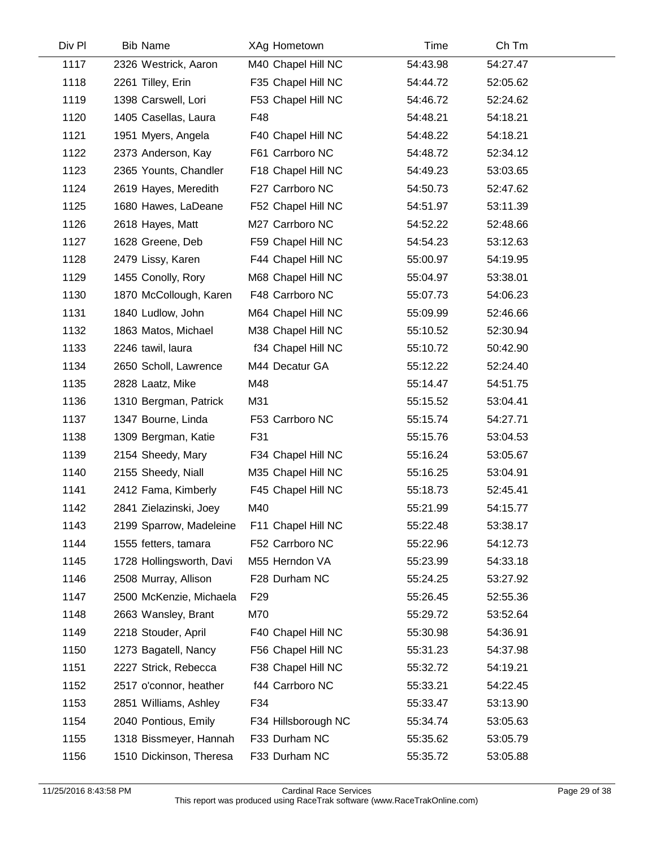| Div Pl | <b>Bib Name</b>          | XAg Hometown        | Time     | Ch Tm    |  |
|--------|--------------------------|---------------------|----------|----------|--|
| 1117   | 2326 Westrick, Aaron     | M40 Chapel Hill NC  | 54:43.98 | 54:27.47 |  |
| 1118   | 2261 Tilley, Erin        | F35 Chapel Hill NC  | 54:44.72 | 52:05.62 |  |
| 1119   | 1398 Carswell, Lori      | F53 Chapel Hill NC  | 54:46.72 | 52:24.62 |  |
| 1120   | 1405 Casellas, Laura     | F48                 | 54:48.21 | 54:18.21 |  |
| 1121   | 1951 Myers, Angela       | F40 Chapel Hill NC  | 54:48.22 | 54:18.21 |  |
| 1122   | 2373 Anderson, Kay       | F61 Carrboro NC     | 54:48.72 | 52:34.12 |  |
| 1123   | 2365 Younts, Chandler    | F18 Chapel Hill NC  | 54:49.23 | 53:03.65 |  |
| 1124   | 2619 Hayes, Meredith     | F27 Carrboro NC     | 54:50.73 | 52:47.62 |  |
| 1125   | 1680 Hawes, LaDeane      | F52 Chapel Hill NC  | 54:51.97 | 53:11.39 |  |
| 1126   | 2618 Hayes, Matt         | M27 Carrboro NC     | 54:52.22 | 52:48.66 |  |
| 1127   | 1628 Greene, Deb         | F59 Chapel Hill NC  | 54:54.23 | 53:12.63 |  |
| 1128   | 2479 Lissy, Karen        | F44 Chapel Hill NC  | 55:00.97 | 54:19.95 |  |
| 1129   | 1455 Conolly, Rory       | M68 Chapel Hill NC  | 55:04.97 | 53:38.01 |  |
| 1130   | 1870 McCollough, Karen   | F48 Carrboro NC     | 55:07.73 | 54:06.23 |  |
| 1131   | 1840 Ludlow, John        | M64 Chapel Hill NC  | 55:09.99 | 52:46.66 |  |
| 1132   | 1863 Matos, Michael      | M38 Chapel Hill NC  | 55:10.52 | 52:30.94 |  |
| 1133   | 2246 tawil, laura        | f34 Chapel Hill NC  | 55:10.72 | 50:42.90 |  |
| 1134   | 2650 Scholl, Lawrence    | M44 Decatur GA      | 55:12.22 | 52:24.40 |  |
| 1135   | 2828 Laatz, Mike         | M48                 | 55:14.47 | 54:51.75 |  |
| 1136   | 1310 Bergman, Patrick    | M31                 | 55:15.52 | 53:04.41 |  |
| 1137   | 1347 Bourne, Linda       | F53 Carrboro NC     | 55:15.74 | 54:27.71 |  |
| 1138   | 1309 Bergman, Katie      | F31                 | 55:15.76 | 53:04.53 |  |
| 1139   | 2154 Sheedy, Mary        | F34 Chapel Hill NC  | 55:16.24 | 53:05.67 |  |
| 1140   | 2155 Sheedy, Niall       | M35 Chapel Hill NC  | 55:16.25 | 53:04.91 |  |
| 1141   | 2412 Fama, Kimberly      | F45 Chapel Hill NC  | 55:18.73 | 52:45.41 |  |
| 1142   | 2841 Zielazinski, Joey   | M40                 | 55:21.99 | 54:15.77 |  |
| 1143   | 2199 Sparrow, Madeleine  | F11 Chapel Hill NC  | 55:22.48 | 53:38.17 |  |
| 1144   | 1555 fetters, tamara     | F52 Carrboro NC     | 55:22.96 | 54:12.73 |  |
| 1145   | 1728 Hollingsworth, Davi | M55 Herndon VA      | 55:23.99 | 54:33.18 |  |
| 1146   | 2508 Murray, Allison     | F28 Durham NC       | 55:24.25 | 53:27.92 |  |
| 1147   | 2500 McKenzie, Michaela  | F <sub>29</sub>     | 55:26.45 | 52:55.36 |  |
| 1148   | 2663 Wansley, Brant      | M70                 | 55:29.72 | 53:52.64 |  |
| 1149   | 2218 Stouder, April      | F40 Chapel Hill NC  | 55:30.98 | 54:36.91 |  |
| 1150   | 1273 Bagatell, Nancy     | F56 Chapel Hill NC  | 55:31.23 | 54:37.98 |  |
| 1151   | 2227 Strick, Rebecca     | F38 Chapel Hill NC  | 55:32.72 | 54:19.21 |  |
| 1152   | 2517 o'connor, heather   | f44 Carrboro NC     | 55:33.21 | 54:22.45 |  |
| 1153   | 2851 Williams, Ashley    | F34                 | 55:33.47 | 53:13.90 |  |
| 1154   | 2040 Pontious, Emily     | F34 Hillsborough NC | 55:34.74 | 53:05.63 |  |
| 1155   | 1318 Bissmeyer, Hannah   | F33 Durham NC       | 55:35.62 | 53:05.79 |  |
| 1156   | 1510 Dickinson, Theresa  | F33 Durham NC       | 55:35.72 | 53:05.88 |  |
|        |                          |                     |          |          |  |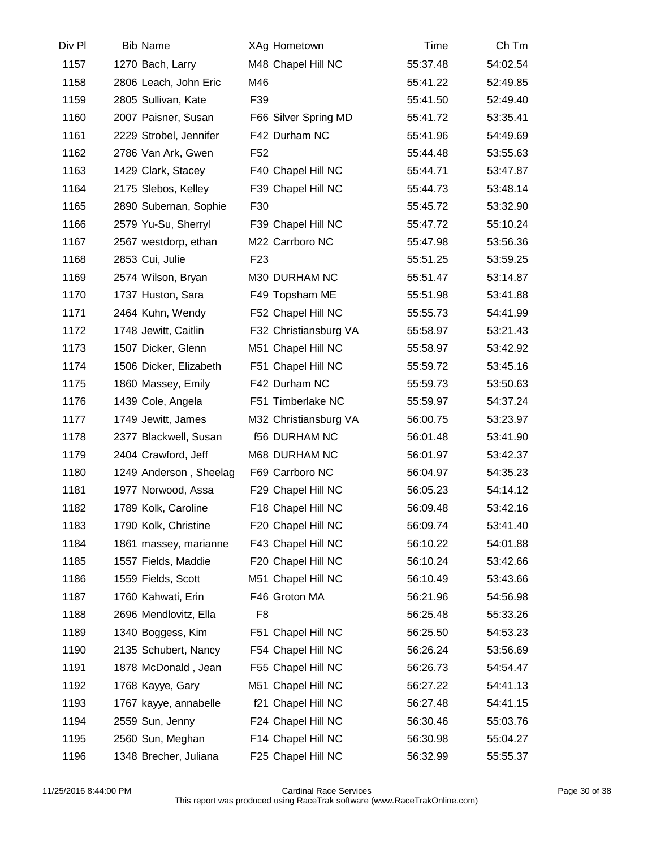| Div Pl | <b>Bib Name</b>        | XAg Hometown          | Time     | Ch Tm    |  |
|--------|------------------------|-----------------------|----------|----------|--|
| 1157   | 1270 Bach, Larry       | M48 Chapel Hill NC    | 55:37.48 | 54:02.54 |  |
| 1158   | 2806 Leach, John Eric  | M46                   | 55:41.22 | 52:49.85 |  |
| 1159   | 2805 Sullivan, Kate    | F39                   | 55:41.50 | 52:49.40 |  |
| 1160   | 2007 Paisner, Susan    | F66 Silver Spring MD  | 55:41.72 | 53:35.41 |  |
| 1161   | 2229 Strobel, Jennifer | F42 Durham NC         | 55:41.96 | 54:49.69 |  |
| 1162   | 2786 Van Ark, Gwen     | F <sub>52</sub>       | 55:44.48 | 53:55.63 |  |
| 1163   | 1429 Clark, Stacey     | F40 Chapel Hill NC    | 55:44.71 | 53:47.87 |  |
| 1164   | 2175 Slebos, Kelley    | F39 Chapel Hill NC    | 55:44.73 | 53:48.14 |  |
| 1165   | 2890 Subernan, Sophie  | F30                   | 55:45.72 | 53:32.90 |  |
| 1166   | 2579 Yu-Su, Sherryl    | F39 Chapel Hill NC    | 55:47.72 | 55:10.24 |  |
| 1167   | 2567 westdorp, ethan   | M22 Carrboro NC       | 55:47.98 | 53:56.36 |  |
| 1168   | 2853 Cui, Julie        | F <sub>23</sub>       | 55:51.25 | 53:59.25 |  |
| 1169   | 2574 Wilson, Bryan     | M30 DURHAM NC         | 55:51.47 | 53:14.87 |  |
| 1170   | 1737 Huston, Sara      | F49 Topsham ME        | 55:51.98 | 53:41.88 |  |
| 1171   | 2464 Kuhn, Wendy       | F52 Chapel Hill NC    | 55:55.73 | 54:41.99 |  |
| 1172   | 1748 Jewitt, Caitlin   | F32 Christiansburg VA | 55:58.97 | 53:21.43 |  |
| 1173   | 1507 Dicker, Glenn     | M51 Chapel Hill NC    | 55:58.97 | 53:42.92 |  |
| 1174   | 1506 Dicker, Elizabeth | F51 Chapel Hill NC    | 55:59.72 | 53:45.16 |  |
| 1175   | 1860 Massey, Emily     | F42 Durham NC         | 55:59.73 | 53:50.63 |  |
| 1176   | 1439 Cole, Angela      | F51 Timberlake NC     | 55:59.97 | 54:37.24 |  |
| 1177   | 1749 Jewitt, James     | M32 Christiansburg VA | 56:00.75 | 53:23.97 |  |
| 1178   | 2377 Blackwell, Susan  | <b>f56 DURHAM NC</b>  | 56:01.48 | 53:41.90 |  |
| 1179   | 2404 Crawford, Jeff    | M68 DURHAM NC         | 56:01.97 | 53:42.37 |  |
| 1180   | 1249 Anderson, Sheelag | F69 Carrboro NC       | 56:04.97 | 54:35.23 |  |
| 1181   | 1977 Norwood, Assa     | F29 Chapel Hill NC    | 56:05.23 | 54:14.12 |  |
| 1182   | 1789 Kolk, Caroline    | F18 Chapel Hill NC    | 56:09.48 | 53:42.16 |  |
| 1183   | 1790 Kolk, Christine   | F20 Chapel Hill NC    | 56:09.74 | 53:41.40 |  |
| 1184   | 1861 massey, marianne  | F43 Chapel Hill NC    | 56:10.22 | 54:01.88 |  |
| 1185   | 1557 Fields, Maddie    | F20 Chapel Hill NC    | 56:10.24 | 53:42.66 |  |
| 1186   | 1559 Fields, Scott     | M51 Chapel Hill NC    | 56:10.49 | 53:43.66 |  |
| 1187   | 1760 Kahwati, Erin     | F46 Groton MA         | 56:21.96 | 54:56.98 |  |
| 1188   | 2696 Mendlovitz, Ella  | F <sub>8</sub>        | 56:25.48 | 55:33.26 |  |
| 1189   | 1340 Boggess, Kim      | F51 Chapel Hill NC    | 56:25.50 | 54:53.23 |  |
| 1190   | 2135 Schubert, Nancy   | F54 Chapel Hill NC    | 56:26.24 | 53:56.69 |  |
| 1191   | 1878 McDonald, Jean    | F55 Chapel Hill NC    | 56:26.73 | 54:54.47 |  |
| 1192   | 1768 Kayye, Gary       | M51 Chapel Hill NC    | 56:27.22 | 54:41.13 |  |
| 1193   | 1767 kayye, annabelle  | f21 Chapel Hill NC    | 56:27.48 | 54:41.15 |  |
| 1194   | 2559 Sun, Jenny        | F24 Chapel Hill NC    | 56:30.46 | 55:03.76 |  |
| 1195   | 2560 Sun, Meghan       | F14 Chapel Hill NC    | 56:30.98 | 55:04.27 |  |
| 1196   | 1348 Brecher, Juliana  | F25 Chapel Hill NC    | 56:32.99 | 55:55.37 |  |
|        |                        |                       |          |          |  |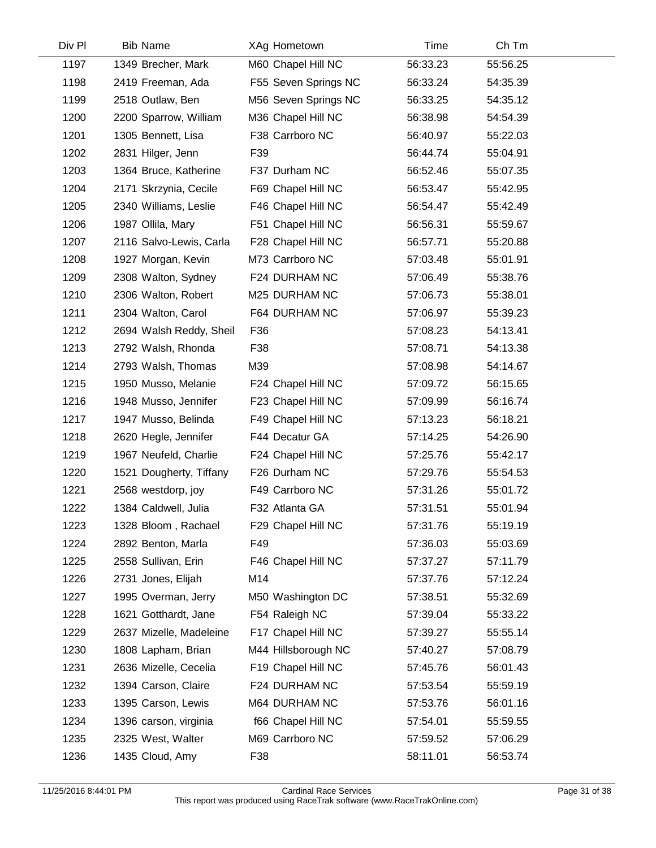| Div Pl | <b>Bib Name</b>         | XAg Hometown         | Time     | Ch Tm    |  |
|--------|-------------------------|----------------------|----------|----------|--|
| 1197   | 1349 Brecher, Mark      | M60 Chapel Hill NC   | 56:33.23 | 55:56.25 |  |
| 1198   | 2419 Freeman, Ada       | F55 Seven Springs NC | 56:33.24 | 54:35.39 |  |
| 1199   | 2518 Outlaw, Ben        | M56 Seven Springs NC | 56:33.25 | 54:35.12 |  |
| 1200   | 2200 Sparrow, William   | M36 Chapel Hill NC   | 56:38.98 | 54:54.39 |  |
| 1201   | 1305 Bennett, Lisa      | F38 Carrboro NC      | 56:40.97 | 55:22.03 |  |
| 1202   | 2831 Hilger, Jenn       | F39                  | 56:44.74 | 55:04.91 |  |
| 1203   | 1364 Bruce, Katherine   | F37 Durham NC        | 56:52.46 | 55:07.35 |  |
| 1204   | 2171 Skrzynia, Cecile   | F69 Chapel Hill NC   | 56:53.47 | 55:42.95 |  |
| 1205   | 2340 Williams, Leslie   | F46 Chapel Hill NC   | 56:54.47 | 55:42.49 |  |
| 1206   | 1987 Ollila, Mary       | F51 Chapel Hill NC   | 56:56.31 | 55:59.67 |  |
| 1207   | 2116 Salvo-Lewis, Carla | F28 Chapel Hill NC   | 56:57.71 | 55:20.88 |  |
| 1208   | 1927 Morgan, Kevin      | M73 Carrboro NC      | 57:03.48 | 55:01.91 |  |
| 1209   | 2308 Walton, Sydney     | F24 DURHAM NC        | 57:06.49 | 55:38.76 |  |
| 1210   | 2306 Walton, Robert     | M25 DURHAM NC        | 57:06.73 | 55:38.01 |  |
| 1211   | 2304 Walton, Carol      | F64 DURHAM NC        | 57:06.97 | 55:39.23 |  |
| 1212   | 2694 Walsh Reddy, Sheil | F36                  | 57:08.23 | 54:13.41 |  |
| 1213   | 2792 Walsh, Rhonda      | F38                  | 57:08.71 | 54:13.38 |  |
| 1214   | 2793 Walsh, Thomas      | M39                  | 57:08.98 | 54:14.67 |  |
| 1215   | 1950 Musso, Melanie     | F24 Chapel Hill NC   | 57:09.72 | 56:15.65 |  |
| 1216   | 1948 Musso, Jennifer    | F23 Chapel Hill NC   | 57:09.99 | 56:16.74 |  |
| 1217   | 1947 Musso, Belinda     | F49 Chapel Hill NC   | 57:13.23 | 56:18.21 |  |
| 1218   | 2620 Hegle, Jennifer    | F44 Decatur GA       | 57:14.25 | 54:26.90 |  |
| 1219   | 1967 Neufeld, Charlie   | F24 Chapel Hill NC   | 57:25.76 | 55:42.17 |  |
| 1220   | 1521 Dougherty, Tiffany | F26 Durham NC        | 57:29.76 | 55:54.53 |  |
| 1221   | 2568 westdorp, joy      | F49 Carrboro NC      | 57:31.26 | 55:01.72 |  |
| 1222   | 1384 Caldwell, Julia    | F32 Atlanta GA       | 57:31.51 | 55:01.94 |  |
| 1223   | 1328 Bloom, Rachael     | F29 Chapel Hill NC   | 57:31.76 | 55:19.19 |  |
| 1224   | 2892 Benton, Marla      | F49                  | 57:36.03 | 55:03.69 |  |
| 1225   | 2558 Sullivan, Erin     | F46 Chapel Hill NC   | 57:37.27 | 57:11.79 |  |
| 1226   | 2731 Jones, Elijah      | M14                  | 57:37.76 | 57:12.24 |  |
| 1227   | 1995 Overman, Jerry     | M50 Washington DC    | 57:38.51 | 55:32.69 |  |
| 1228   | 1621 Gotthardt, Jane    | F54 Raleigh NC       | 57:39.04 | 55:33.22 |  |
| 1229   | 2637 Mizelle, Madeleine | F17 Chapel Hill NC   | 57:39.27 | 55:55.14 |  |
| 1230   | 1808 Lapham, Brian      | M44 Hillsborough NC  | 57:40.27 | 57:08.79 |  |
| 1231   | 2636 Mizelle, Cecelia   | F19 Chapel Hill NC   | 57:45.76 | 56:01.43 |  |
| 1232   | 1394 Carson, Claire     | F24 DURHAM NC        | 57:53.54 | 55:59.19 |  |
| 1233   | 1395 Carson, Lewis      | M64 DURHAM NC        | 57:53.76 | 56:01.16 |  |
| 1234   | 1396 carson, virginia   | f66 Chapel Hill NC   | 57:54.01 | 55:59.55 |  |
| 1235   | 2325 West, Walter       | M69 Carrboro NC      | 57:59.52 | 57:06.29 |  |
| 1236   | 1435 Cloud, Amy         | F38                  | 58:11.01 | 56:53.74 |  |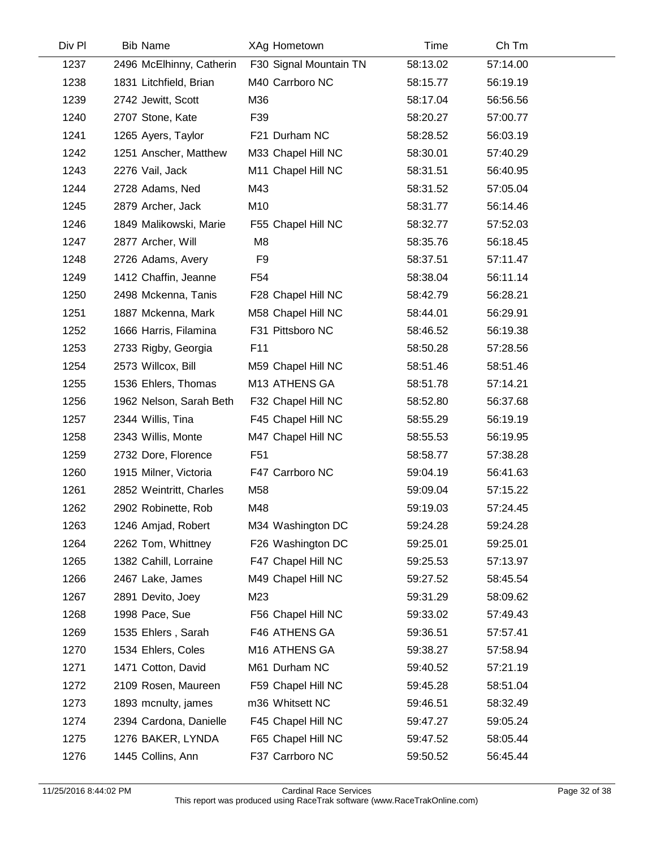| Div Pl | <b>Bib Name</b>          | XAg Hometown           | Time     | Ch Tm    |  |
|--------|--------------------------|------------------------|----------|----------|--|
| 1237   | 2496 McElhinny, Catherin | F30 Signal Mountain TN | 58:13.02 | 57:14.00 |  |
| 1238   | 1831 Litchfield, Brian   | M40 Carrboro NC        | 58:15.77 | 56:19.19 |  |
| 1239   | 2742 Jewitt, Scott       | M36                    | 58:17.04 | 56:56.56 |  |
| 1240   | 2707 Stone, Kate         | F39                    | 58:20.27 | 57:00.77 |  |
| 1241   | 1265 Ayers, Taylor       | F21 Durham NC          | 58:28.52 | 56:03.19 |  |
| 1242   | 1251 Anscher, Matthew    | M33 Chapel Hill NC     | 58:30.01 | 57:40.29 |  |
| 1243   | 2276 Vail, Jack          | M11 Chapel Hill NC     | 58:31.51 | 56:40.95 |  |
| 1244   | 2728 Adams, Ned          | M43                    | 58:31.52 | 57:05.04 |  |
| 1245   | 2879 Archer, Jack        | M10                    | 58:31.77 | 56:14.46 |  |
| 1246   | 1849 Malikowski, Marie   | F55 Chapel Hill NC     | 58:32.77 | 57:52.03 |  |
| 1247   | 2877 Archer, Will        | M <sub>8</sub>         | 58:35.76 | 56:18.45 |  |
| 1248   | 2726 Adams, Avery        | F <sub>9</sub>         | 58:37.51 | 57:11.47 |  |
| 1249   | 1412 Chaffin, Jeanne     | F <sub>54</sub>        | 58:38.04 | 56:11.14 |  |
| 1250   | 2498 Mckenna, Tanis      | F28 Chapel Hill NC     | 58:42.79 | 56:28.21 |  |
| 1251   | 1887 Mckenna, Mark       | M58 Chapel Hill NC     | 58:44.01 | 56:29.91 |  |
| 1252   | 1666 Harris, Filamina    | F31 Pittsboro NC       | 58:46.52 | 56:19.38 |  |
| 1253   | 2733 Rigby, Georgia      | F11                    | 58:50.28 | 57:28.56 |  |
| 1254   | 2573 Willcox, Bill       | M59 Chapel Hill NC     | 58:51.46 | 58:51.46 |  |
| 1255   | 1536 Ehlers, Thomas      | M13 ATHENS GA          | 58:51.78 | 57:14.21 |  |
| 1256   | 1962 Nelson, Sarah Beth  | F32 Chapel Hill NC     | 58:52.80 | 56:37.68 |  |
| 1257   | 2344 Willis, Tina        | F45 Chapel Hill NC     | 58:55.29 | 56:19.19 |  |
| 1258   | 2343 Willis, Monte       | M47 Chapel Hill NC     | 58:55.53 | 56:19.95 |  |
| 1259   | 2732 Dore, Florence      | F <sub>51</sub>        | 58:58.77 | 57:38.28 |  |
| 1260   | 1915 Milner, Victoria    | F47 Carrboro NC        | 59:04.19 | 56:41.63 |  |
| 1261   | 2852 Weintritt, Charles  | M58                    | 59:09.04 | 57:15.22 |  |
| 1262   | 2902 Robinette, Rob      | M48                    | 59:19.03 | 57:24.45 |  |
| 1263   | 1246 Amjad, Robert       | M34 Washington DC      | 59:24.28 | 59:24.28 |  |
| 1264   | 2262 Tom, Whittney       | F26 Washington DC      | 59:25.01 | 59:25.01 |  |
| 1265   | 1382 Cahill, Lorraine    | F47 Chapel Hill NC     | 59:25.53 | 57:13.97 |  |
| 1266   | 2467 Lake, James         | M49 Chapel Hill NC     | 59:27.52 | 58:45.54 |  |
| 1267   | 2891 Devito, Joey        | M23                    | 59:31.29 | 58:09.62 |  |
| 1268   | 1998 Pace, Sue           | F56 Chapel Hill NC     | 59:33.02 | 57:49.43 |  |
| 1269   | 1535 Ehlers, Sarah       | F46 ATHENS GA          | 59:36.51 | 57:57.41 |  |
| 1270   | 1534 Ehlers, Coles       | M16 ATHENS GA          | 59:38.27 | 57:58.94 |  |
| 1271   | 1471 Cotton, David       | M61 Durham NC          | 59:40.52 | 57:21.19 |  |
| 1272   | 2109 Rosen, Maureen      | F59 Chapel Hill NC     | 59:45.28 | 58:51.04 |  |
| 1273   | 1893 mcnulty, james      | m36 Whitsett NC        | 59:46.51 | 58:32.49 |  |
| 1274   | 2394 Cardona, Danielle   | F45 Chapel Hill NC     | 59:47.27 | 59:05.24 |  |
| 1275   | 1276 BAKER, LYNDA        | F65 Chapel Hill NC     | 59:47.52 | 58:05.44 |  |
| 1276   | 1445 Collins, Ann        | F37 Carrboro NC        | 59:50.52 | 56:45.44 |  |
|        |                          |                        |          |          |  |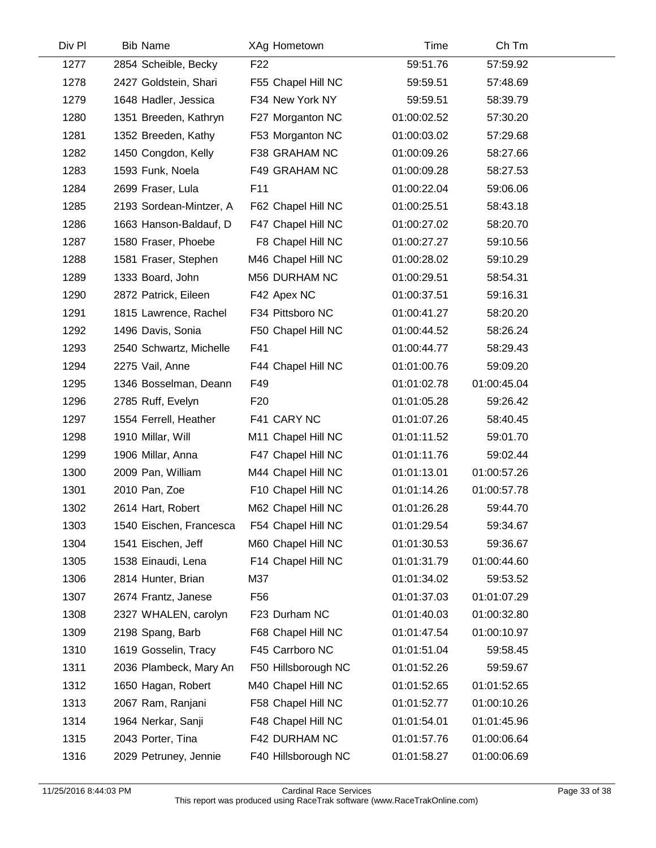| Div Pl | <b>Bib Name</b>         | XAg Hometown        | Time        | Ch Tm       |  |
|--------|-------------------------|---------------------|-------------|-------------|--|
| 1277   | 2854 Scheible, Becky    | F <sub>22</sub>     | 59:51.76    | 57:59.92    |  |
| 1278   | 2427 Goldstein, Shari   | F55 Chapel Hill NC  | 59:59.51    | 57:48.69    |  |
| 1279   | 1648 Hadler, Jessica    | F34 New York NY     | 59:59.51    | 58:39.79    |  |
| 1280   | 1351 Breeden, Kathryn   | F27 Morganton NC    | 01:00:02.52 | 57:30.20    |  |
| 1281   | 1352 Breeden, Kathy     | F53 Morganton NC    | 01:00:03.02 | 57:29.68    |  |
| 1282   | 1450 Congdon, Kelly     | F38 GRAHAM NC       | 01:00:09.26 | 58:27.66    |  |
| 1283   | 1593 Funk, Noela        | F49 GRAHAM NC       | 01:00:09.28 | 58:27.53    |  |
| 1284   | 2699 Fraser, Lula       | F11                 | 01:00:22.04 | 59:06.06    |  |
| 1285   | 2193 Sordean-Mintzer, A | F62 Chapel Hill NC  | 01:00:25.51 | 58:43.18    |  |
| 1286   | 1663 Hanson-Baldauf, D  | F47 Chapel Hill NC  | 01:00:27.02 | 58:20.70    |  |
| 1287   | 1580 Fraser, Phoebe     | F8 Chapel Hill NC   | 01:00:27.27 | 59:10.56    |  |
| 1288   | 1581 Fraser, Stephen    | M46 Chapel Hill NC  | 01:00:28.02 | 59:10.29    |  |
| 1289   | 1333 Board, John        | M56 DURHAM NC       | 01:00:29.51 | 58:54.31    |  |
| 1290   | 2872 Patrick, Eileen    | F42 Apex NC         | 01:00:37.51 | 59:16.31    |  |
| 1291   | 1815 Lawrence, Rachel   | F34 Pittsboro NC    | 01:00:41.27 | 58:20.20    |  |
| 1292   | 1496 Davis, Sonia       | F50 Chapel Hill NC  | 01:00:44.52 | 58:26.24    |  |
| 1293   | 2540 Schwartz, Michelle | F41                 | 01:00:44.77 | 58:29.43    |  |
| 1294   | 2275 Vail, Anne         | F44 Chapel Hill NC  | 01:01:00.76 | 59:09.20    |  |
| 1295   | 1346 Bosselman, Deann   | F49                 | 01:01:02.78 | 01:00:45.04 |  |
| 1296   | 2785 Ruff, Evelyn       | F <sub>20</sub>     | 01:01:05.28 | 59:26.42    |  |
| 1297   | 1554 Ferrell, Heather   | F41 CARY NC         | 01:01:07.26 | 58:40.45    |  |
| 1298   | 1910 Millar, Will       | M11 Chapel Hill NC  | 01:01:11.52 | 59:01.70    |  |
| 1299   | 1906 Millar, Anna       | F47 Chapel Hill NC  | 01:01:11.76 | 59:02.44    |  |
| 1300   | 2009 Pan, William       | M44 Chapel Hill NC  | 01:01:13.01 | 01:00:57.26 |  |
| 1301   | 2010 Pan, Zoe           | F10 Chapel Hill NC  | 01:01:14.26 | 01:00:57.78 |  |
| 1302   | 2614 Hart, Robert       | M62 Chapel Hill NC  | 01:01:26.28 | 59:44.70    |  |
| 1303   | 1540 Eischen, Francesca | F54 Chapel Hill NC  | 01:01:29.54 | 59:34.67    |  |
| 1304   | 1541 Eischen, Jeff      | M60 Chapel Hill NC  | 01:01:30.53 | 59:36.67    |  |
| 1305   | 1538 Einaudi, Lena      | F14 Chapel Hill NC  | 01:01:31.79 | 01:00:44.60 |  |
| 1306   | 2814 Hunter, Brian      | M37                 | 01:01:34.02 | 59:53.52    |  |
| 1307   | 2674 Frantz, Janese     | F <sub>56</sub>     | 01:01:37.03 | 01:01:07.29 |  |
| 1308   | 2327 WHALEN, carolyn    | F23 Durham NC       | 01:01:40.03 | 01:00:32.80 |  |
| 1309   | 2198 Spang, Barb        | F68 Chapel Hill NC  | 01:01:47.54 | 01:00:10.97 |  |
| 1310   | 1619 Gosselin, Tracy    | F45 Carrboro NC     | 01:01:51.04 | 59:58.45    |  |
| 1311   | 2036 Plambeck, Mary An  | F50 Hillsborough NC | 01:01:52.26 | 59:59.67    |  |
| 1312   | 1650 Hagan, Robert      | M40 Chapel Hill NC  | 01:01:52.65 | 01:01:52.65 |  |
| 1313   | 2067 Ram, Ranjani       | F58 Chapel Hill NC  | 01:01:52.77 | 01:00:10.26 |  |
| 1314   | 1964 Nerkar, Sanji      | F48 Chapel Hill NC  | 01:01:54.01 | 01:01:45.96 |  |
| 1315   | 2043 Porter, Tina       | F42 DURHAM NC       | 01:01:57.76 | 01:00:06.64 |  |
| 1316   | 2029 Petruney, Jennie   | F40 Hillsborough NC | 01:01:58.27 | 01:00:06.69 |  |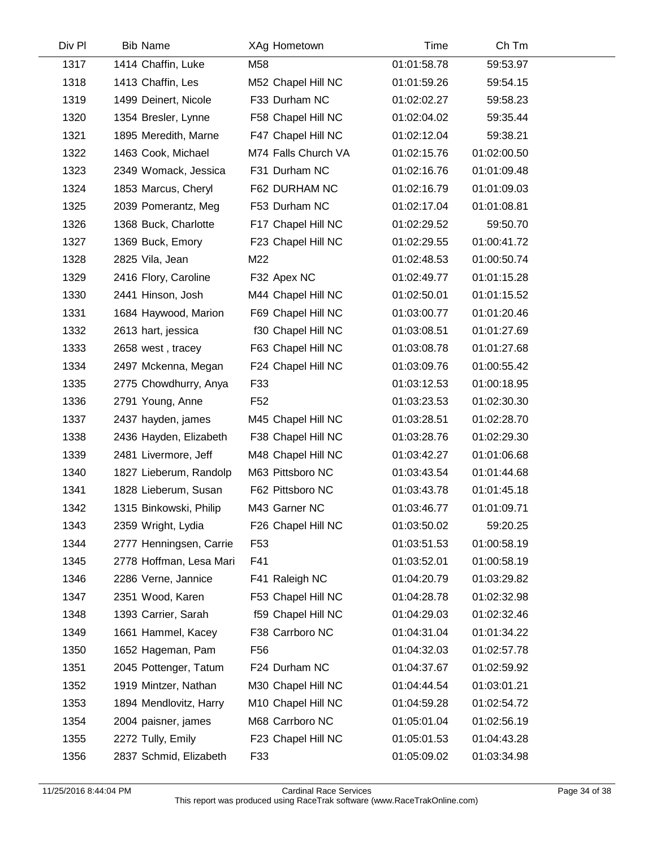| Div Pl | <b>Bib Name</b>         | XAg Hometown        | Time        | Ch Tm       |  |
|--------|-------------------------|---------------------|-------------|-------------|--|
| 1317   | 1414 Chaffin, Luke      | M58                 | 01:01:58.78 | 59:53.97    |  |
| 1318   | 1413 Chaffin, Les       | M52 Chapel Hill NC  | 01:01:59.26 | 59:54.15    |  |
| 1319   | 1499 Deinert, Nicole    | F33 Durham NC       | 01:02:02.27 | 59:58.23    |  |
| 1320   | 1354 Bresler, Lynne     | F58 Chapel Hill NC  | 01:02:04.02 | 59:35.44    |  |
| 1321   | 1895 Meredith, Marne    | F47 Chapel Hill NC  | 01:02:12.04 | 59:38.21    |  |
| 1322   | 1463 Cook, Michael      | M74 Falls Church VA | 01:02:15.76 | 01:02:00.50 |  |
| 1323   | 2349 Womack, Jessica    | F31 Durham NC       | 01:02:16.76 | 01:01:09.48 |  |
| 1324   | 1853 Marcus, Cheryl     | F62 DURHAM NC       | 01:02:16.79 | 01:01:09.03 |  |
| 1325   | 2039 Pomerantz, Meg     | F53 Durham NC       | 01:02:17.04 | 01:01:08.81 |  |
| 1326   | 1368 Buck, Charlotte    | F17 Chapel Hill NC  | 01:02:29.52 | 59:50.70    |  |
| 1327   | 1369 Buck, Emory        | F23 Chapel Hill NC  | 01:02:29.55 | 01:00:41.72 |  |
| 1328   | 2825 Vila, Jean         | M22                 | 01:02:48.53 | 01:00:50.74 |  |
| 1329   | 2416 Flory, Caroline    | F32 Apex NC         | 01:02:49.77 | 01:01:15.28 |  |
| 1330   | 2441 Hinson, Josh       | M44 Chapel Hill NC  | 01:02:50.01 | 01:01:15.52 |  |
| 1331   | 1684 Haywood, Marion    | F69 Chapel Hill NC  | 01:03:00.77 | 01:01:20.46 |  |
| 1332   | 2613 hart, jessica      | f30 Chapel Hill NC  | 01:03:08.51 | 01:01:27.69 |  |
| 1333   | 2658 west, tracey       | F63 Chapel Hill NC  | 01:03:08.78 | 01:01:27.68 |  |
| 1334   | 2497 Mckenna, Megan     | F24 Chapel Hill NC  | 01:03:09.76 | 01:00:55.42 |  |
| 1335   | 2775 Chowdhurry, Anya   | F33                 | 01:03:12.53 | 01:00:18.95 |  |
| 1336   | 2791 Young, Anne        | F <sub>52</sub>     | 01:03:23.53 | 01:02:30.30 |  |
| 1337   | 2437 hayden, james      | M45 Chapel Hill NC  | 01:03:28.51 | 01:02:28.70 |  |
| 1338   | 2436 Hayden, Elizabeth  | F38 Chapel Hill NC  | 01:03:28.76 | 01:02:29.30 |  |
| 1339   | 2481 Livermore, Jeff    | M48 Chapel Hill NC  | 01:03:42.27 | 01:01:06.68 |  |
| 1340   | 1827 Lieberum, Randolp  | M63 Pittsboro NC    | 01:03:43.54 | 01:01:44.68 |  |
| 1341   | 1828 Lieberum, Susan    | F62 Pittsboro NC    | 01:03:43.78 | 01:01:45.18 |  |
| 1342   | 1315 Binkowski, Philip  | M43 Garner NC       | 01:03:46.77 | 01:01:09.71 |  |
| 1343   | 2359 Wright, Lydia      | F26 Chapel Hill NC  | 01:03:50.02 | 59:20.25    |  |
| 1344   | 2777 Henningsen, Carrie | F <sub>53</sub>     | 01:03:51.53 | 01:00:58.19 |  |
| 1345   | 2778 Hoffman, Lesa Mari | F41                 | 01:03:52.01 | 01:00:58.19 |  |
| 1346   | 2286 Verne, Jannice     | F41 Raleigh NC      | 01:04:20.79 | 01:03:29.82 |  |
| 1347   | 2351 Wood, Karen        | F53 Chapel Hill NC  | 01:04:28.78 | 01:02:32.98 |  |
| 1348   | 1393 Carrier, Sarah     | f59 Chapel Hill NC  | 01:04:29.03 | 01:02:32.46 |  |
| 1349   | 1661 Hammel, Kacey      | F38 Carrboro NC     | 01:04:31.04 | 01:01:34.22 |  |
| 1350   | 1652 Hageman, Pam       | F <sub>56</sub>     | 01:04:32.03 | 01:02:57.78 |  |
| 1351   | 2045 Pottenger, Tatum   | F24 Durham NC       | 01:04:37.67 | 01:02:59.92 |  |
| 1352   | 1919 Mintzer, Nathan    | M30 Chapel Hill NC  | 01:04:44.54 | 01:03:01.21 |  |
| 1353   | 1894 Mendlovitz, Harry  | M10 Chapel Hill NC  | 01:04:59.28 | 01:02:54.72 |  |
| 1354   | 2004 paisner, james     | M68 Carrboro NC     | 01:05:01.04 | 01:02:56.19 |  |
| 1355   | 2272 Tully, Emily       | F23 Chapel Hill NC  | 01:05:01.53 | 01:04:43.28 |  |
| 1356   | 2837 Schmid, Elizabeth  | F33                 | 01:05:09.02 | 01:03:34.98 |  |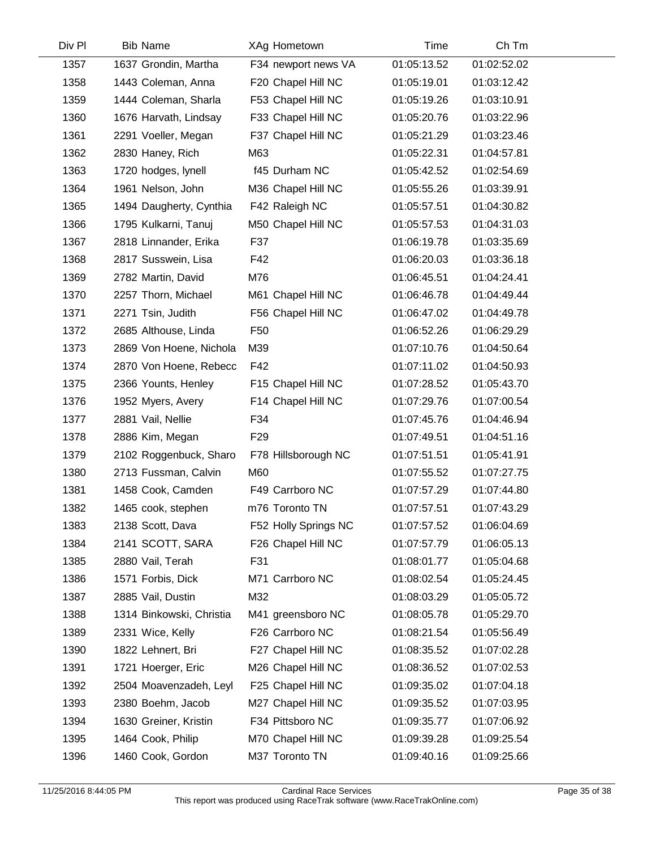| Div Pl | <b>Bib Name</b>          | XAg Hometown         | Time        | Ch Tm       |  |
|--------|--------------------------|----------------------|-------------|-------------|--|
| 1357   | 1637 Grondin, Martha     | F34 newport news VA  | 01:05:13.52 | 01:02:52.02 |  |
| 1358   | 1443 Coleman, Anna       | F20 Chapel Hill NC   | 01:05:19.01 | 01:03:12.42 |  |
| 1359   | 1444 Coleman, Sharla     | F53 Chapel Hill NC   | 01:05:19.26 | 01:03:10.91 |  |
| 1360   | 1676 Harvath, Lindsay    | F33 Chapel Hill NC   | 01:05:20.76 | 01:03:22.96 |  |
| 1361   | 2291 Voeller, Megan      | F37 Chapel Hill NC   | 01:05:21.29 | 01:03:23.46 |  |
| 1362   | 2830 Haney, Rich         | M63                  | 01:05:22.31 | 01:04:57.81 |  |
| 1363   | 1720 hodges, lynell      | f45 Durham NC        | 01:05:42.52 | 01:02:54.69 |  |
| 1364   | 1961 Nelson, John        | M36 Chapel Hill NC   | 01:05:55.26 | 01:03:39.91 |  |
| 1365   | 1494 Daugherty, Cynthia  | F42 Raleigh NC       | 01:05:57.51 | 01:04:30.82 |  |
| 1366   | 1795 Kulkarni, Tanuj     | M50 Chapel Hill NC   | 01:05:57.53 | 01:04:31.03 |  |
| 1367   | 2818 Linnander, Erika    | F37                  | 01:06:19.78 | 01:03:35.69 |  |
| 1368   | 2817 Susswein, Lisa      | F42                  | 01:06:20.03 | 01:03:36.18 |  |
| 1369   | 2782 Martin, David       | M76                  | 01:06:45.51 | 01:04:24.41 |  |
| 1370   | 2257 Thorn, Michael      | M61 Chapel Hill NC   | 01:06:46.78 | 01:04:49.44 |  |
| 1371   | 2271 Tsin, Judith        | F56 Chapel Hill NC   | 01:06:47.02 | 01:04:49.78 |  |
| 1372   | 2685 Althouse, Linda     | F <sub>50</sub>      | 01:06:52.26 | 01:06:29.29 |  |
| 1373   | 2869 Von Hoene, Nichola  | M39                  | 01:07:10.76 | 01:04:50.64 |  |
| 1374   | 2870 Von Hoene, Rebecc   | F42                  | 01:07:11.02 | 01:04:50.93 |  |
| 1375   | 2366 Younts, Henley      | F15 Chapel Hill NC   | 01:07:28.52 | 01:05:43.70 |  |
| 1376   | 1952 Myers, Avery        | F14 Chapel Hill NC   | 01:07:29.76 | 01:07:00.54 |  |
| 1377   | 2881 Vail, Nellie        | F34                  | 01:07:45.76 | 01:04:46.94 |  |
| 1378   | 2886 Kim, Megan          | F <sub>29</sub>      | 01:07:49.51 | 01:04:51.16 |  |
| 1379   | 2102 Roggenbuck, Sharo   | F78 Hillsborough NC  | 01:07:51.51 | 01:05:41.91 |  |
| 1380   | 2713 Fussman, Calvin     | M60                  | 01:07:55.52 | 01:07:27.75 |  |
| 1381   | 1458 Cook, Camden        | F49 Carrboro NC      | 01:07:57.29 | 01:07:44.80 |  |
| 1382   | 1465 cook, stephen       | m76 Toronto TN       | 01:07:57.51 | 01:07:43.29 |  |
| 1383   | 2138 Scott, Dava         | F52 Holly Springs NC | 01:07:57.52 | 01:06:04.69 |  |
| 1384   | 2141 SCOTT, SARA         | F26 Chapel Hill NC   | 01:07:57.79 | 01:06:05.13 |  |
| 1385   | 2880 Vail, Terah         | F31                  | 01:08:01.77 | 01:05:04.68 |  |
| 1386   | 1571 Forbis, Dick        | M71 Carrboro NC      | 01:08:02.54 | 01:05:24.45 |  |
| 1387   | 2885 Vail, Dustin        | M32                  | 01:08:03.29 | 01:05:05.72 |  |
| 1388   | 1314 Binkowski, Christia | M41 greensboro NC    | 01:08:05.78 | 01:05:29.70 |  |
| 1389   | 2331 Wice, Kelly         | F26 Carrboro NC      | 01:08:21.54 | 01:05:56.49 |  |
| 1390   | 1822 Lehnert, Bri        | F27 Chapel Hill NC   | 01:08:35.52 | 01:07:02.28 |  |
| 1391   | 1721 Hoerger, Eric       | M26 Chapel Hill NC   | 01:08:36.52 | 01:07:02.53 |  |
| 1392   | 2504 Moavenzadeh, Leyl   | F25 Chapel Hill NC   | 01:09:35.02 | 01:07:04.18 |  |
| 1393   | 2380 Boehm, Jacob        | M27 Chapel Hill NC   | 01:09:35.52 | 01:07:03.95 |  |
| 1394   | 1630 Greiner, Kristin    | F34 Pittsboro NC     | 01:09:35.77 | 01:07:06.92 |  |
| 1395   | 1464 Cook, Philip        | M70 Chapel Hill NC   | 01:09:39.28 | 01:09:25.54 |  |
| 1396   | 1460 Cook, Gordon        | M37 Toronto TN       | 01:09:40.16 | 01:09:25.66 |  |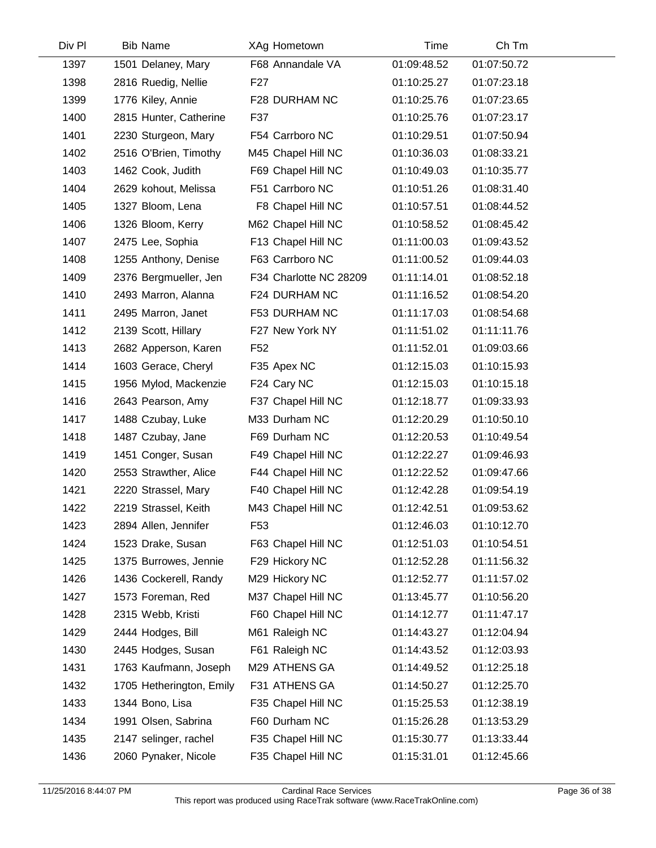| Div Pl | <b>Bib Name</b>          | XAg Hometown           | Time        | Ch Tm       |  |
|--------|--------------------------|------------------------|-------------|-------------|--|
| 1397   | 1501 Delaney, Mary       | F68 Annandale VA       | 01:09:48.52 | 01:07:50.72 |  |
| 1398   | 2816 Ruedig, Nellie      | F <sub>27</sub>        | 01:10:25.27 | 01:07:23.18 |  |
| 1399   | 1776 Kiley, Annie        | F28 DURHAM NC          | 01:10:25.76 | 01:07:23.65 |  |
| 1400   | 2815 Hunter, Catherine   | F37                    | 01:10:25.76 | 01:07:23.17 |  |
| 1401   | 2230 Sturgeon, Mary      | F54 Carrboro NC        | 01:10:29.51 | 01:07:50.94 |  |
| 1402   | 2516 O'Brien, Timothy    | M45 Chapel Hill NC     | 01:10:36.03 | 01:08:33.21 |  |
| 1403   | 1462 Cook, Judith        | F69 Chapel Hill NC     | 01:10:49.03 | 01:10:35.77 |  |
| 1404   | 2629 kohout, Melissa     | F51 Carrboro NC        | 01:10:51.26 | 01:08:31.40 |  |
| 1405   | 1327 Bloom, Lena         | F8 Chapel Hill NC      | 01:10:57.51 | 01:08:44.52 |  |
| 1406   | 1326 Bloom, Kerry        | M62 Chapel Hill NC     | 01:10:58.52 | 01:08:45.42 |  |
| 1407   | 2475 Lee, Sophia         | F13 Chapel Hill NC     | 01:11:00.03 | 01:09:43.52 |  |
| 1408   | 1255 Anthony, Denise     | F63 Carrboro NC        | 01:11:00.52 | 01:09:44.03 |  |
| 1409   | 2376 Bergmueller, Jen    | F34 Charlotte NC 28209 | 01:11:14.01 | 01:08:52.18 |  |
| 1410   | 2493 Marron, Alanna      | F24 DURHAM NC          | 01:11:16.52 | 01:08:54.20 |  |
| 1411   | 2495 Marron, Janet       | F53 DURHAM NC          | 01:11:17.03 | 01:08:54.68 |  |
| 1412   | 2139 Scott, Hillary      | F27 New York NY        | 01:11:51.02 | 01:11:11.76 |  |
| 1413   | 2682 Apperson, Karen     | F <sub>52</sub>        | 01:11:52.01 | 01:09:03.66 |  |
| 1414   | 1603 Gerace, Cheryl      | F35 Apex NC            | 01:12:15.03 | 01:10:15.93 |  |
| 1415   | 1956 Mylod, Mackenzie    | F24 Cary NC            | 01:12:15.03 | 01:10:15.18 |  |
| 1416   | 2643 Pearson, Amy        | F37 Chapel Hill NC     | 01:12:18.77 | 01:09:33.93 |  |
| 1417   | 1488 Czubay, Luke        | M33 Durham NC          | 01:12:20.29 | 01:10:50.10 |  |
| 1418   | 1487 Czubay, Jane        | F69 Durham NC          | 01:12:20.53 | 01:10:49.54 |  |
| 1419   | 1451 Conger, Susan       | F49 Chapel Hill NC     | 01:12:22.27 | 01:09:46.93 |  |
| 1420   | 2553 Strawther, Alice    | F44 Chapel Hill NC     | 01:12:22.52 | 01:09:47.66 |  |
| 1421   | 2220 Strassel, Mary      | F40 Chapel Hill NC     | 01:12:42.28 | 01:09:54.19 |  |
| 1422   | 2219 Strassel, Keith     | M43 Chapel Hill NC     | 01:12:42.51 | 01:09:53.62 |  |
| 1423   | 2894 Allen, Jennifer     | F <sub>53</sub>        | 01:12:46.03 | 01:10:12.70 |  |
| 1424   | 1523 Drake, Susan        | F63 Chapel Hill NC     | 01:12:51.03 | 01:10:54.51 |  |
| 1425   | 1375 Burrowes, Jennie    | F29 Hickory NC         | 01:12:52.28 | 01:11:56.32 |  |
| 1426   | 1436 Cockerell, Randy    | M29 Hickory NC         | 01:12:52.77 | 01:11:57.02 |  |
| 1427   | 1573 Foreman, Red        | M37 Chapel Hill NC     | 01:13:45.77 | 01:10:56.20 |  |
| 1428   | 2315 Webb, Kristi        | F60 Chapel Hill NC     | 01:14:12.77 | 01:11:47.17 |  |
| 1429   | 2444 Hodges, Bill        | M61 Raleigh NC         | 01:14:43.27 | 01:12:04.94 |  |
| 1430   | 2445 Hodges, Susan       | F61 Raleigh NC         | 01:14:43.52 | 01:12:03.93 |  |
| 1431   | 1763 Kaufmann, Joseph    | M29 ATHENS GA          | 01:14:49.52 | 01:12:25.18 |  |
| 1432   | 1705 Hetherington, Emily | F31 ATHENS GA          | 01:14:50.27 | 01:12:25.70 |  |
| 1433   | 1344 Bono, Lisa          | F35 Chapel Hill NC     | 01:15:25.53 | 01:12:38.19 |  |
| 1434   | 1991 Olsen, Sabrina      | F60 Durham NC          | 01:15:26.28 | 01:13:53.29 |  |
| 1435   | 2147 selinger, rachel    | F35 Chapel Hill NC     | 01:15:30.77 | 01:13:33.44 |  |
| 1436   | 2060 Pynaker, Nicole     | F35 Chapel Hill NC     | 01:15:31.01 | 01:12:45.66 |  |
|        |                          |                        |             |             |  |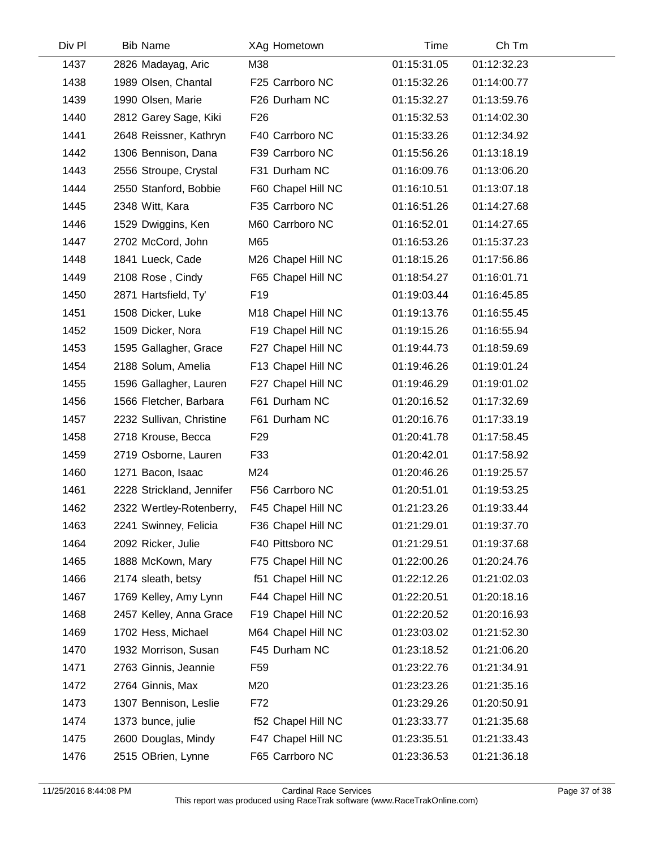| Div Pl | <b>Bib Name</b>           | XAg Hometown       | Time        | Ch Tm       |  |
|--------|---------------------------|--------------------|-------------|-------------|--|
| 1437   | 2826 Madayag, Aric        | M38                | 01:15:31.05 | 01:12:32.23 |  |
| 1438   | 1989 Olsen, Chantal       | F25 Carrboro NC    | 01:15:32.26 | 01:14:00.77 |  |
| 1439   | 1990 Olsen, Marie         | F26 Durham NC      | 01:15:32.27 | 01:13:59.76 |  |
| 1440   | 2812 Garey Sage, Kiki     | F <sub>26</sub>    | 01:15:32.53 | 01:14:02.30 |  |
| 1441   | 2648 Reissner, Kathryn    | F40 Carrboro NC    | 01:15:33.26 | 01:12:34.92 |  |
| 1442   | 1306 Bennison, Dana       | F39 Carrboro NC    | 01:15:56.26 | 01:13:18.19 |  |
| 1443   | 2556 Stroupe, Crystal     | F31 Durham NC      | 01:16:09.76 | 01:13:06.20 |  |
| 1444   | 2550 Stanford, Bobbie     | F60 Chapel Hill NC | 01:16:10.51 | 01:13:07.18 |  |
| 1445   | 2348 Witt, Kara           | F35 Carrboro NC    | 01:16:51.26 | 01:14:27.68 |  |
| 1446   | 1529 Dwiggins, Ken        | M60 Carrboro NC    | 01:16:52.01 | 01:14:27.65 |  |
| 1447   | 2702 McCord, John         | M65                | 01:16:53.26 | 01:15:37.23 |  |
| 1448   | 1841 Lueck, Cade          | M26 Chapel Hill NC | 01:18:15.26 | 01:17:56.86 |  |
| 1449   | 2108 Rose, Cindy          | F65 Chapel Hill NC | 01:18:54.27 | 01:16:01.71 |  |
| 1450   | 2871 Hartsfield, Ty'      | F <sub>19</sub>    | 01:19:03.44 | 01:16:45.85 |  |
| 1451   | 1508 Dicker, Luke         | M18 Chapel Hill NC | 01:19:13.76 | 01:16:55.45 |  |
| 1452   | 1509 Dicker, Nora         | F19 Chapel Hill NC | 01:19:15.26 | 01:16:55.94 |  |
| 1453   | 1595 Gallagher, Grace     | F27 Chapel Hill NC | 01:19:44.73 | 01:18:59.69 |  |
| 1454   | 2188 Solum, Amelia        | F13 Chapel Hill NC | 01:19:46.26 | 01:19:01.24 |  |
| 1455   | 1596 Gallagher, Lauren    | F27 Chapel Hill NC | 01:19:46.29 | 01:19:01.02 |  |
| 1456   | 1566 Fletcher, Barbara    | F61 Durham NC      | 01:20:16.52 | 01:17:32.69 |  |
| 1457   | 2232 Sullivan, Christine  | F61 Durham NC      | 01:20:16.76 | 01:17:33.19 |  |
| 1458   | 2718 Krouse, Becca        | F <sub>29</sub>    | 01:20:41.78 | 01:17:58.45 |  |
| 1459   | 2719 Osborne, Lauren      | F33                | 01:20:42.01 | 01:17:58.92 |  |
| 1460   | 1271 Bacon, Isaac         | M24                | 01:20:46.26 | 01:19:25.57 |  |
| 1461   | 2228 Strickland, Jennifer | F56 Carrboro NC    | 01:20:51.01 | 01:19:53.25 |  |
| 1462   | 2322 Wertley-Rotenberry,  | F45 Chapel Hill NC | 01:21:23.26 | 01:19:33.44 |  |
| 1463   | 2241 Swinney, Felicia     | F36 Chapel Hill NC | 01:21:29.01 | 01:19:37.70 |  |
| 1464   | 2092 Ricker, Julie        | F40 Pittsboro NC   | 01:21:29.51 | 01:19:37.68 |  |
| 1465   | 1888 McKown, Mary         | F75 Chapel Hill NC | 01:22:00.26 | 01:20:24.76 |  |
| 1466   | 2174 sleath, betsy        | f51 Chapel Hill NC | 01:22:12.26 | 01:21:02.03 |  |
| 1467   | 1769 Kelley, Amy Lynn     | F44 Chapel Hill NC | 01:22:20.51 | 01:20:18.16 |  |
| 1468   | 2457 Kelley, Anna Grace   | F19 Chapel Hill NC | 01:22:20.52 | 01:20:16.93 |  |
| 1469   | 1702 Hess, Michael        | M64 Chapel Hill NC | 01:23:03.02 | 01:21:52.30 |  |
| 1470   | 1932 Morrison, Susan      | F45 Durham NC      | 01:23:18.52 | 01:21:06.20 |  |
| 1471   | 2763 Ginnis, Jeannie      | F <sub>59</sub>    | 01:23:22.76 | 01:21:34.91 |  |
| 1472   | 2764 Ginnis, Max          | M20                | 01:23:23.26 | 01:21:35.16 |  |
| 1473   | 1307 Bennison, Leslie     | F72                | 01:23:29.26 | 01:20:50.91 |  |
| 1474   | 1373 bunce, julie         | f52 Chapel Hill NC | 01:23:33.77 | 01:21:35.68 |  |
| 1475   | 2600 Douglas, Mindy       | F47 Chapel Hill NC | 01:23:35.51 | 01:21:33.43 |  |
| 1476   | 2515 OBrien, Lynne        | F65 Carrboro NC    | 01:23:36.53 | 01:21:36.18 |  |